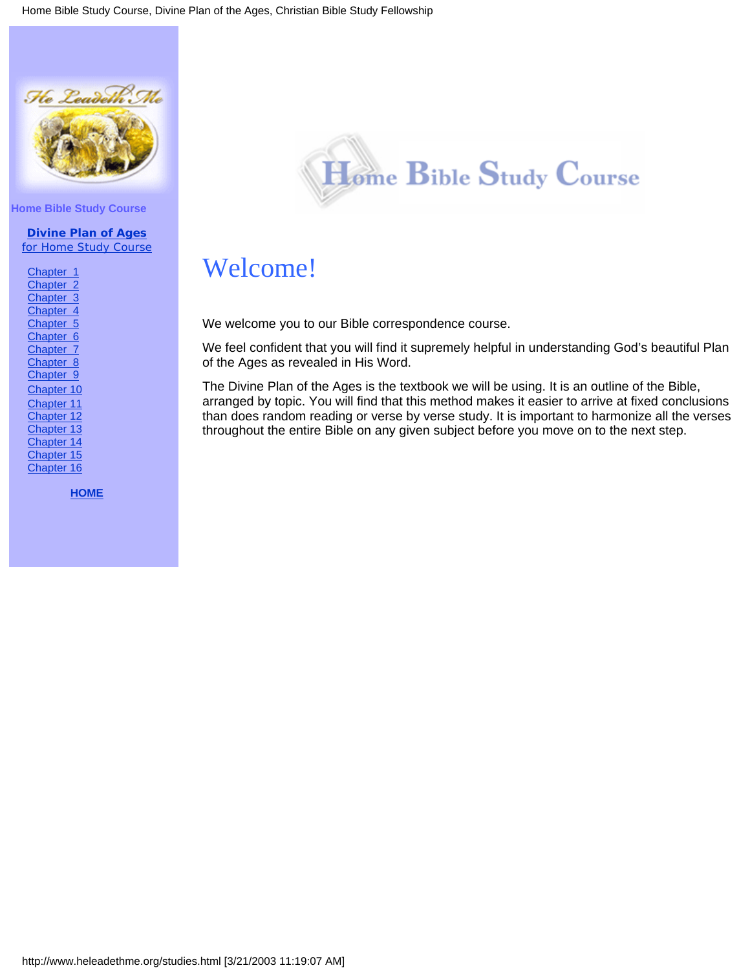<span id="page-0-0"></span>

#### **[Divine Plan of Ages](#page-7-0)** [for Home Study Course](#page-7-0)

| Chapter              |  |
|----------------------|--|
| Chapter<br>2         |  |
| 3<br>Chapter         |  |
| <b>Chapter</b><br>4  |  |
| 5<br>Chapter         |  |
| 6<br><b>Chapter</b>  |  |
| 7<br>Chapter         |  |
| <b>Chapter</b><br>8  |  |
| Chapter<br>9         |  |
| <b>Chapter 10</b>    |  |
| <b>Chapter</b>       |  |
| <b>Chapter</b><br>12 |  |
|                      |  |
| Chapter 13           |  |
| Chapter 1            |  |
| Chapter 15           |  |
| <b>Chapter 1</b>     |  |

**[HOME](http://www.heleadethme.org/index.html)**



# Welcome!

We welcome you to our Bible correspondence course.

We feel confident that you will find it supremely helpful in understanding God's beautiful Plan of the Ages as revealed in His Word.

The Divine Plan of the Ages is the textbook we will be using. It is an outline of the Bible, arranged by topic. You will find that this method makes it easier to arrive at fixed conclusions than does random reading or verse by verse study. It is important to harmonize all the verses throughout the entire Bible on any given subject before you move on to the next step.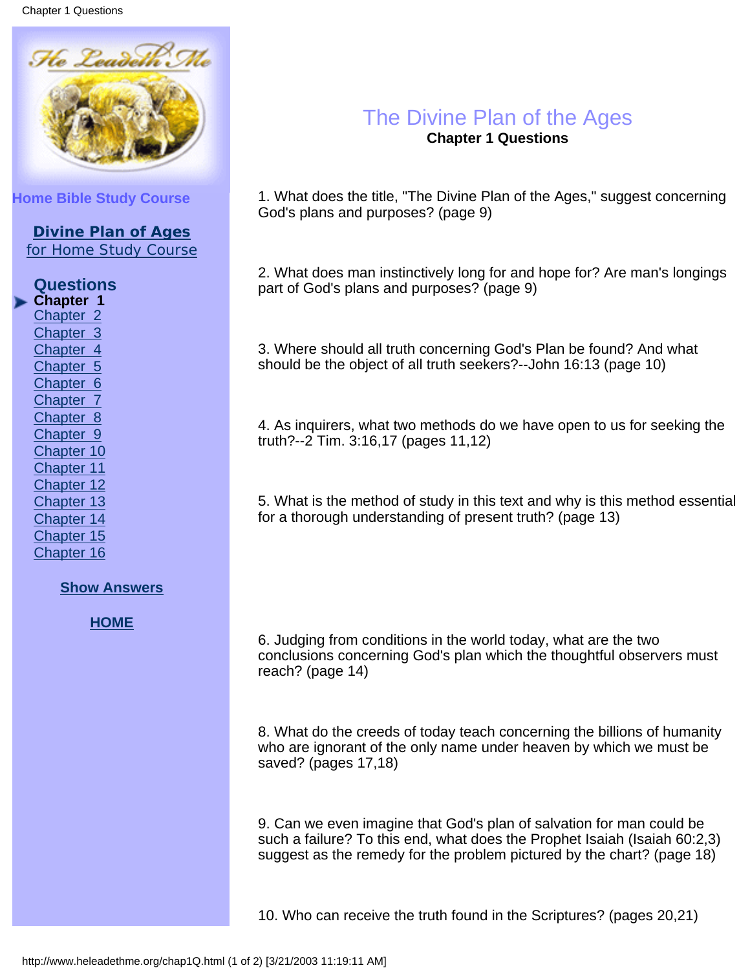<span id="page-1-0"></span>

**[Divine Plan of Ages](#page-7-0)** [for Home Study Course](#page-7-0)

### **Questions Chapter 1** [Chapter 2](#page-9-0)

[Chapter 3](#page-13-0) [Chapter 4](#page-19-0) [Chapter 5](#page-25-0) [Chapter 6](#page-32-0) [Chapter 7](#page-42-0) [Chapter 8](#page-42-0) [Chapter 9](#page-54-0) [Chapter 10](#page-60-0) [Chapter 11](#page-66-0) [Chapter 12](#page-72-0) [Chapter 13](#page-74-0) [Chapter 14](#page-83-0) [Chapter 15](#page-94-0) [Chapter 16](#page-105-0)

### **[Show Answers](#page-3-0)**

### **[HOME](http://www.heleadethme.org/index.html)**

# The Divine Plan of the Ages

**Chapter 1 Questions**

1. What does the title, "The Divine Plan of the Ages," suggest concerning God's plans and purposes? (page 9)

2. What does man instinctively long for and hope for? Are man's longings part of God's plans and purposes? (page 9)

3. Where should all truth concerning God's Plan be found? And what should be the object of all truth seekers?--John 16:13 (page 10)

4. As inquirers, what two methods do we have open to us for seeking the truth?--2 Tim. 3:16,17 (pages 11,12)

5. What is the method of study in this text and why is this method essential for a thorough understanding of present truth? (page 13)

6. Judging from conditions in the world today, what are the two conclusions concerning God's plan which the thoughtful observers must reach? (page 14)

8. What do the creeds of today teach concerning the billions of humanity who are ignorant of the only name under heaven by which we must be saved? (pages 17,18)

9. Can we even imagine that God's plan of salvation for man could be such a failure? To this end, what does the Prophet Isaiah (Isaiah 60:2,3) suggest as the remedy for the problem pictured by the chart? (page 18)

10. Who can receive the truth found in the Scriptures? (pages 20,21)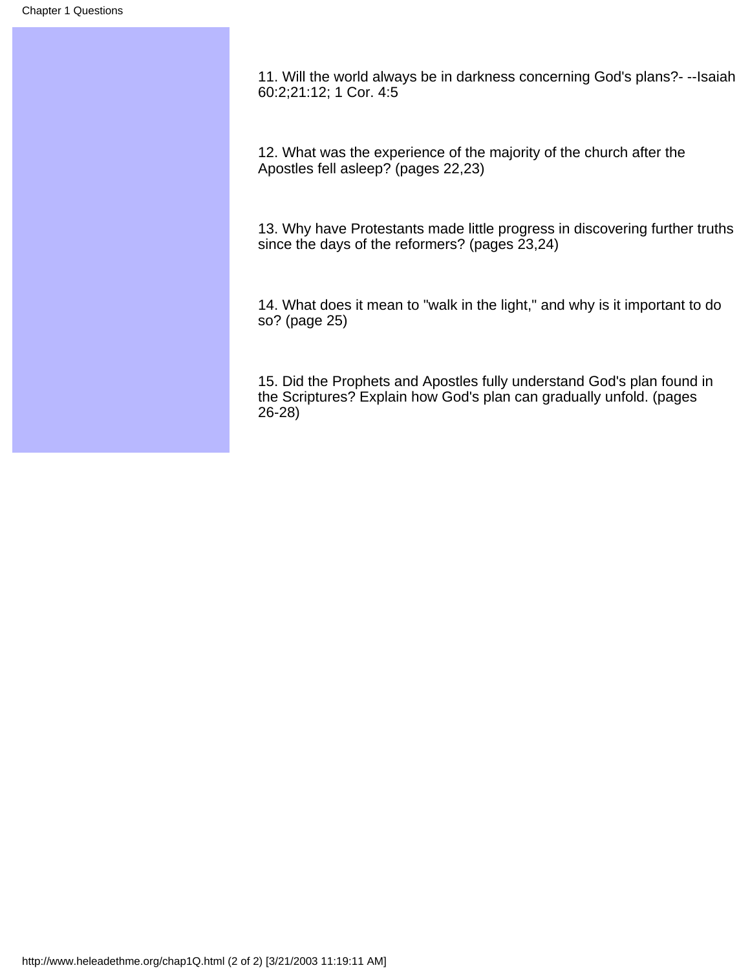11. Will the world always be in darkness concerning God's plans?- --Isaiah 60:2;21:12; 1 Cor. 4:5

12. What was the experience of the majority of the church after the Apostles fell asleep? (pages 22,23)

13. Why have Protestants made little progress in discovering further truths since the days of the reformers? (pages 23,24)

14. What does it mean to "walk in the light," and why is it important to do so? (page 25)

15. Did the Prophets and Apostles fully understand God's plan found in the Scriptures? Explain how God's plan can gradually unfold. (pages 26-28)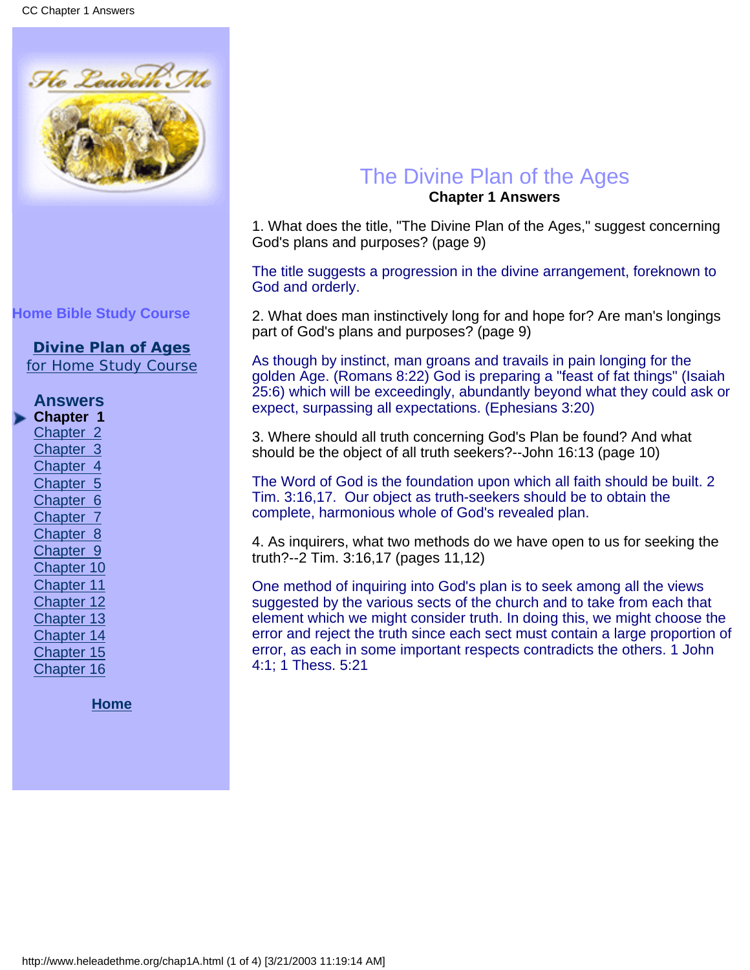<span id="page-3-0"></span>

### **[Divine Plan of Ages](#page-7-0)**

[for Home Study Course](#page-7-0)

#### **Answers Chapter 1**

[Chapter 2](#page-11-0) [Chapter 3](#page-13-0) [Chapter 4](#page-19-0) [Chapter 5](#page-25-0) [Chapter 6](#page-32-0) [Chapter 7](#page-42-0) [Chapter 8](#page-48-0) [Chapter 9](#page-54-0) [Chapter 10](#page-60-0) [Chapter 11](#page-66-0) [Chapter 12](#page-72-0) [Chapter 13](#page-74-0) [Chapter 14](#page-83-0) [Chapter 15](#page-94-0) [Chapter 16](#page-105-0)

**[Home](http://www.heleadethme.org/index.html)**

## The Divine Plan of the Ages

### **Chapter 1 Answers**

1. What does the title, "The Divine Plan of the Ages," suggest concerning God's plans and purposes? (page 9)

The title suggests a progression in the divine arrangement, foreknown to God and orderly.

2. What does man instinctively long for and hope for? Are man's longings part of God's plans and purposes? (page 9)

As though by instinct, man groans and travails in pain longing for the golden Age. (Romans 8:22) God is preparing a "feast of fat things" (Isaiah 25:6) which will be exceedingly, abundantly beyond what they could ask or expect, surpassing all expectations. (Ephesians 3:20)

3. Where should all truth concerning God's Plan be found? And what should be the object of all truth seekers?--John 16:13 (page 10)

The Word of God is the foundation upon which all faith should be built. 2 Tim. 3:16,17. Our object as truth-seekers should be to obtain the complete, harmonious whole of God's revealed plan.

4. As inquirers, what two methods do we have open to us for seeking the truth?--2 Tim. 3:16,17 (pages 11,12)

One method of inquiring into God's plan is to seek among all the views suggested by the various sects of the church and to take from each that element which we might consider truth. In doing this, we might choose the error and reject the truth since each sect must contain a large proportion of error, as each in some important respects contradicts the others. 1 John 4:1; 1 Thess. 5:21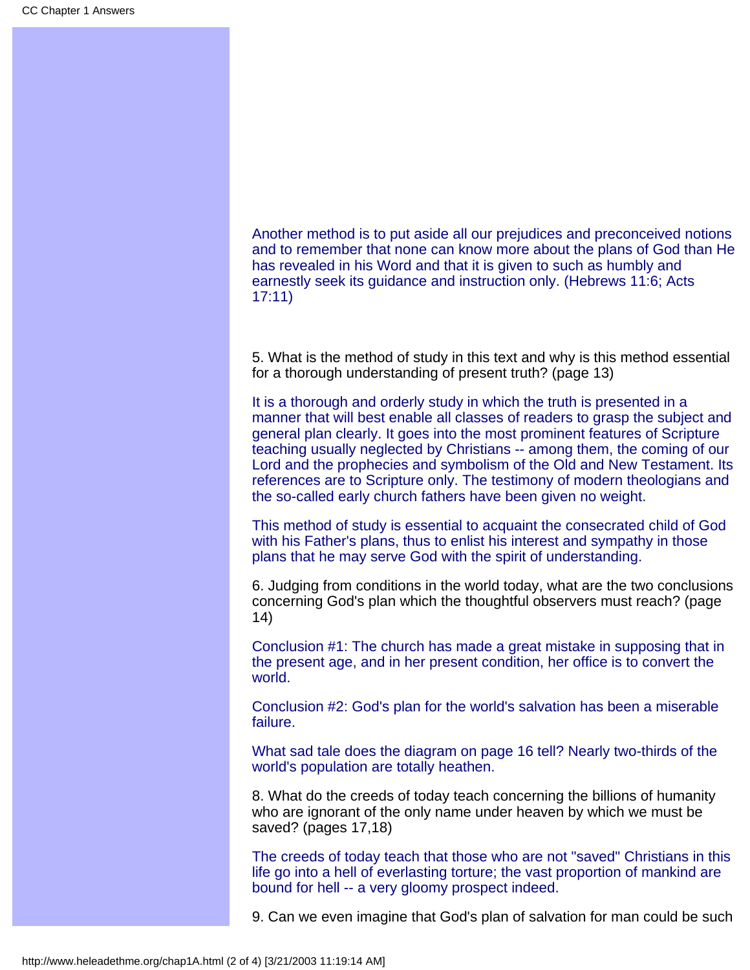Another method is to put aside all our prejudices and preconceived notions and to remember that none can know more about the plans of God than He has revealed in his Word and that it is given to such as humbly and earnestly seek its guidance and instruction only. (Hebrews 11:6; Acts 17:11)

5. What is the method of study in this text and why is this method essential for a thorough understanding of present truth? (page 13)

It is a thorough and orderly study in which the truth is presented in a manner that will best enable all classes of readers to grasp the subject and general plan clearly. It goes into the most prominent features of Scripture teaching usually neglected by Christians -- among them, the coming of our Lord and the prophecies and symbolism of the Old and New Testament. Its references are to Scripture only. The testimony of modern theologians and the so-called early church fathers have been given no weight.

This method of study is essential to acquaint the consecrated child of God with his Father's plans, thus to enlist his interest and sympathy in those plans that he may serve God with the spirit of understanding.

6. Judging from conditions in the world today, what are the two conclusions concerning God's plan which the thoughtful observers must reach? (page 14)

Conclusion #1: The church has made a great mistake in supposing that in the present age, and in her present condition, her office is to convert the world.

Conclusion #2: God's plan for the world's salvation has been a miserable failure.

What sad tale does the diagram on page 16 tell? Nearly two-thirds of the world's population are totally heathen.

8. What do the creeds of today teach concerning the billions of humanity who are ignorant of the only name under heaven by which we must be saved? (pages 17,18)

The creeds of today teach that those who are not "saved" Christians in this life go into a hell of everlasting torture; the vast proportion of mankind are bound for hell -- a very gloomy prospect indeed.

9. Can we even imagine that God's plan of salvation for man could be such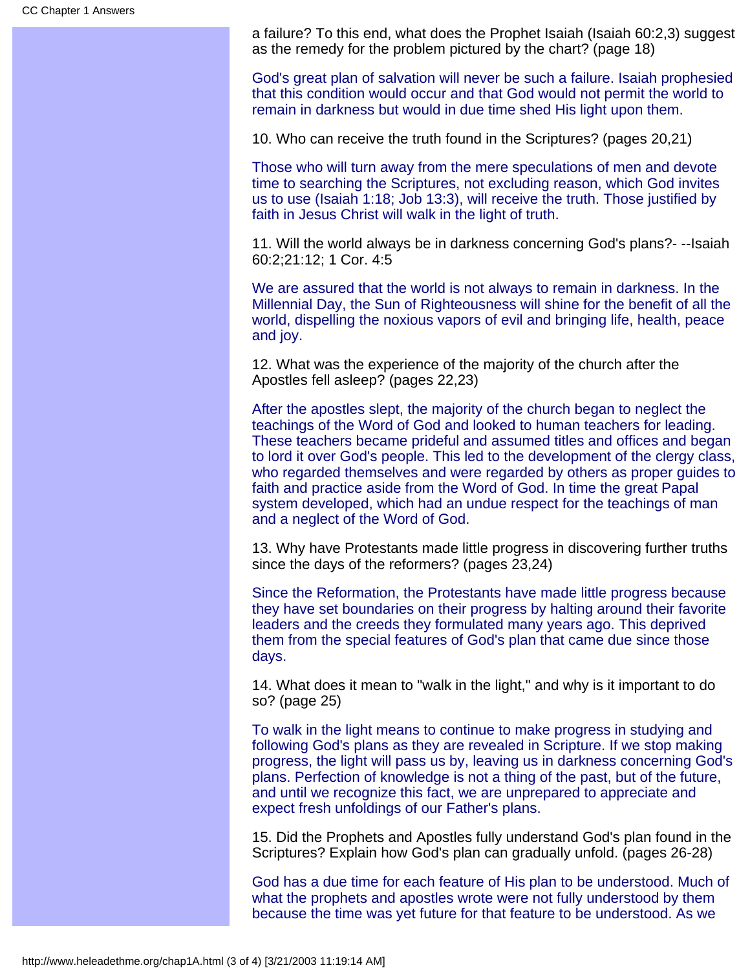a failure? To this end, what does the Prophet Isaiah (Isaiah 60:2,3) suggest as the remedy for the problem pictured by the chart? (page 18)

God's great plan of salvation will never be such a failure. Isaiah prophesied that this condition would occur and that God would not permit the world to remain in darkness but would in due time shed His light upon them.

10. Who can receive the truth found in the Scriptures? (pages 20,21)

Those who will turn away from the mere speculations of men and devote time to searching the Scriptures, not excluding reason, which God invites us to use (Isaiah 1:18; Job 13:3), will receive the truth. Those justified by faith in Jesus Christ will walk in the light of truth.

11. Will the world always be in darkness concerning God's plans?- --Isaiah 60:2;21:12; 1 Cor. 4:5

We are assured that the world is not always to remain in darkness. In the Millennial Day, the Sun of Righteousness will shine for the benefit of all the world, dispelling the noxious vapors of evil and bringing life, health, peace and joy.

12. What was the experience of the majority of the church after the Apostles fell asleep? (pages 22,23)

After the apostles slept, the majority of the church began to neglect the teachings of the Word of God and looked to human teachers for leading. These teachers became prideful and assumed titles and offices and began to lord it over God's people. This led to the development of the clergy class, who regarded themselves and were regarded by others as proper guides to faith and practice aside from the Word of God. In time the great Papal system developed, which had an undue respect for the teachings of man and a neglect of the Word of God.

13. Why have Protestants made little progress in discovering further truths since the days of the reformers? (pages 23,24)

Since the Reformation, the Protestants have made little progress because they have set boundaries on their progress by halting around their favorite leaders and the creeds they formulated many years ago. This deprived them from the special features of God's plan that came due since those days.

14. What does it mean to "walk in the light," and why is it important to do so? (page 25)

To walk in the light means to continue to make progress in studying and following God's plans as they are revealed in Scripture. If we stop making progress, the light will pass us by, leaving us in darkness concerning God's plans. Perfection of knowledge is not a thing of the past, but of the future, and until we recognize this fact, we are unprepared to appreciate and expect fresh unfoldings of our Father's plans.

15. Did the Prophets and Apostles fully understand God's plan found in the Scriptures? Explain how God's plan can gradually unfold. (pages 26-28)

God has a due time for each feature of His plan to be understood. Much of what the prophets and apostles wrote were not fully understood by them because the time was yet future for that feature to be understood. As we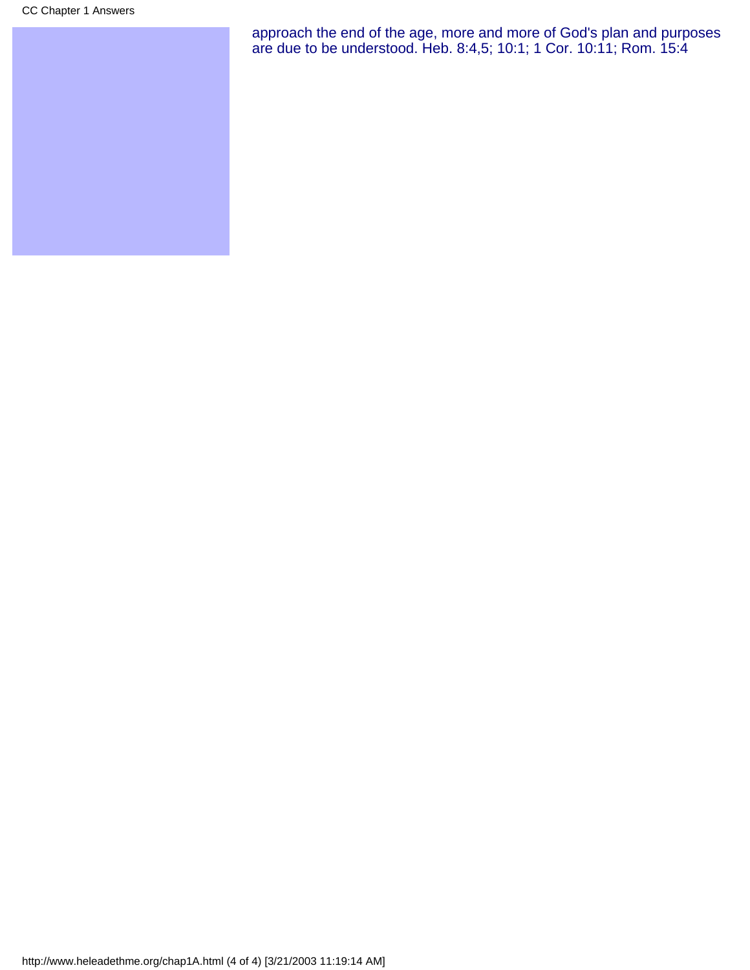approach the end of the age, more and more of God's plan and purposes are due to be understood. Heb. 8:4,5; 10:1; 1 Cor. 10:11; Rom. 15:4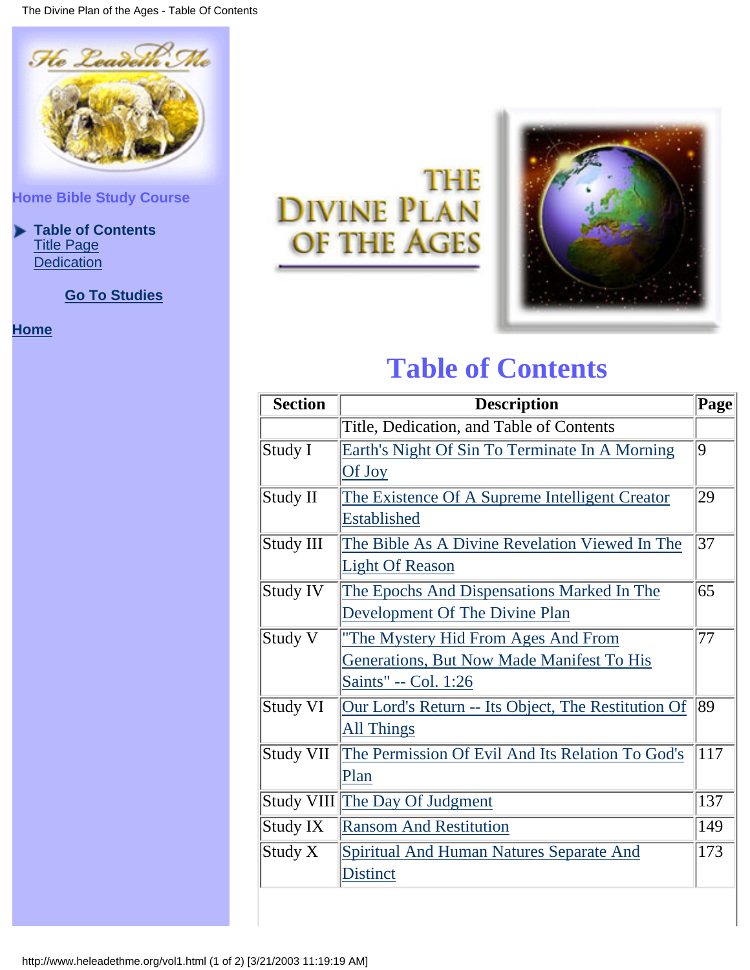<span id="page-7-0"></span>The Divine Plan of the Ages - Table Of Contents



**[Home Bible Study Course](http://www.heleadethme.org/index.html)**

**Table of Contents [Title Page](#page-111-0) [Dedication](#page-110-0)** 

**[Go To Studies](#page-0-0)**

**[Home](http://www.heleadethme.org/index.html)**

THE<br>DIVINE PLAN OF THE AGES



# **Table of Contents**

| <b>Section</b>  | <b>Description</b>                                  | Page           |
|-----------------|-----------------------------------------------------|----------------|
|                 | Title, Dedication, and Table of Contents            |                |
| Study I         | Earth's Night Of Sin To Terminate In A Morning      | $\overline{9}$ |
|                 | $\int$ Of Joy                                       |                |
| Study II        | The Existence Of A Supreme Intelligent Creator      | 29             |
|                 | Established                                         |                |
| Study III       | The Bible As A Divine Revelation Viewed In The      | 37             |
|                 | <b>Light Of Reason</b>                              |                |
| Study IV        | The Epochs And Dispensations Marked In The          | 65             |
|                 | <b>Development Of The Divine Plan</b>               |                |
| Study V         | "The Mystery Hid From Ages And From                 | 77             |
|                 | <b>Generations, But Now Made Manifest To His</b>    |                |
|                 | Saints" -- Col. 1:26                                |                |
| <b>Study VI</b> | Our Lord's Return -- Its Object, The Restitution Of | 89             |
|                 | <b>All Things</b>                                   |                |
| Study VII       | The Permission Of Evil And Its Relation To God's    | 117            |
|                 | Plan                                                |                |
|                 | Study VIII The Day Of Judgment                      | 137            |
| Study IX        | <b>Ransom And Restitution</b>                       | 149            |
| Study X         | Spiritual And Human Natures Separate And            | 173            |
|                 | <b>Distinct</b>                                     |                |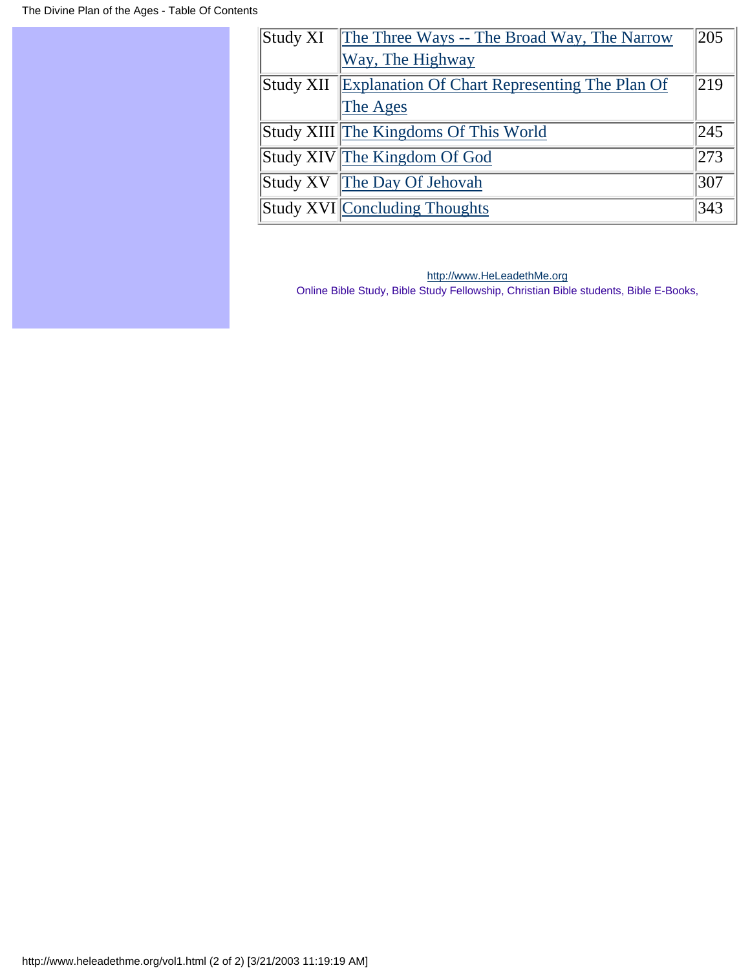| Study XI | The Three Ways -- The Broad Way, The Narrow<br>Way, The Highway     | 205 |
|----------|---------------------------------------------------------------------|-----|
|          | Study XII Explanation Of Chart Representing The Plan Of<br>The Ages | 219 |
|          | Study XIII The Kingdoms Of This World                               | 245 |
|          | Study XIV The Kingdom Of God                                        | 273 |
|          | Study XV The Day Of Jehovah                                         | 307 |
|          | Study XVI Concluding Thoughts                                       | 343 |

[http://www.HeLeadethMe.org](http://www.heleadethme.org/)

Online Bible Study, Bible Study Fellowship, Christian Bible students, Bible E-Books,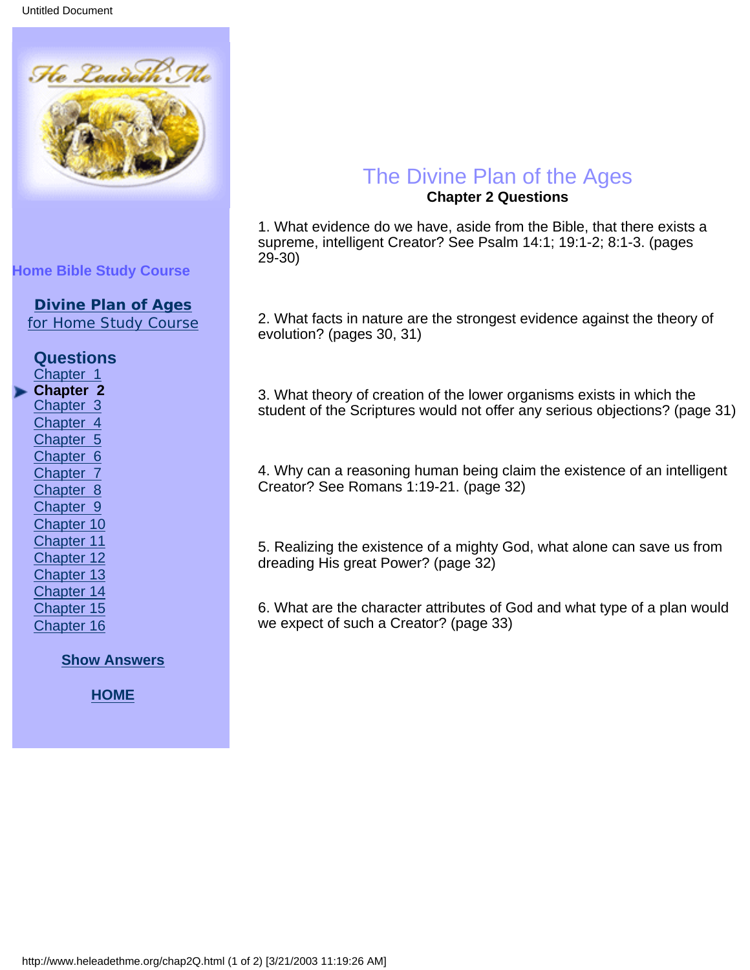<span id="page-9-0"></span>

**[Divine Plan of Ages](#page-7-0)** [for Home Study Course](#page-7-0)

### **Questions**

| Chapter<br>1                   |
|--------------------------------|
| <b>Chapter</b><br>$\mathbf{2}$ |
| <b>Chapter</b><br>3            |
| 4<br><b>Chapter</b>            |
| <b>Chapter</b><br>5            |
| 6<br>Chapter                   |
| Chapter<br>7                   |
| Chapter<br>8                   |
| Chapter<br>$\overline{9}$      |
| Chapter 10                     |
| <b>Chapter 11</b>              |
| Chapter 12                     |
| <b>Chapter</b><br>13           |
| Chapter 14                     |
| Chapter 15                     |
| <b>Chapter</b><br>16           |

**[Show Answers](#page-11-0)**

**[HOME](http://www.heleadethme.org/index.html)**

# The Divine Plan of the Ages

### **Chapter 2 Questions**

1. What evidence do we have, aside from the Bible, that there exists a supreme, intelligent Creator? See Psalm 14:1; 19:1-2; 8:1-3. (pages 29-30)

2. What facts in nature are the strongest evidence against the theory of evolution? (pages 30, 31)

3. What theory of creation of the lower organisms exists in which the student of the Scriptures would not offer any serious objections? (page 31)

4. Why can a reasoning human being claim the existence of an intelligent Creator? See Romans 1:19-21. (page 32)

5. Realizing the existence of a mighty God, what alone can save us from dreading His great Power? (page 32)

6. What are the character attributes of God and what type of a plan would we expect of such a Creator? (page 33)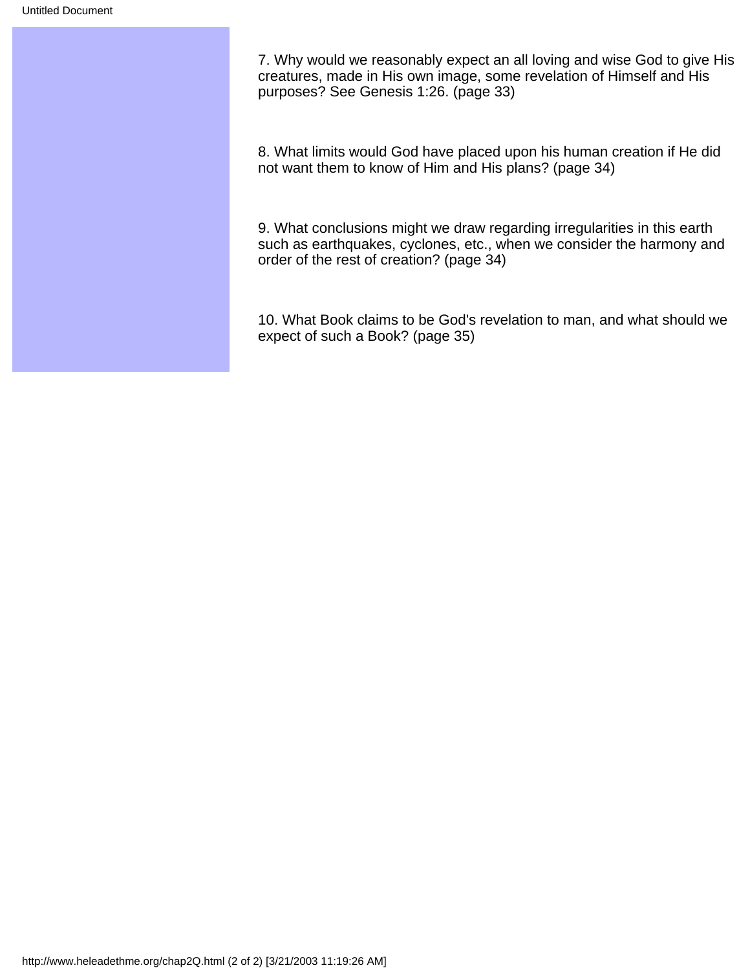7. Why would we reasonably expect an all loving and wise God to give His creatures, made in His own image, some revelation of Himself and His purposes? See Genesis 1:26. (page 33)

8. What limits would God have placed upon his human creation if He did not want them to know of Him and His plans? (page 34)

9. What conclusions might we draw regarding irregularities in this earth such as earthquakes, cyclones, etc., when we consider the harmony and order of the rest of creation? (page 34)

10. What Book claims to be God's revelation to man, and what should we expect of such a Book? (page 35)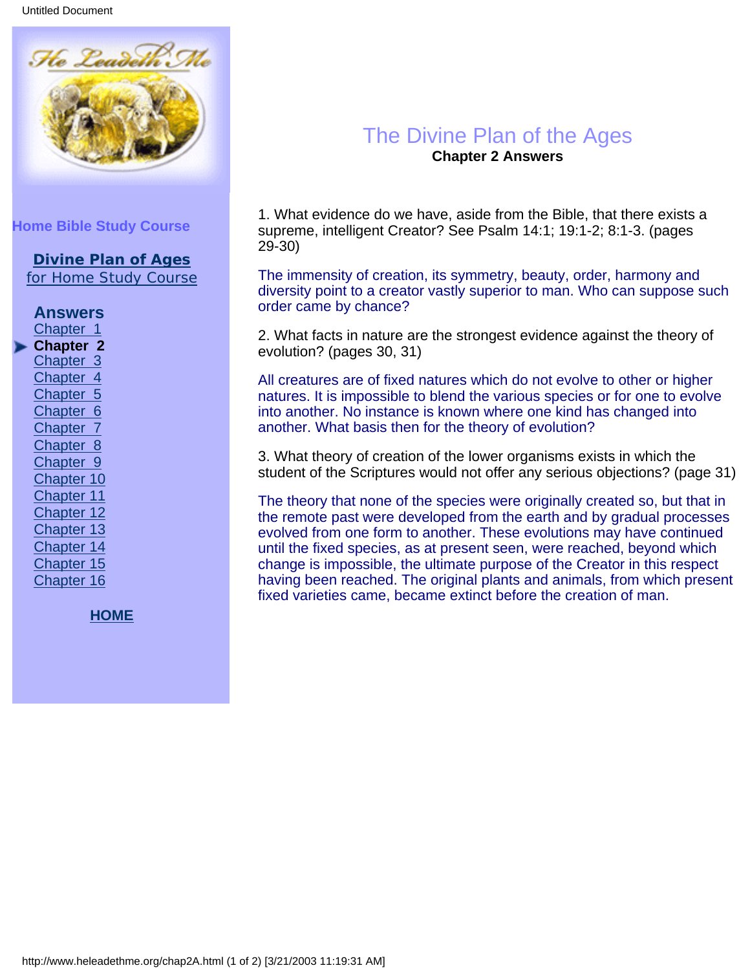<span id="page-11-0"></span>

**[Divine Plan of Ages](#page-7-0)** [for Home Study Course](#page-7-0)

| <b>Answers</b>                   |
|----------------------------------|
| Chapter<br>1                     |
| <b>Chapter</b><br>$\overline{2}$ |
| <b>Chapter</b><br>3              |
| <b>Chapter</b><br>4              |
| Chapter<br>$\overline{5}$        |
| 6<br>Chapter                     |
| 7<br>Chapter                     |
| Chapter<br>8                     |
| Chapter<br>9                     |
| Chapter<br>10                    |
| <b>Chapter 11</b>                |
| <b>Chapter</b><br>12             |
| 13                               |
| Chapter                          |
| <b>Chapter</b><br>14             |
| <b>Chapter</b><br>15             |
| <b>Chapter</b><br>16             |
|                                  |

**[HOME](http://www.heleadethme.org/index.html)**

### The Divine Plan of the Ages **Chapter 2 Answers**

1. What evidence do we have, aside from the Bible, that there exists a supreme, intelligent Creator? See Psalm 14:1; 19:1-2; 8:1-3. (pages 29-30)

The immensity of creation, its symmetry, beauty, order, harmony and diversity point to a creator vastly superior to man. Who can suppose such order came by chance?

2. What facts in nature are the strongest evidence against the theory of evolution? (pages 30, 31)

All creatures are of fixed natures which do not evolve to other or higher natures. It is impossible to blend the various species or for one to evolve into another. No instance is known where one kind has changed into another. What basis then for the theory of evolution?

3. What theory of creation of the lower organisms exists in which the student of the Scriptures would not offer any serious objections? (page 31)

The theory that none of the species were originally created so, but that in the remote past were developed from the earth and by gradual processes evolved from one form to another. These evolutions may have continued until the fixed species, as at present seen, were reached, beyond which change is impossible, the ultimate purpose of the Creator in this respect having been reached. The original plants and animals, from which present fixed varieties came, became extinct before the creation of man.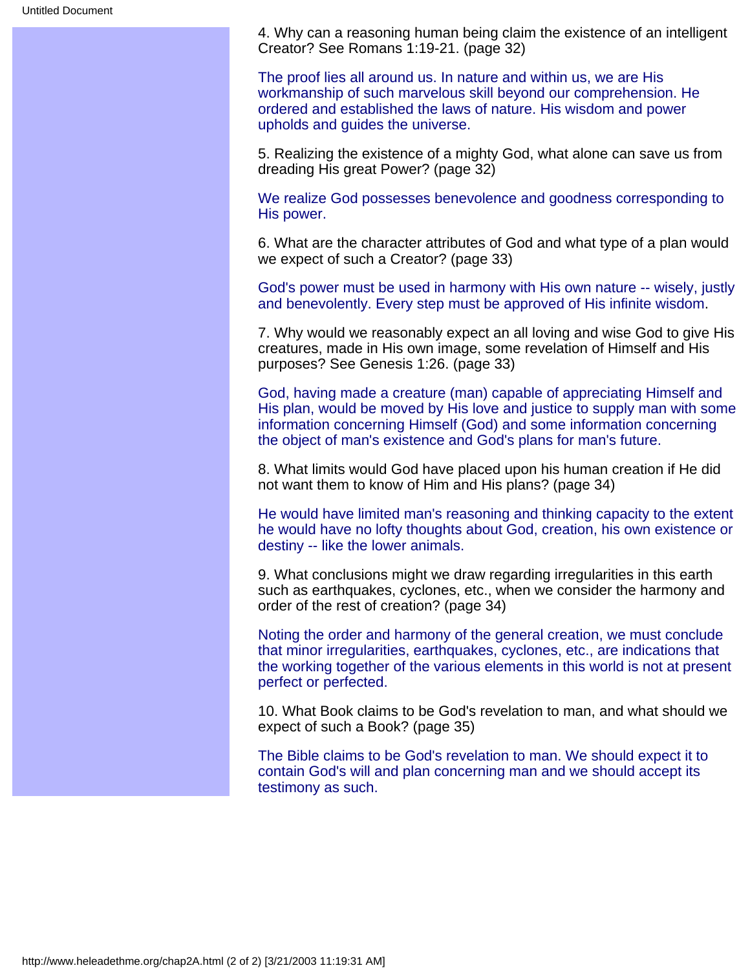4. Why can a reasoning human being claim the existence of an intelligent Creator? See Romans 1:19-21. (page 32)

The proof lies all around us. In nature and within us, we are His workmanship of such marvelous skill beyond our comprehension. He ordered and established the laws of nature. His wisdom and power upholds and guides the universe.

5. Realizing the existence of a mighty God, what alone can save us from dreading His great Power? (page 32)

We realize God possesses benevolence and goodness corresponding to His power.

6. What are the character attributes of God and what type of a plan would we expect of such a Creator? (page 33)

God's power must be used in harmony with His own nature -- wisely, justly and benevolently. Every step must be approved of His infinite wisdom.

7. Why would we reasonably expect an all loving and wise God to give His creatures, made in His own image, some revelation of Himself and His purposes? See Genesis 1:26. (page 33)

God, having made a creature (man) capable of appreciating Himself and His plan, would be moved by His love and justice to supply man with some information concerning Himself (God) and some information concerning the object of man's existence and God's plans for man's future.

8. What limits would God have placed upon his human creation if He did not want them to know of Him and His plans? (page 34)

He would have limited man's reasoning and thinking capacity to the extent he would have no lofty thoughts about God, creation, his own existence or destiny -- like the lower animals.

9. What conclusions might we draw regarding irregularities in this earth such as earthquakes, cyclones, etc., when we consider the harmony and order of the rest of creation? (page 34)

Noting the order and harmony of the general creation, we must conclude that minor irregularities, earthquakes, cyclones, etc., are indications that the working together of the various elements in this world is not at present perfect or perfected.

10. What Book claims to be God's revelation to man, and what should we expect of such a Book? (page 35)

The Bible claims to be God's revelation to man. We should expect it to contain God's will and plan concerning man and we should accept its testimony as such.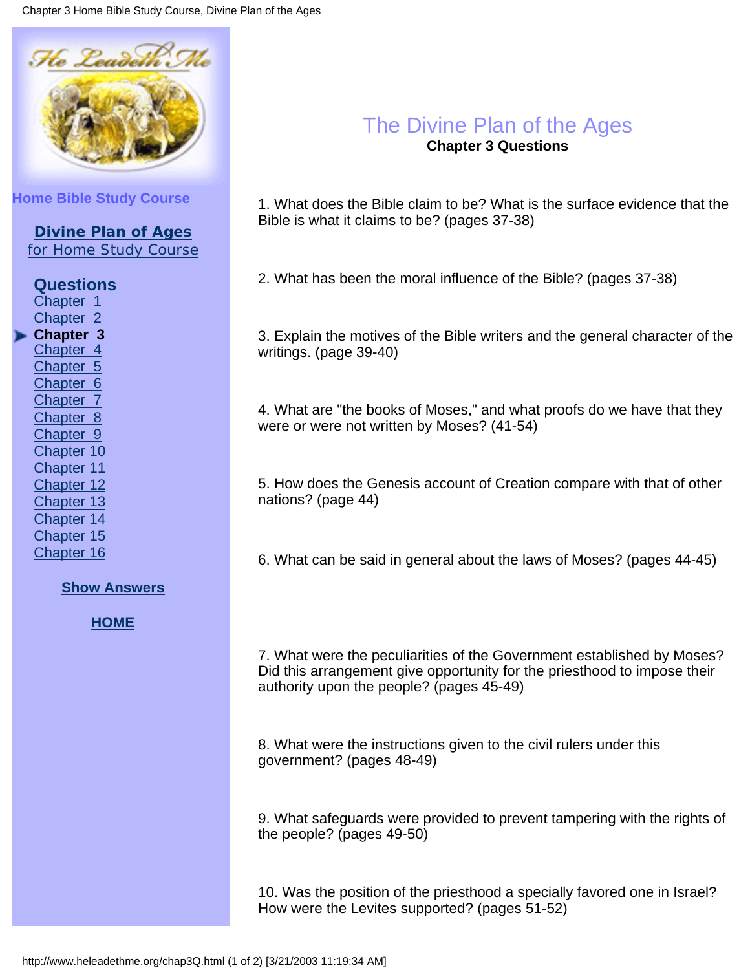<span id="page-13-0"></span>

**[Divine Plan of Ages](#page-7-0)** [for Home Study Course](#page-7-0)

#### **Questions**

[Chapter 1](#page-1-0) [Chapter 2](#page-9-0) **Chapter 3** [Chapter 4](#page-19-0) [Chapter 5](#page-25-0) [Chapter 6](#page-32-0) [Chapter 7](#page-42-0) Chapter<sub>8</sub> [Chapter 9](#page-54-0) [Chapter 10](#page-60-0) [Chapter 11](#page-66-0) [Chapter 12](#page-72-0) [Chapter 13](#page-74-0) [Chapter 14](#page-83-0) [Chapter 15](#page-94-0) [Chapter 16](#page-105-0)

#### **[Show Answers](#page-15-0)**

### **[HOME](http://www.heleadethme.org/index.html)**

# The Divine Plan of the Ages

**Chapter 3 Questions**

1. What does the Bible claim to be? What is the surface evidence that the Bible is what it claims to be? (pages 37-38)

2. What has been the moral influence of the Bible? (pages 37-38)

3. Explain the motives of the Bible writers and the general character of the writings. (page 39-40)

4. What are "the books of Moses," and what proofs do we have that they were or were not written by Moses? (41-54)

5. How does the Genesis account of Creation compare with that of other nations? (page 44)

6. What can be said in general about the laws of Moses? (pages 44-45)

7. What were the peculiarities of the Government established by Moses? Did this arrangement give opportunity for the priesthood to impose their authority upon the people? (pages 45-49)

8. What were the instructions given to the civil rulers under this government? (pages 48-49)

9. What safeguards were provided to prevent tampering with the rights of the people? (pages 49-50)

10. Was the position of the priesthood a specially favored one in Israel? How were the Levites supported? (pages 51-52)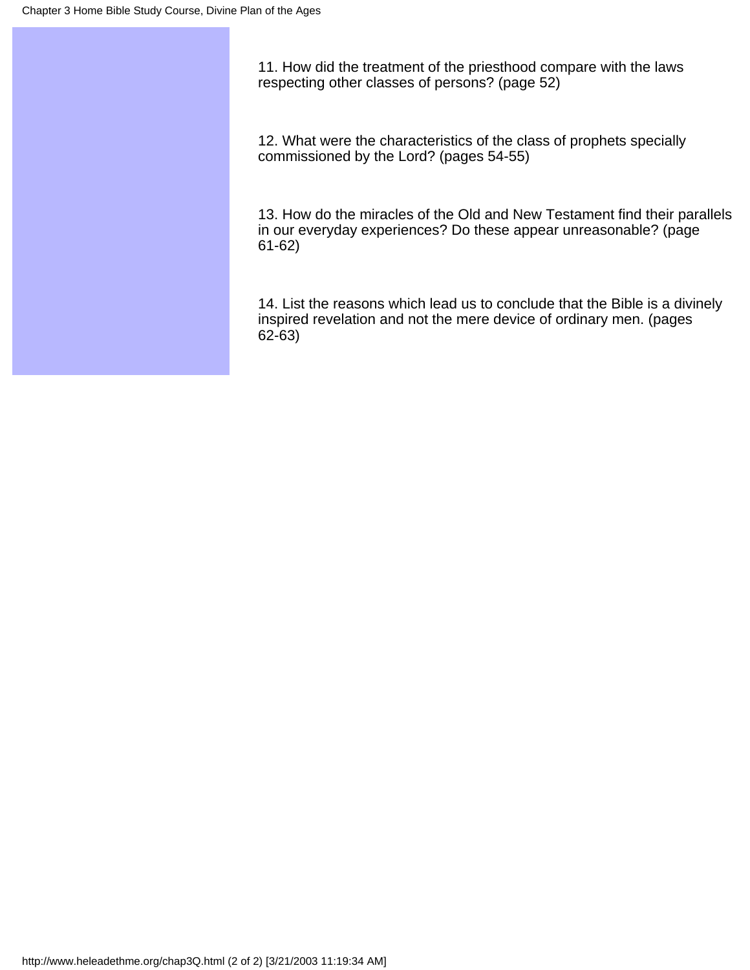11. How did the treatment of the priesthood compare with the laws respecting other classes of persons? (page 52)

12. What were the characteristics of the class of prophets specially commissioned by the Lord? (pages 54-55)

13. How do the miracles of the Old and New Testament find their parallels in our everyday experiences? Do these appear unreasonable? (page 61-62)

14. List the reasons which lead us to conclude that the Bible is a divinely inspired revelation and not the mere device of ordinary men. (pages 62-63)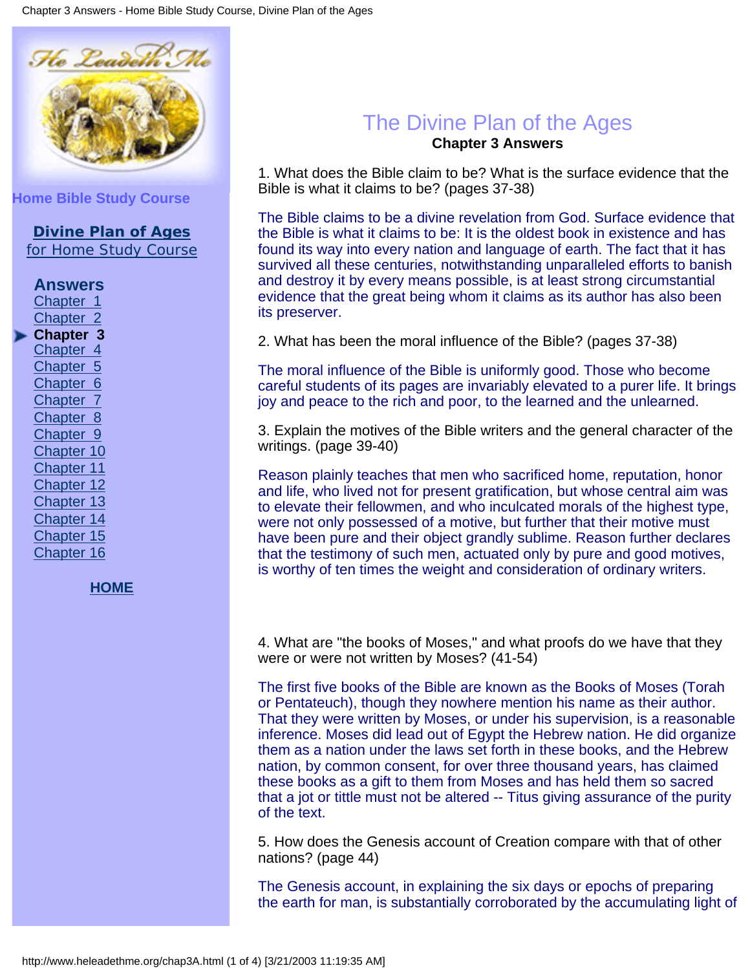<span id="page-15-0"></span>

**[Divine Plan of Ages](#page-7-0)** [for Home Study Course](#page-7-0)

#### **Answers** [Chapter 1](#page-1-0) [Chapter 2](#page-9-0) **Chapter 3** [Chapter 4](#page-19-0) [Chapter 5](#page-25-0) [Chapter 6](#page-32-0) [Chapter 7](#page-42-0) [Chapter 8](#page-48-0) [Chapter 9](#page-54-0) [Chapter 10](#page-60-0) [Chapter 11](#page-66-0) [Chapter 12](#page-72-0) [Chapter 13](#page-74-0) [Chapter 14](#page-83-0) [Chapter 15](#page-94-0) [Chapter 16](#page-105-0)

### **[HOME](http://www.heleadethme.org/index.html)**

### The Divine Plan of the Ages

**Chapter 3 Answers**

1. What does the Bible claim to be? What is the surface evidence that the Bible is what it claims to be? (pages 37-38)

The Bible claims to be a divine revelation from God. Surface evidence that the Bible is what it claims to be: It is the oldest book in existence and has found its way into every nation and language of earth. The fact that it has survived all these centuries, notwithstanding unparalleled efforts to banish and destroy it by every means possible, is at least strong circumstantial evidence that the great being whom it claims as its author has also been its preserver.

2. What has been the moral influence of the Bible? (pages 37-38)

The moral influence of the Bible is uniformly good. Those who become careful students of its pages are invariably elevated to a purer life. It brings joy and peace to the rich and poor, to the learned and the unlearned.

3. Explain the motives of the Bible writers and the general character of the writings. (page 39-40)

Reason plainly teaches that men who sacrificed home, reputation, honor and life, who lived not for present gratification, but whose central aim was to elevate their fellowmen, and who inculcated morals of the highest type, were not only possessed of a motive, but further that their motive must have been pure and their object grandly sublime. Reason further declares that the testimony of such men, actuated only by pure and good motives, is worthy of ten times the weight and consideration of ordinary writers.

4. What are "the books of Moses," and what proofs do we have that they were or were not written by Moses? (41-54)

The first five books of the Bible are known as the Books of Moses (Torah or Pentateuch), though they nowhere mention his name as their author. That they were written by Moses, or under his supervision, is a reasonable inference. Moses did lead out of Egypt the Hebrew nation. He did organize them as a nation under the laws set forth in these books, and the Hebrew nation, by common consent, for over three thousand years, has claimed these books as a gift to them from Moses and has held them so sacred that a jot or tittle must not be altered -- Titus giving assurance of the purity of the text.

5. How does the Genesis account of Creation compare with that of other nations? (page 44)

The Genesis account, in explaining the six days or epochs of preparing the earth for man, is substantially corroborated by the accumulating light of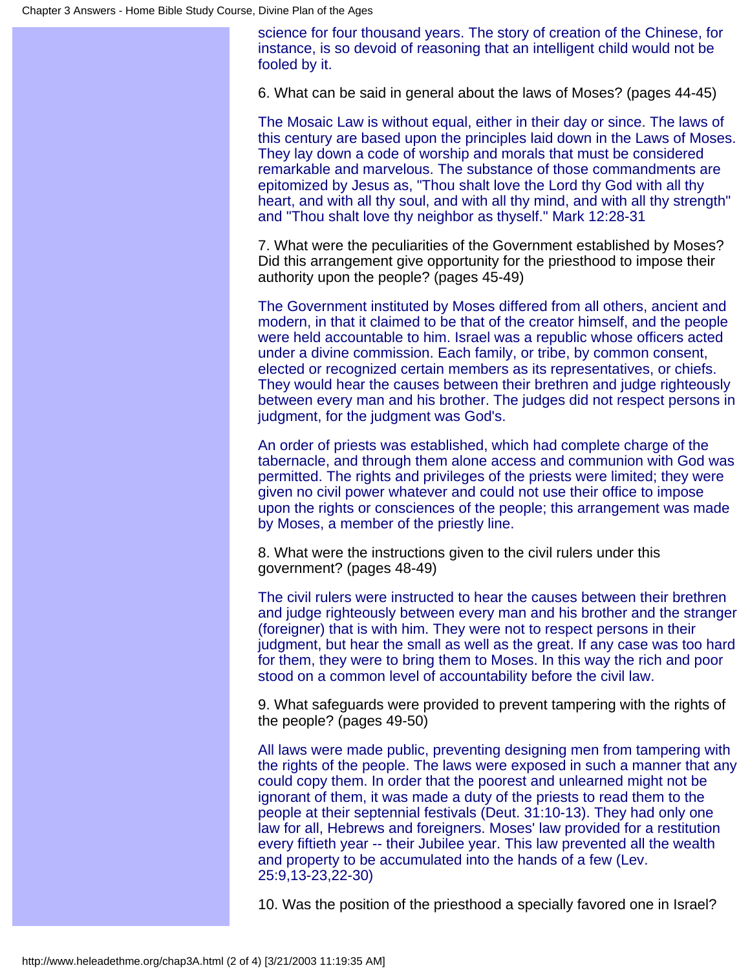science for four thousand years. The story of creation of the Chinese, for instance, is so devoid of reasoning that an intelligent child would not be fooled by it.

6. What can be said in general about the laws of Moses? (pages 44-45)

The Mosaic Law is without equal, either in their day or since. The laws of this century are based upon the principles laid down in the Laws of Moses. They lay down a code of worship and morals that must be considered remarkable and marvelous. The substance of those commandments are epitomized by Jesus as, "Thou shalt love the Lord thy God with all thy heart, and with all thy soul, and with all thy mind, and with all thy strength" and "Thou shalt love thy neighbor as thyself." Mark 12:28-31

7. What were the peculiarities of the Government established by Moses? Did this arrangement give opportunity for the priesthood to impose their authority upon the people? (pages 45-49)

The Government instituted by Moses differed from all others, ancient and modern, in that it claimed to be that of the creator himself, and the people were held accountable to him. Israel was a republic whose officers acted under a divine commission. Each family, or tribe, by common consent, elected or recognized certain members as its representatives, or chiefs. They would hear the causes between their brethren and judge righteously between every man and his brother. The judges did not respect persons in judgment, for the judgment was God's.

An order of priests was established, which had complete charge of the tabernacle, and through them alone access and communion with God was permitted. The rights and privileges of the priests were limited; they were given no civil power whatever and could not use their office to impose upon the rights or consciences of the people; this arrangement was made by Moses, a member of the priestly line.

8. What were the instructions given to the civil rulers under this government? (pages 48-49)

The civil rulers were instructed to hear the causes between their brethren and judge righteously between every man and his brother and the stranger (foreigner) that is with him. They were not to respect persons in their judgment, but hear the small as well as the great. If any case was too hard for them, they were to bring them to Moses. In this way the rich and poor stood on a common level of accountability before the civil law.

9. What safeguards were provided to prevent tampering with the rights of the people? (pages 49-50)

All laws were made public, preventing designing men from tampering with the rights of the people. The laws were exposed in such a manner that any could copy them. In order that the poorest and unlearned might not be ignorant of them, it was made a duty of the priests to read them to the people at their septennial festivals (Deut. 31:10-13). They had only one law for all, Hebrews and foreigners. Moses' law provided for a restitution every fiftieth year -- their Jubilee year. This law prevented all the wealth and property to be accumulated into the hands of a few (Lev. 25:9,13-23,22-30)

10. Was the position of the priesthood a specially favored one in Israel?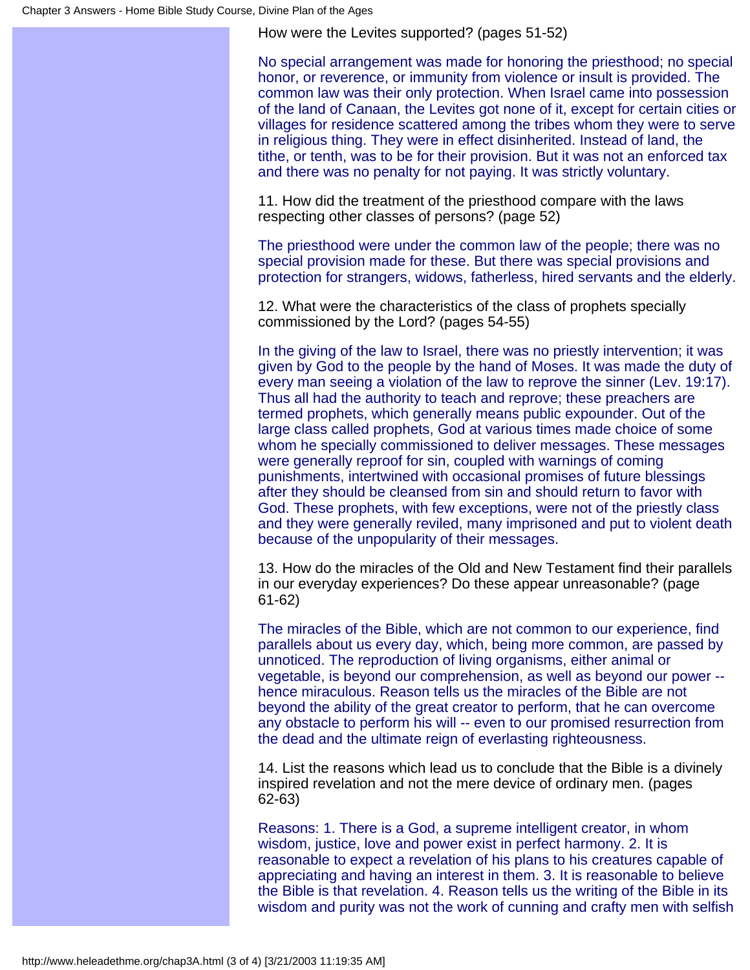How were the Levites supported? (pages 51-52)

No special arrangement was made for honoring the priesthood; no special honor, or reverence, or immunity from violence or insult is provided. The common law was their only protection. When Israel came into possession of the land of Canaan, the Levites got none of it, except for certain cities or villages for residence scattered among the tribes whom they were to serve in religious thing. They were in effect disinherited. Instead of land, the tithe, or tenth, was to be for their provision. But it was not an enforced tax and there was no penalty for not paying. It was strictly voluntary.

11. How did the treatment of the priesthood compare with the laws respecting other classes of persons? (page 52)

The priesthood were under the common law of the people; there was no special provision made for these. But there was special provisions and protection for strangers, widows, fatherless, hired servants and the elderly.

12. What were the characteristics of the class of prophets specially commissioned by the Lord? (pages 54-55)

In the giving of the law to Israel, there was no priestly intervention; it was given by God to the people by the hand of Moses. It was made the duty of every man seeing a violation of the law to reprove the sinner (Lev. 19:17). Thus all had the authority to teach and reprove; these preachers are termed prophets, which generally means public expounder. Out of the large class called prophets, God at various times made choice of some whom he specially commissioned to deliver messages. These messages were generally reproof for sin, coupled with warnings of coming punishments, intertwined with occasional promises of future blessings after they should be cleansed from sin and should return to favor with God. These prophets, with few exceptions, were not of the priestly class and they were generally reviled, many imprisoned and put to violent death because of the unpopularity of their messages.

13. How do the miracles of the Old and New Testament find their parallels in our everyday experiences? Do these appear unreasonable? (page 61-62)

The miracles of the Bible, which are not common to our experience, find parallels about us every day, which, being more common, are passed by unnoticed. The reproduction of living organisms, either animal or vegetable, is beyond our comprehension, as well as beyond our power - hence miraculous. Reason tells us the miracles of the Bible are not beyond the ability of the great creator to perform, that he can overcome any obstacle to perform his will -- even to our promised resurrection from the dead and the ultimate reign of everlasting righteousness.

14. List the reasons which lead us to conclude that the Bible is a divinely inspired revelation and not the mere device of ordinary men. (pages 62-63)

Reasons: 1. There is a God, a supreme intelligent creator, in whom wisdom, justice, love and power exist in perfect harmony. 2. It is reasonable to expect a revelation of his plans to his creatures capable of appreciating and having an interest in them. 3. It is reasonable to believe the Bible is that revelation. 4. Reason tells us the writing of the Bible in its wisdom and purity was not the work of cunning and crafty men with selfish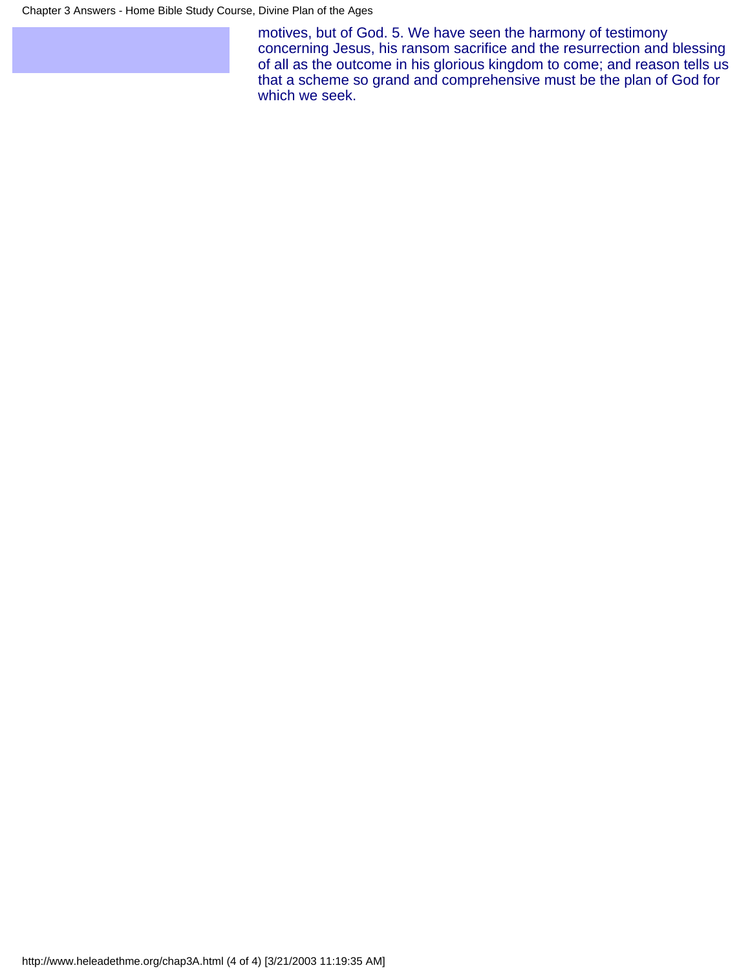motives, but of God. 5. We have seen the harmony of testimony concerning Jesus, his ransom sacrifice and the resurrection and blessing of all as the outcome in his glorious kingdom to come; and reason tells us that a scheme so grand and comprehensive must be the plan of God for which we seek.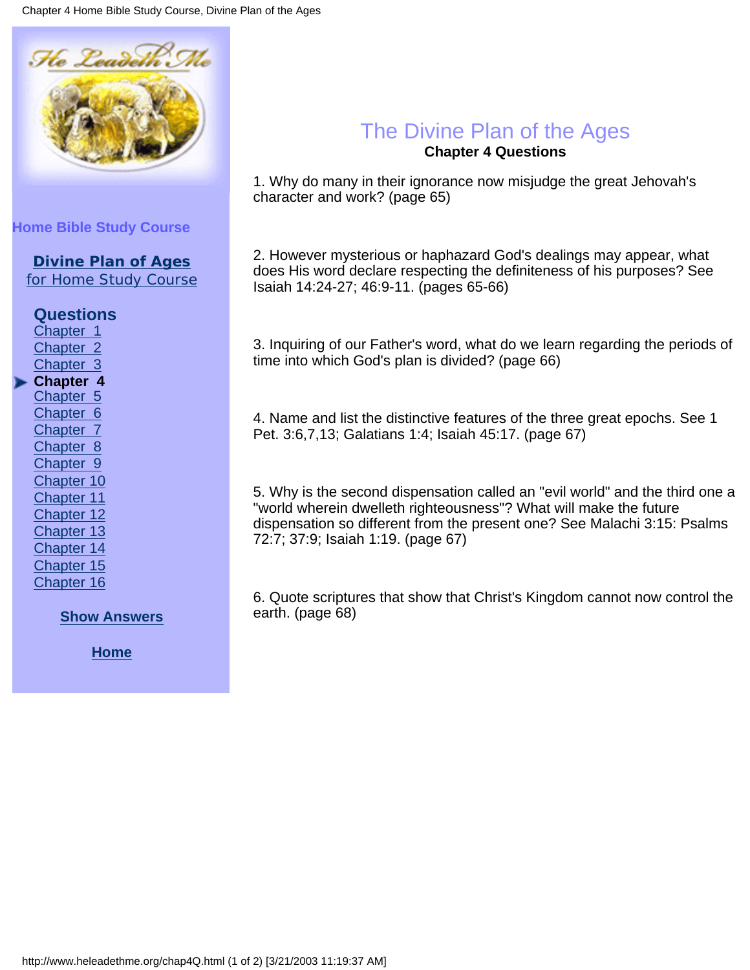<span id="page-19-0"></span>

**[Divine Plan of Ages](#page-7-0)** [for Home Study Course](#page-7-0)

### **Questions**

[Chapter 1](#page-1-0) [Chapter 2](#page-9-0) [Chapter 3](#page-13-0) **Chapter 4** Chapter<sub>5</sub> [Chapter 6](#page-32-0) [Chapter 7](#page-42-0) [Chapter 8](#page-42-0) [Chapter 9](#page-54-0) [Chapter 10](#page-60-0) [Chapter 11](#page-66-0) [Chapter 12](#page-72-0) [Chapter 13](#page-74-0) [Chapter 14](#page-83-0) [Chapter 15](#page-94-0) [Chapter 16](#page-105-0)

### **[Show Answers](#page-21-0)**

**[Home](http://www.heleadethme.org/index.html)**

# The Divine Plan of the Ages

**Chapter 4 Questions**

1. Why do many in their ignorance now misjudge the great Jehovah's character and work? (page 65)

2. However mysterious or haphazard God's dealings may appear, what does His word declare respecting the definiteness of his purposes? See Isaiah 14:24-27; 46:9-11. (pages 65-66)

3. Inquiring of our Father's word, what do we learn regarding the periods of time into which God's plan is divided? (page 66)

4. Name and list the distinctive features of the three great epochs. See 1 Pet. 3:6,7,13; Galatians 1:4; Isaiah 45:17. (page 67)

5. Why is the second dispensation called an "evil world" and the third one a "world wherein dwelleth righteousness"? What will make the future dispensation so different from the present one? See Malachi 3:15: Psalms 72:7; 37:9; Isaiah 1:19. (page 67)

6. Quote scriptures that show that Christ's Kingdom cannot now control the earth. (page 68)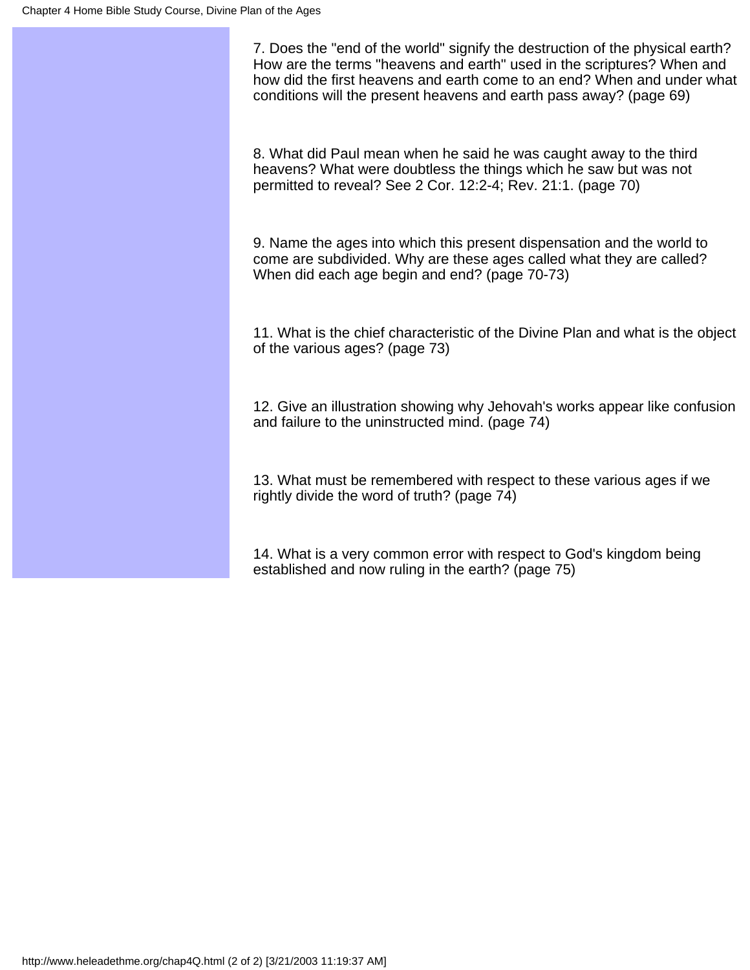7. Does the "end of the world" signify the destruction of the physical earth? How are the terms "heavens and earth" used in the scriptures? When and how did the first heavens and earth come to an end? When and under what conditions will the present heavens and earth pass away? (page 69)

8. What did Paul mean when he said he was caught away to the third heavens? What were doubtless the things which he saw but was not permitted to reveal? See 2 Cor. 12:2-4; Rev. 21:1. (page 70)

9. Name the ages into which this present dispensation and the world to come are subdivided. Why are these ages called what they are called? When did each age begin and end? (page 70-73)

11. What is the chief characteristic of the Divine Plan and what is the object of the various ages? (page 73)

12. Give an illustration showing why Jehovah's works appear like confusion and failure to the uninstructed mind. (page 74)

13. What must be remembered with respect to these various ages if we rightly divide the word of truth? (page 74)

14. What is a very common error with respect to God's kingdom being established and now ruling in the earth? (page 75)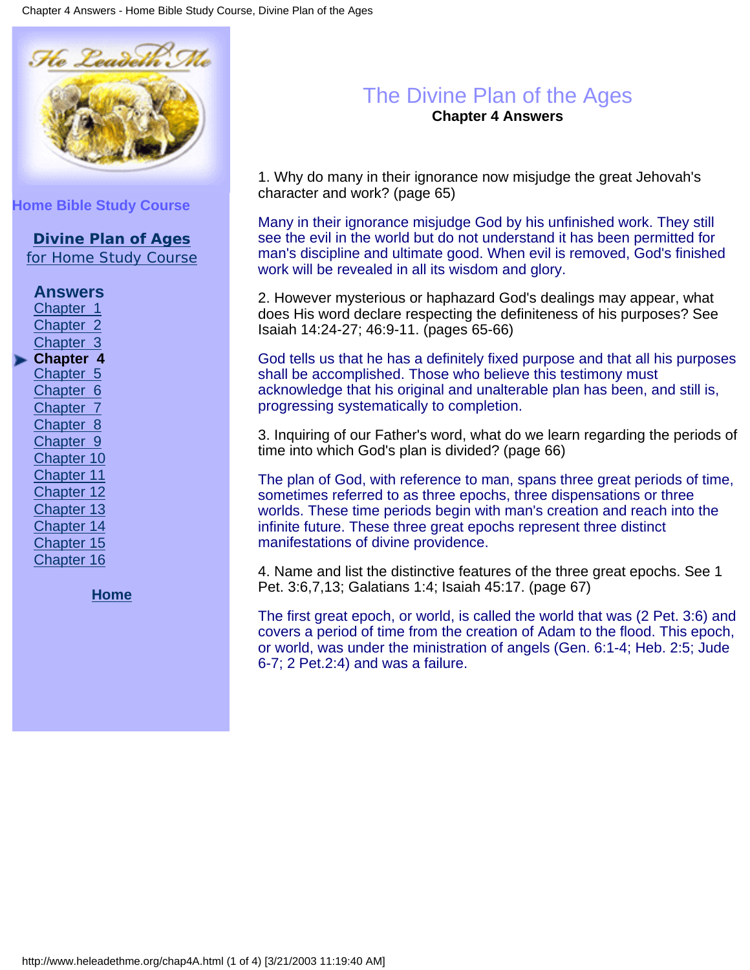<span id="page-21-0"></span>

**[Divine Plan of Ages](#page-7-0)** [for Home Study Course](#page-7-0)

**Answers** [Chapter 1](#page-1-0) [Chapter 2](#page-9-0) [Chapter 3](#page-13-0) **Chapter 4** [Chapter 5](#page-25-0) [Chapter 6](#page-32-0) [Chapter 7](#page-42-0) [Chapter 8](#page-48-0) [Chapter 9](#page-54-0) [Chapter 10](#page-60-0) [Chapter 11](#page-66-0) [Chapter 12](#page-72-0) [Chapter 13](#page-74-0) [Chapter 14](#page-83-0) [Chapter 15](#page-94-0) [Chapter 16](#page-105-0)

**[Home](http://www.heleadethme.org/index.html)**

### The Divine Plan of the Ages **Chapter 4 Answers**

1. Why do many in their ignorance now misjudge the great Jehovah's character and work? (page 65)

Many in their ignorance misjudge God by his unfinished work. They still see the evil in the world but do not understand it has been permitted for man's discipline and ultimate good. When evil is removed, God's finished work will be revealed in all its wisdom and glory.

2. However mysterious or haphazard God's dealings may appear, what does His word declare respecting the definiteness of his purposes? See Isaiah 14:24-27; 46:9-11. (pages 65-66)

God tells us that he has a definitely fixed purpose and that all his purposes shall be accomplished. Those who believe this testimony must acknowledge that his original and unalterable plan has been, and still is, progressing systematically to completion.

3. Inquiring of our Father's word, what do we learn regarding the periods of time into which God's plan is divided? (page 66)

The plan of God, with reference to man, spans three great periods of time, sometimes referred to as three epochs, three dispensations or three worlds. These time periods begin with man's creation and reach into the infinite future. These three great epochs represent three distinct manifestations of divine providence.

4. Name and list the distinctive features of the three great epochs. See 1 Pet. 3:6,7,13; Galatians 1:4; Isaiah 45:17. (page 67)

The first great epoch, or world, is called the world that was (2 Pet. 3:6) and covers a period of time from the creation of Adam to the flood. This epoch, or world, was under the ministration of angels (Gen. 6:1-4; Heb. 2:5; Jude 6-7; 2 Pet.2:4) and was a failure.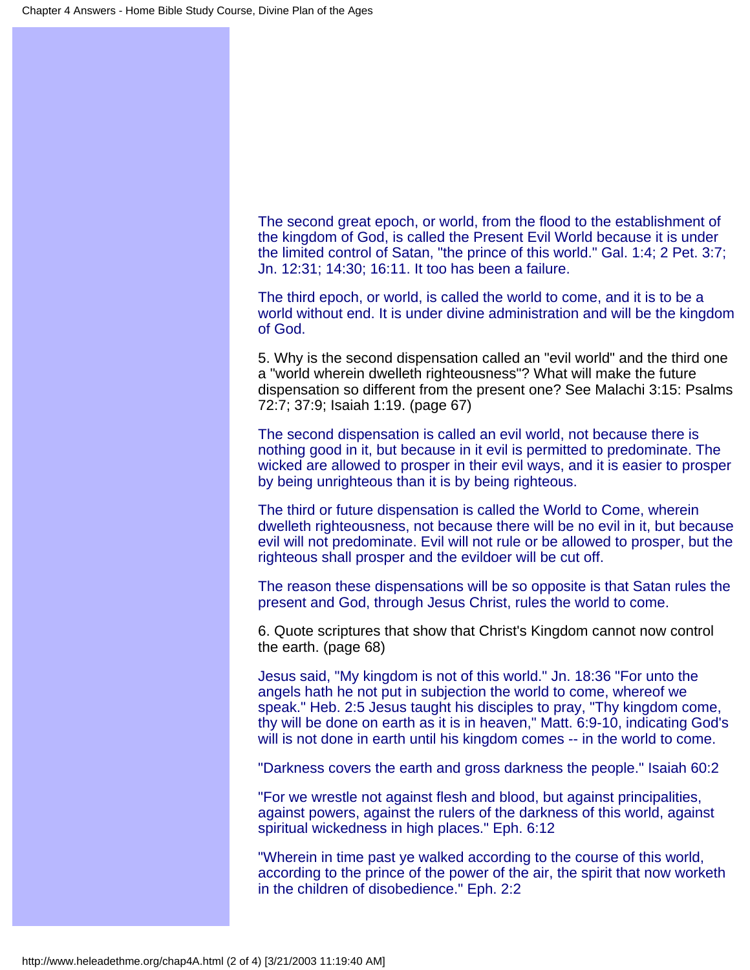The second great epoch, or world, from the flood to the establishment of the kingdom of God, is called the Present Evil World because it is under the limited control of Satan, "the prince of this world." Gal. 1:4; 2 Pet. 3:7; Jn. 12:31; 14:30; 16:11. It too has been a failure.

The third epoch, or world, is called the world to come, and it is to be a world without end. It is under divine administration and will be the kingdom of God.

5. Why is the second dispensation called an "evil world" and the third one a "world wherein dwelleth righteousness"? What will make the future dispensation so different from the present one? See Malachi 3:15: Psalms 72:7; 37:9; Isaiah 1:19. (page 67)

The second dispensation is called an evil world, not because there is nothing good in it, but because in it evil is permitted to predominate. The wicked are allowed to prosper in their evil ways, and it is easier to prosper by being unrighteous than it is by being righteous.

The third or future dispensation is called the World to Come, wherein dwelleth righteousness, not because there will be no evil in it, but because evil will not predominate. Evil will not rule or be allowed to prosper, but the righteous shall prosper and the evildoer will be cut off.

The reason these dispensations will be so opposite is that Satan rules the present and God, through Jesus Christ, rules the world to come.

6. Quote scriptures that show that Christ's Kingdom cannot now control the earth. (page 68)

Jesus said, "My kingdom is not of this world." Jn. 18:36 "For unto the angels hath he not put in subjection the world to come, whereof we speak." Heb. 2:5 Jesus taught his disciples to pray, "Thy kingdom come, thy will be done on earth as it is in heaven," Matt. 6:9-10, indicating God's will is not done in earth until his kingdom comes -- in the world to come.

"Darkness covers the earth and gross darkness the people." Isaiah 60:2

"For we wrestle not against flesh and blood, but against principalities, against powers, against the rulers of the darkness of this world, against spiritual wickedness in high places." Eph. 6:12

"Wherein in time past ye walked according to the course of this world, according to the prince of the power of the air, the spirit that now worketh in the children of disobedience." Eph. 2:2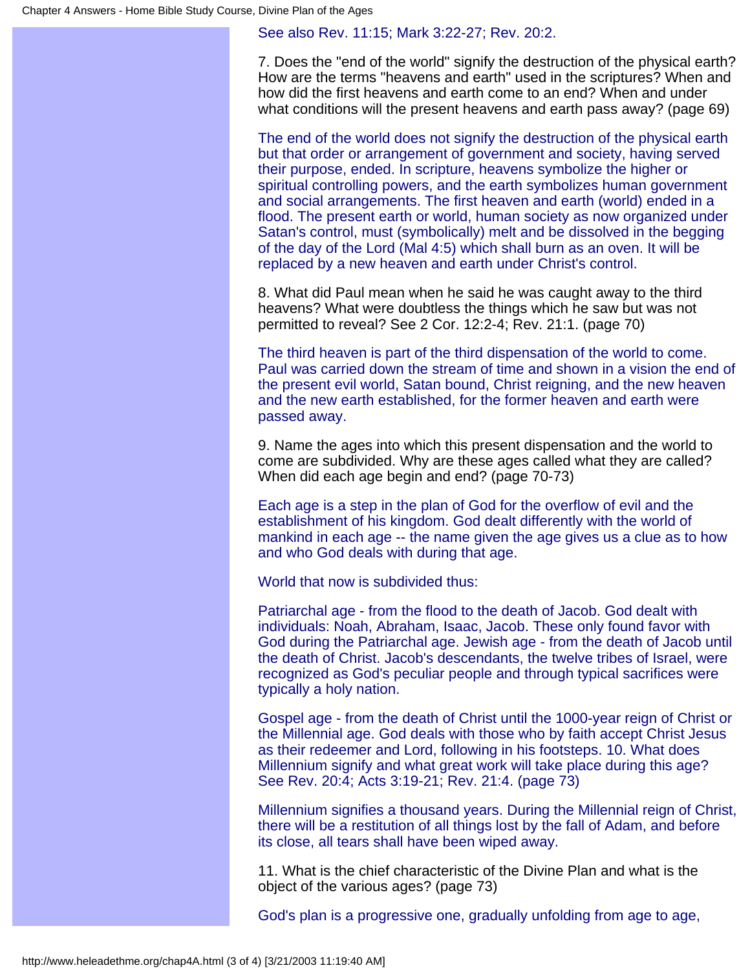See also Rev. 11:15; Mark 3:22-27; Rev. 20:2.

7. Does the "end of the world" signify the destruction of the physical earth? How are the terms "heavens and earth" used in the scriptures? When and how did the first heavens and earth come to an end? When and under what conditions will the present heavens and earth pass away? (page 69)

The end of the world does not signify the destruction of the physical earth but that order or arrangement of government and society, having served their purpose, ended. In scripture, heavens symbolize the higher or spiritual controlling powers, and the earth symbolizes human government and social arrangements. The first heaven and earth (world) ended in a flood. The present earth or world, human society as now organized under Satan's control, must (symbolically) melt and be dissolved in the begging of the day of the Lord (Mal 4:5) which shall burn as an oven. It will be replaced by a new heaven and earth under Christ's control.

8. What did Paul mean when he said he was caught away to the third heavens? What were doubtless the things which he saw but was not permitted to reveal? See 2 Cor. 12:2-4; Rev. 21:1. (page 70)

The third heaven is part of the third dispensation of the world to come. Paul was carried down the stream of time and shown in a vision the end of the present evil world, Satan bound, Christ reigning, and the new heaven and the new earth established, for the former heaven and earth were passed away.

9. Name the ages into which this present dispensation and the world to come are subdivided. Why are these ages called what they are called? When did each age begin and end? (page 70-73)

Each age is a step in the plan of God for the overflow of evil and the establishment of his kingdom. God dealt differently with the world of mankind in each age -- the name given the age gives us a clue as to how and who God deals with during that age.

World that now is subdivided thus:

Patriarchal age - from the flood to the death of Jacob. God dealt with individuals: Noah, Abraham, Isaac, Jacob. These only found favor with God during the Patriarchal age. Jewish age - from the death of Jacob until the death of Christ. Jacob's descendants, the twelve tribes of Israel, were recognized as God's peculiar people and through typical sacrifices were typically a holy nation.

Gospel age - from the death of Christ until the 1000-year reign of Christ or the Millennial age. God deals with those who by faith accept Christ Jesus as their redeemer and Lord, following in his footsteps. 10. What does Millennium signify and what great work will take place during this age? See Rev. 20:4; Acts 3:19-21; Rev. 21:4. (page 73)

Millennium signifies a thousand years. During the Millennial reign of Christ, there will be a restitution of all things lost by the fall of Adam, and before its close, all tears shall have been wiped away.

11. What is the chief characteristic of the Divine Plan and what is the object of the various ages? (page 73)

God's plan is a progressive one, gradually unfolding from age to age,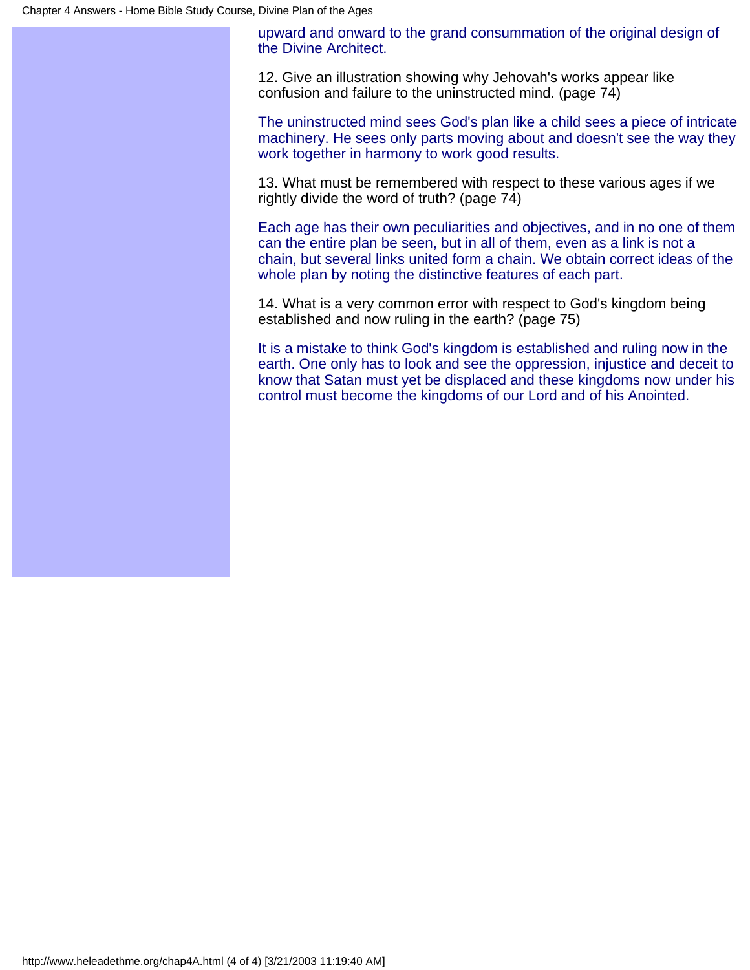upward and onward to the grand consummation of the original design of the Divine Architect.

12. Give an illustration showing why Jehovah's works appear like confusion and failure to the uninstructed mind. (page 74)

The uninstructed mind sees God's plan like a child sees a piece of intricate machinery. He sees only parts moving about and doesn't see the way they work together in harmony to work good results.

13. What must be remembered with respect to these various ages if we rightly divide the word of truth? (page 74)

Each age has their own peculiarities and objectives, and in no one of them can the entire plan be seen, but in all of them, even as a link is not a chain, but several links united form a chain. We obtain correct ideas of the whole plan by noting the distinctive features of each part.

14. What is a very common error with respect to God's kingdom being established and now ruling in the earth? (page 75)

It is a mistake to think God's kingdom is established and ruling now in the earth. One only has to look and see the oppression, injustice and deceit to know that Satan must yet be displaced and these kingdoms now under his control must become the kingdoms of our Lord and of his Anointed.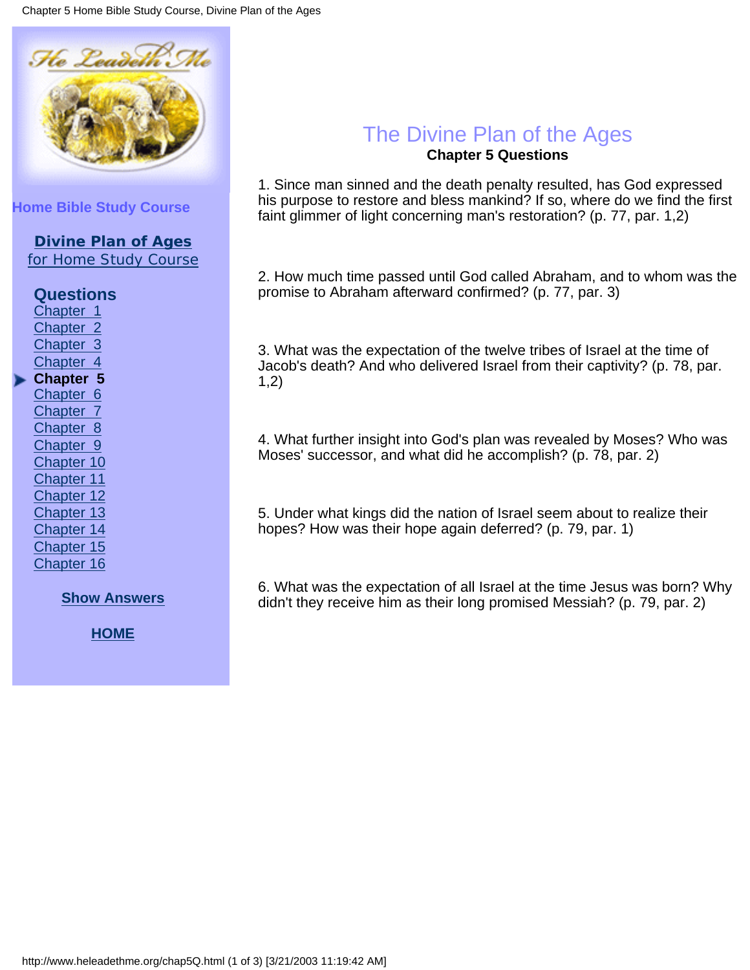<span id="page-25-0"></span>

**[Divine Plan of Ages](#page-7-0)** [for Home Study Course](#page-7-0)

#### **Questions**

[Chapter 1](#page-1-0) [Chapter 2](#page-9-0) [Chapter 3](#page-13-0) [Chapter 4](#page-19-0) **Chapter 5** [Chapter 6](#page-32-0) [Chapter 7](#page-42-0) [Chapter 8](#page-42-0) [Chapter 9](#page-54-0) [Chapter 10](#page-60-0) [Chapter 11](#page-66-0) [Chapter 12](#page-72-0) [Chapter 13](#page-74-0) [Chapter 14](#page-83-0) [Chapter 15](#page-94-0) [Chapter 16](#page-105-0)

### **[Show Answers](#page-28-0)**

**[HOME](http://www.heleadethme.org/index.html)**

# The Divine Plan of the Ages

**Chapter 5 Questions**

1. Since man sinned and the death penalty resulted, has God expressed his purpose to restore and bless mankind? If so, where do we find the first faint glimmer of light concerning man's restoration? (p. 77, par. 1,2)

2. How much time passed until God called Abraham, and to whom was the promise to Abraham afterward confirmed? (p. 77, par. 3)

3. What was the expectation of the twelve tribes of Israel at the time of Jacob's death? And who delivered Israel from their captivity? (p. 78, par. 1,2)

4. What further insight into God's plan was revealed by Moses? Who was Moses' successor, and what did he accomplish? (p. 78, par. 2)

5. Under what kings did the nation of Israel seem about to realize their hopes? How was their hope again deferred? (p. 79, par. 1)

6. What was the expectation of all Israel at the time Jesus was born? Why didn't they receive him as their long promised Messiah? (p. 79, par. 2)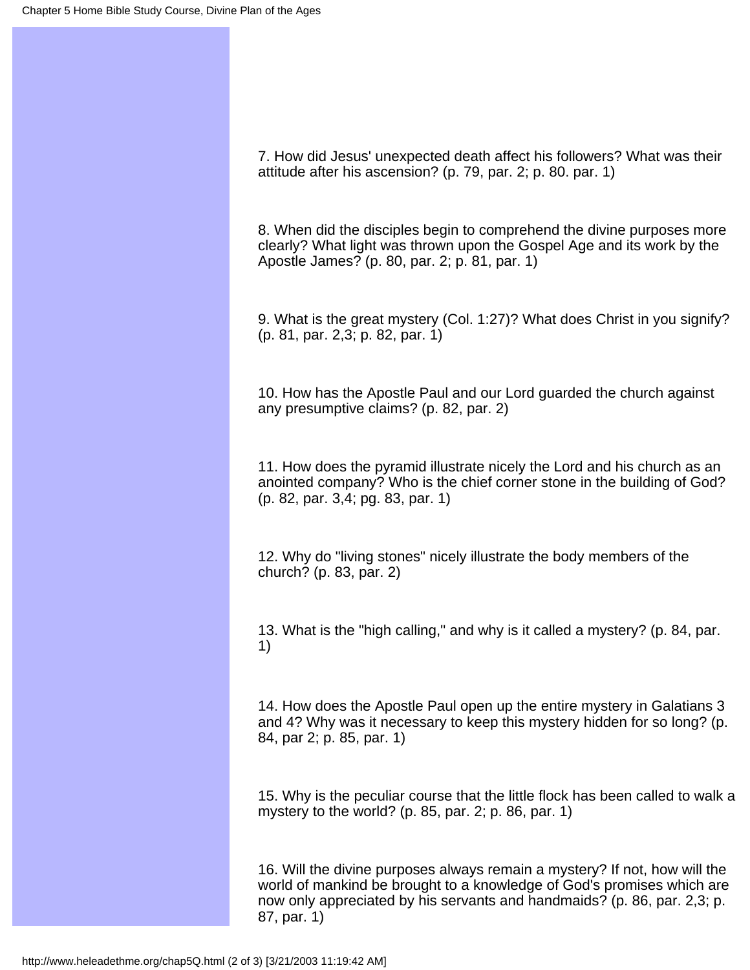7. How did Jesus' unexpected death affect his followers? What was their attitude after his ascension? (p. 79, par. 2; p. 80. par. 1)

8. When did the disciples begin to comprehend the divine purposes more clearly? What light was thrown upon the Gospel Age and its work by the Apostle James? (p. 80, par. 2; p. 81, par. 1)

9. What is the great mystery (Col. 1:27)? What does Christ in you signify? (p. 81, par. 2,3; p. 82, par. 1)

10. How has the Apostle Paul and our Lord guarded the church against any presumptive claims? (p. 82, par. 2)

11. How does the pyramid illustrate nicely the Lord and his church as an anointed company? Who is the chief corner stone in the building of God? (p. 82, par. 3,4; pg. 83, par. 1)

12. Why do "living stones" nicely illustrate the body members of the church? (p. 83, par. 2)

13. What is the "high calling," and why is it called a mystery? (p. 84, par. 1)

14. How does the Apostle Paul open up the entire mystery in Galatians 3 and 4? Why was it necessary to keep this mystery hidden for so long? (p. 84, par 2; p. 85, par. 1)

15. Why is the peculiar course that the little flock has been called to walk a mystery to the world? (p. 85, par. 2; p. 86, par. 1)

16. Will the divine purposes always remain a mystery? If not, how will the world of mankind be brought to a knowledge of God's promises which are now only appreciated by his servants and handmaids? (p. 86, par. 2,3; p. 87, par. 1)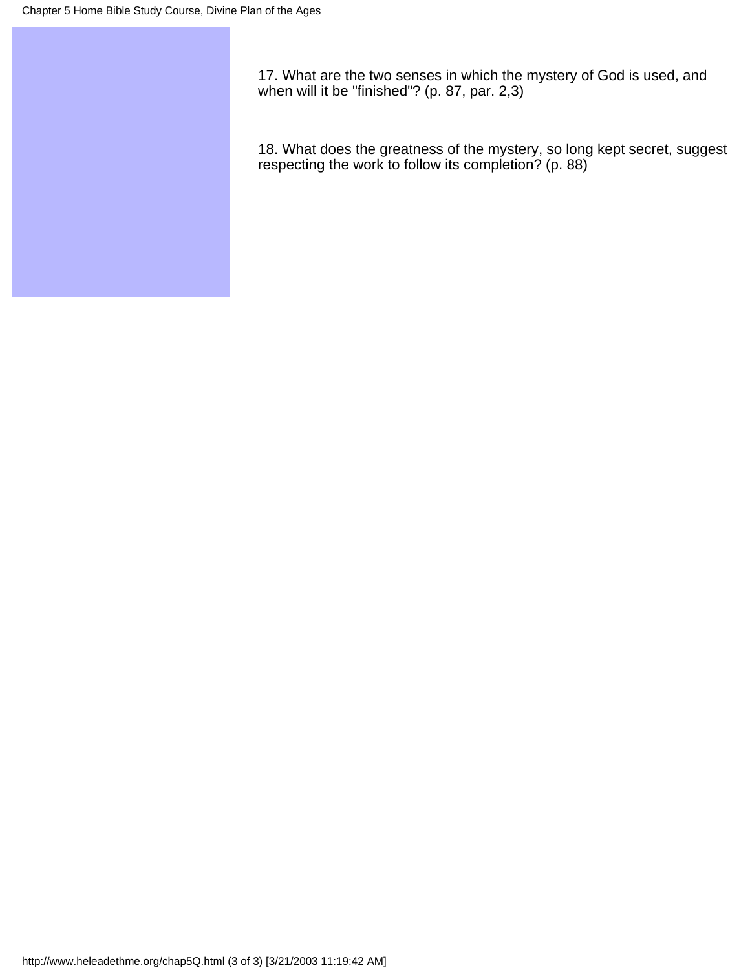17. What are the two senses in which the mystery of God is used, and when will it be "finished"? (p. 87, par. 2,3)

18. What does the greatness of the mystery, so long kept secret, suggest respecting the work to follow its completion? (p. 88)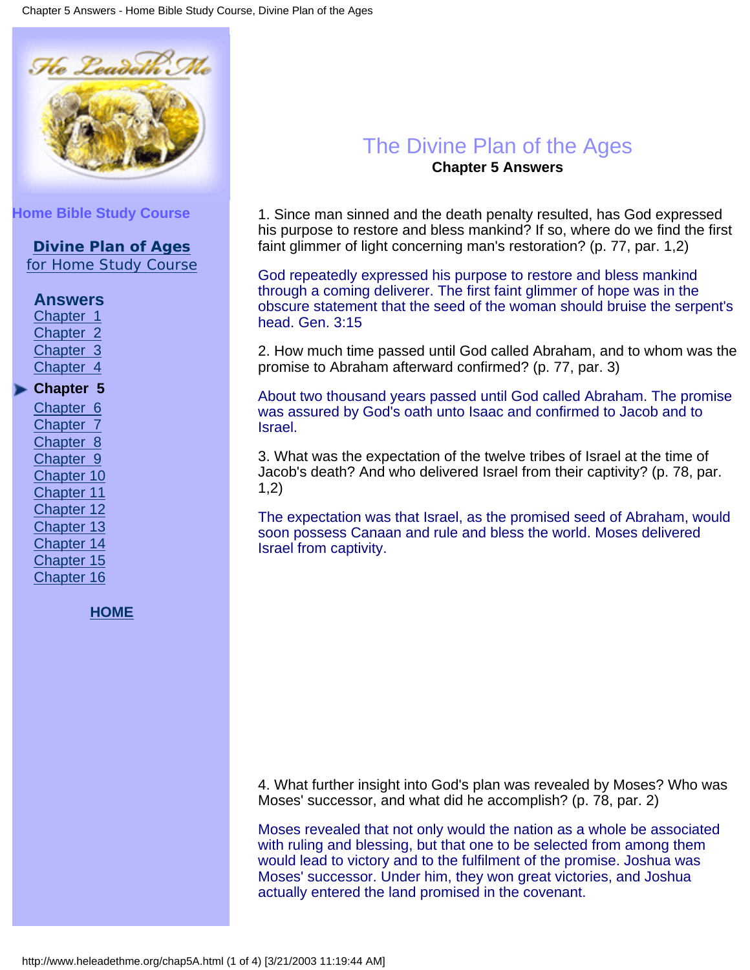<span id="page-28-0"></span>

**[Divine Plan of Ages](#page-7-0)** [for Home Study Course](#page-7-0)

#### **Answers**

[Chapter 1](#page-1-0) [Chapter 2](#page-9-0) [Chapter 3](#page-13-0) [Chapter 4](#page-19-0)

### **Chapter 5**

[Chapter 6](#page-32-0) [Chapter 7](#page-42-0) [Chapter 8](#page-48-0) [Chapter 9](#page-54-0) [Chapter 10](#page-60-0) [Chapter 11](#page-66-0) [Chapter 12](#page-72-0) [Chapter 13](#page-74-0) [Chapter 14](#page-83-0) [Chapter 15](#page-94-0) [Chapter 16](#page-105-0)

### **[HOME](http://www.heleadethme.org/index.html)**

### The Divine Plan of the Ages **Chapter 5 Answers**

1. Since man sinned and the death penalty resulted, has God expressed his purpose to restore and bless mankind? If so, where do we find the first faint glimmer of light concerning man's restoration? (p. 77, par. 1,2)

God repeatedly expressed his purpose to restore and bless mankind through a coming deliverer. The first faint glimmer of hope was in the obscure statement that the seed of the woman should bruise the serpent's head. Gen. 3:15

2. How much time passed until God called Abraham, and to whom was the promise to Abraham afterward confirmed? (p. 77, par. 3)

About two thousand years passed until God called Abraham. The promise was assured by God's oath unto Isaac and confirmed to Jacob and to Israel.

3. What was the expectation of the twelve tribes of Israel at the time of Jacob's death? And who delivered Israel from their captivity? (p. 78, par. 1,2)

The expectation was that Israel, as the promised seed of Abraham, would soon possess Canaan and rule and bless the world. Moses delivered Israel from captivity.

4. What further insight into God's plan was revealed by Moses? Who was Moses' successor, and what did he accomplish? (p. 78, par. 2)

Moses revealed that not only would the nation as a whole be associated with ruling and blessing, but that one to be selected from among them would lead to victory and to the fulfilment of the promise. Joshua was Moses' successor. Under him, they won great victories, and Joshua actually entered the land promised in the covenant.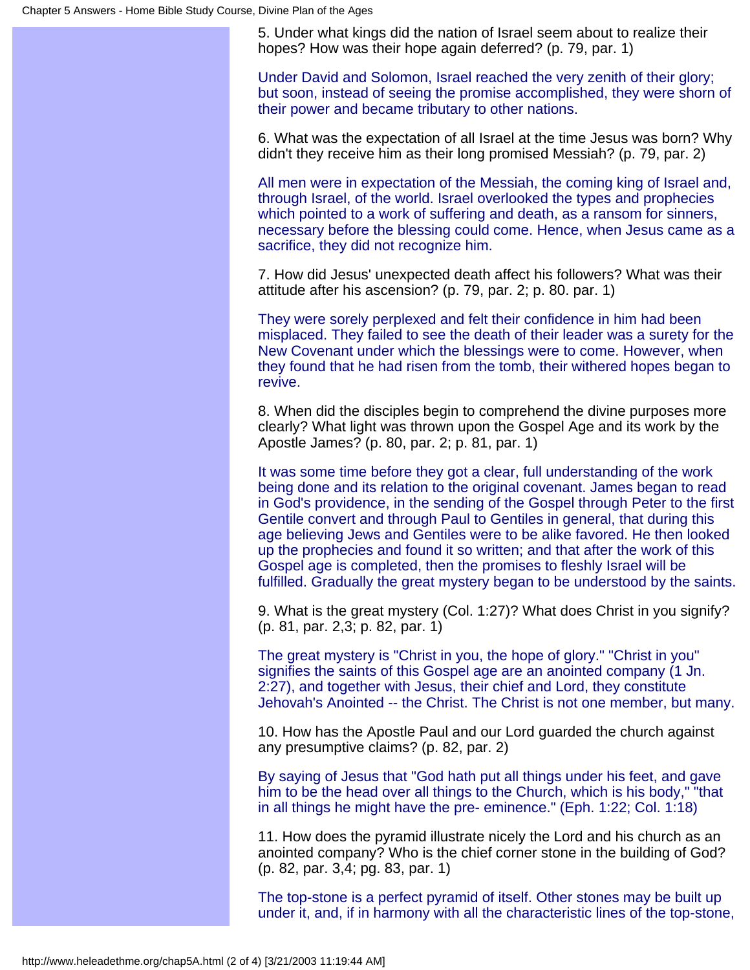5. Under what kings did the nation of Israel seem about to realize their hopes? How was their hope again deferred? (p. 79, par. 1)

Under David and Solomon, Israel reached the very zenith of their glory; but soon, instead of seeing the promise accomplished, they were shorn of their power and became tributary to other nations.

6. What was the expectation of all Israel at the time Jesus was born? Why didn't they receive him as their long promised Messiah? (p. 79, par. 2)

All men were in expectation of the Messiah, the coming king of Israel and, through Israel, of the world. Israel overlooked the types and prophecies which pointed to a work of suffering and death, as a ransom for sinners, necessary before the blessing could come. Hence, when Jesus came as a sacrifice, they did not recognize him.

7. How did Jesus' unexpected death affect his followers? What was their attitude after his ascension? (p. 79, par. 2; p. 80. par. 1)

They were sorely perplexed and felt their confidence in him had been misplaced. They failed to see the death of their leader was a surety for the New Covenant under which the blessings were to come. However, when they found that he had risen from the tomb, their withered hopes began to revive.

8. When did the disciples begin to comprehend the divine purposes more clearly? What light was thrown upon the Gospel Age and its work by the Apostle James? (p. 80, par. 2; p. 81, par. 1)

It was some time before they got a clear, full understanding of the work being done and its relation to the original covenant. James began to read in God's providence, in the sending of the Gospel through Peter to the first Gentile convert and through Paul to Gentiles in general, that during this age believing Jews and Gentiles were to be alike favored. He then looked up the prophecies and found it so written; and that after the work of this Gospel age is completed, then the promises to fleshly Israel will be fulfilled. Gradually the great mystery began to be understood by the saints.

9. What is the great mystery (Col. 1:27)? What does Christ in you signify? (p. 81, par. 2,3; p. 82, par. 1)

The great mystery is "Christ in you, the hope of glory." "Christ in you" signifies the saints of this Gospel age are an anointed company (1 Jn. 2:27), and together with Jesus, their chief and Lord, they constitute Jehovah's Anointed -- the Christ. The Christ is not one member, but many.

10. How has the Apostle Paul and our Lord guarded the church against any presumptive claims? (p. 82, par. 2)

By saying of Jesus that "God hath put all things under his feet, and gave him to be the head over all things to the Church, which is his body," "that in all things he might have the pre- eminence." (Eph. 1:22; Col. 1:18)

11. How does the pyramid illustrate nicely the Lord and his church as an anointed company? Who is the chief corner stone in the building of God? (p. 82, par. 3,4; pg. 83, par. 1)

The top-stone is a perfect pyramid of itself. Other stones may be built up under it, and, if in harmony with all the characteristic lines of the top-stone,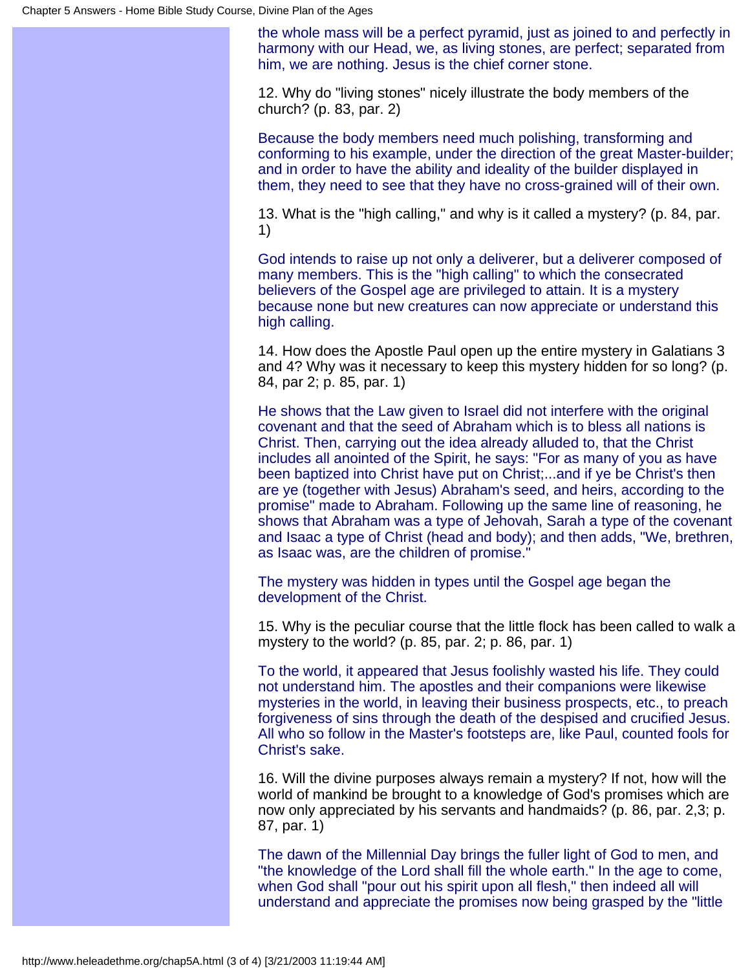the whole mass will be a perfect pyramid, just as joined to and perfectly in harmony with our Head, we, as living stones, are perfect; separated from him, we are nothing. Jesus is the chief corner stone.

12. Why do "living stones" nicely illustrate the body members of the church? (p. 83, par. 2)

Because the body members need much polishing, transforming and conforming to his example, under the direction of the great Master-builder; and in order to have the ability and ideality of the builder displayed in them, they need to see that they have no cross-grained will of their own.

13. What is the "high calling," and why is it called a mystery? (p. 84, par. 1)

God intends to raise up not only a deliverer, but a deliverer composed of many members. This is the "high calling" to which the consecrated believers of the Gospel age are privileged to attain. It is a mystery because none but new creatures can now appreciate or understand this high calling.

14. How does the Apostle Paul open up the entire mystery in Galatians 3 and 4? Why was it necessary to keep this mystery hidden for so long? (p. 84, par 2; p. 85, par. 1)

He shows that the Law given to Israel did not interfere with the original covenant and that the seed of Abraham which is to bless all nations is Christ. Then, carrying out the idea already alluded to, that the Christ includes all anointed of the Spirit, he says: "For as many of you as have been baptized into Christ have put on Christ;...and if ye be Christ's then are ye (together with Jesus) Abraham's seed, and heirs, according to the promise" made to Abraham. Following up the same line of reasoning, he shows that Abraham was a type of Jehovah, Sarah a type of the covenant and Isaac a type of Christ (head and body); and then adds, "We, brethren, as Isaac was, are the children of promise."

The mystery was hidden in types until the Gospel age began the development of the Christ.

15. Why is the peculiar course that the little flock has been called to walk a mystery to the world? (p. 85, par. 2; p. 86, par. 1)

To the world, it appeared that Jesus foolishly wasted his life. They could not understand him. The apostles and their companions were likewise mysteries in the world, in leaving their business prospects, etc., to preach forgiveness of sins through the death of the despised and crucified Jesus. All who so follow in the Master's footsteps are, like Paul, counted fools for Christ's sake.

16. Will the divine purposes always remain a mystery? If not, how will the world of mankind be brought to a knowledge of God's promises which are now only appreciated by his servants and handmaids? (p. 86, par. 2,3; p. 87, par. 1)

The dawn of the Millennial Day brings the fuller light of God to men, and "the knowledge of the Lord shall fill the whole earth." In the age to come, when God shall "pour out his spirit upon all flesh," then indeed all will understand and appreciate the promises now being grasped by the "little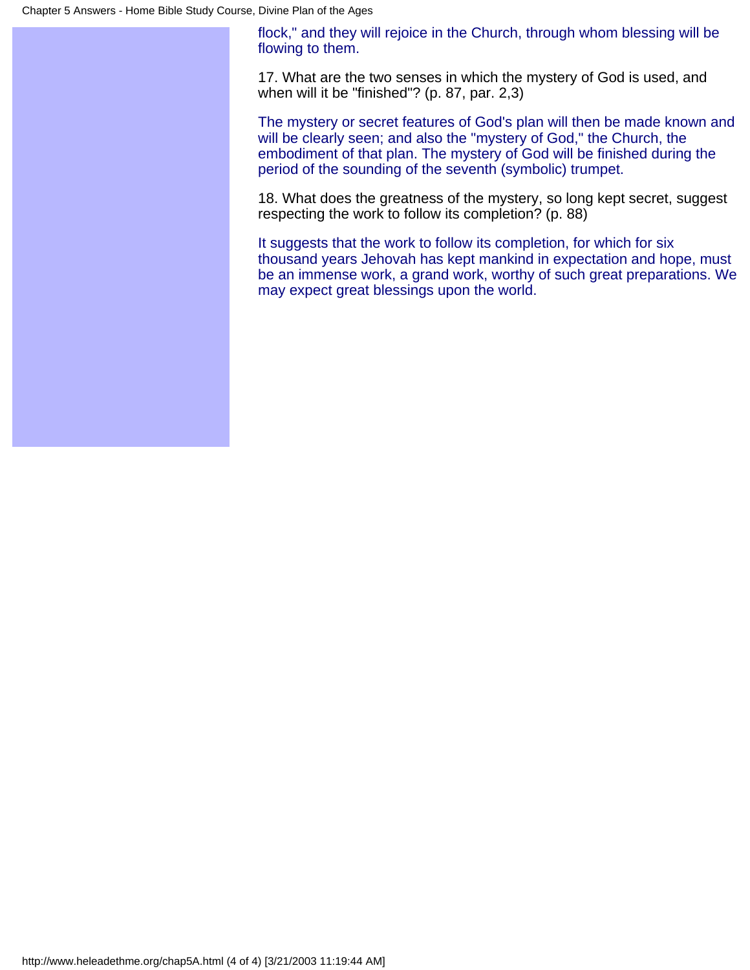flock," and they will rejoice in the Church, through whom blessing will be flowing to them.

17. What are the two senses in which the mystery of God is used, and when will it be "finished"? (p. 87, par. 2,3)

The mystery or secret features of God's plan will then be made known and will be clearly seen; and also the "mystery of God," the Church, the embodiment of that plan. The mystery of God will be finished during the period of the sounding of the seventh (symbolic) trumpet.

18. What does the greatness of the mystery, so long kept secret, suggest respecting the work to follow its completion? (p. 88)

It suggests that the work to follow its completion, for which for six thousand years Jehovah has kept mankind in expectation and hope, must be an immense work, a grand work, worthy of such great preparations. We may expect great blessings upon the world.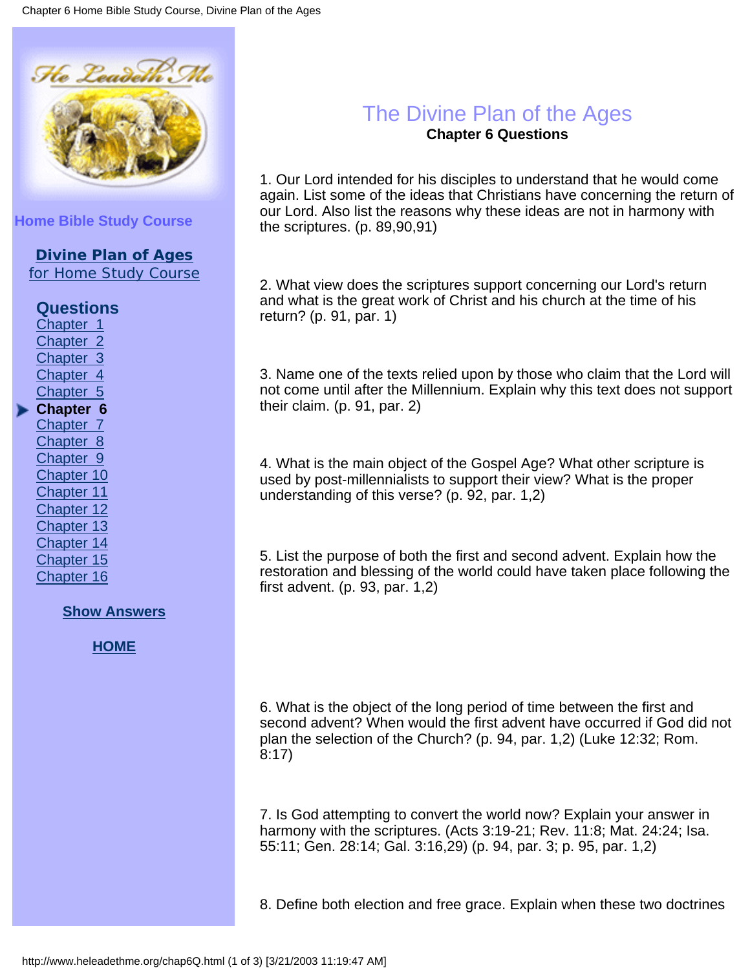<span id="page-32-0"></span>

# The Divine Plan of the Ages

**Chapter 6 Questions**

1. Our Lord intended for his disciples to understand that he would come again. List some of the ideas that Christians have concerning the return of our Lord. Also list the reasons why these ideas are not in harmony with the scriptures. (p. 89,90,91)

2. What view does the scriptures support concerning our Lord's return and what is the great work of Christ and his church at the time of his return? (p. 91, par. 1)

3. Name one of the texts relied upon by those who claim that the Lord will not come until after the Millennium. Explain why this text does not support their claim. (p. 91, par. 2)

4. What is the main object of the Gospel Age? What other scripture is used by post-millennialists to support their view? What is the proper understanding of this verse? (p. 92, par. 1,2)

5. List the purpose of both the first and second advent. Explain how the restoration and blessing of the world could have taken place following the first advent. (p. 93, par. 1,2)

6. What is the object of the long period of time between the first and second advent? When would the first advent have occurred if God did not plan the selection of the Church? (p. 94, par. 1,2) (Luke 12:32; Rom. 8:17)

7. Is God attempting to convert the world now? Explain your answer in harmony with the scriptures. (Acts 3:19-21; Rev. 11:8; Mat. 24:24; Isa. 55:11; Gen. 28:14; Gal. 3:16,29) (p. 94, par. 3; p. 95, par. 1,2)

8. Define both election and free grace. Explain when these two doctrines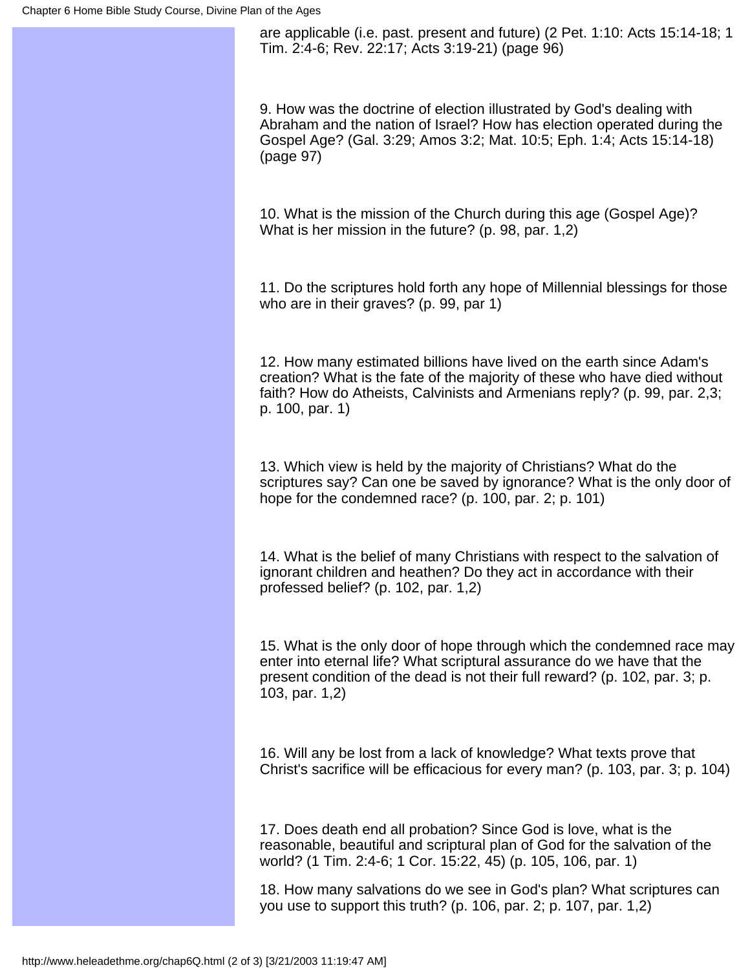are applicable (i.e. past. present and future) (2 Pet. 1:10: Acts 15:14-18; 1 Tim. 2:4-6; Rev. 22:17; Acts 3:19-21) (page 96)

9. How was the doctrine of election illustrated by God's dealing with Abraham and the nation of Israel? How has election operated during the Gospel Age? (Gal. 3:29; Amos 3:2; Mat. 10:5; Eph. 1:4; Acts 15:14-18) (page 97)

10. What is the mission of the Church during this age (Gospel Age)? What is her mission in the future? (p. 98, par. 1,2)

11. Do the scriptures hold forth any hope of Millennial blessings for those who are in their graves? (p. 99, par 1)

12. How many estimated billions have lived on the earth since Adam's creation? What is the fate of the majority of these who have died without faith? How do Atheists, Calvinists and Armenians reply? (p. 99, par. 2,3; p. 100, par. 1)

13. Which view is held by the majority of Christians? What do the scriptures say? Can one be saved by ignorance? What is the only door of hope for the condemned race? (p. 100, par. 2; p. 101)

14. What is the belief of many Christians with respect to the salvation of ignorant children and heathen? Do they act in accordance with their professed belief? (p. 102, par. 1,2)

15. What is the only door of hope through which the condemned race may enter into eternal life? What scriptural assurance do we have that the present condition of the dead is not their full reward? (p. 102, par. 3; p. 103, par. 1,2)

16. Will any be lost from a lack of knowledge? What texts prove that Christ's sacrifice will be efficacious for every man? (p. 103, par. 3; p. 104)

17. Does death end all probation? Since God is love, what is the reasonable, beautiful and scriptural plan of God for the salvation of the world? (1 Tim. 2:4-6; 1 Cor. 15:22, 45) (p. 105, 106, par. 1)

18. How many salvations do we see in God's plan? What scriptures can you use to support this truth? (p. 106, par. 2; p. 107, par. 1,2)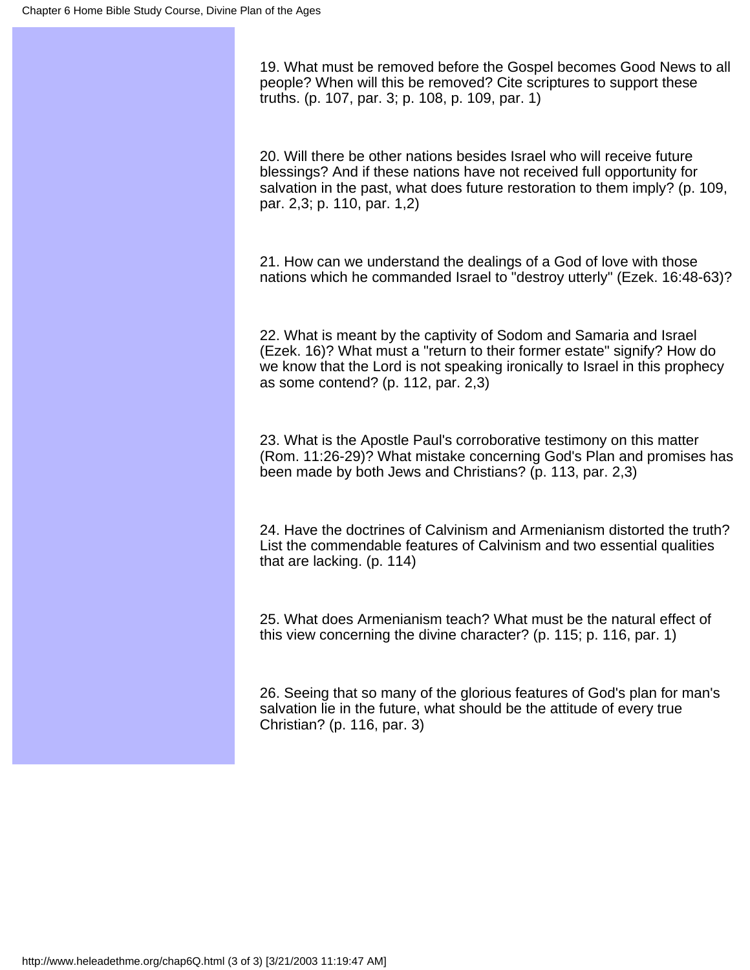19. What must be removed before the Gospel becomes Good News to all people? When will this be removed? Cite scriptures to support these truths. (p. 107, par. 3; p. 108, p. 109, par. 1)

20. Will there be other nations besides Israel who will receive future blessings? And if these nations have not received full opportunity for salvation in the past, what does future restoration to them imply? (p. 109, par. 2,3; p. 110, par. 1,2)

21. How can we understand the dealings of a God of love with those nations which he commanded Israel to "destroy utterly" (Ezek. 16:48-63)?

22. What is meant by the captivity of Sodom and Samaria and Israel (Ezek. 16)? What must a "return to their former estate" signify? How do we know that the Lord is not speaking ironically to Israel in this prophecy as some contend? (p. 112, par. 2,3)

23. What is the Apostle Paul's corroborative testimony on this matter (Rom. 11:26-29)? What mistake concerning God's Plan and promises has been made by both Jews and Christians? (p. 113, par. 2,3)

24. Have the doctrines of Calvinism and Armenianism distorted the truth? List the commendable features of Calvinism and two essential qualities that are lacking. (p. 114)

25. What does Armenianism teach? What must be the natural effect of this view concerning the divine character? (p. 115; p. 116, par. 1)

26. Seeing that so many of the glorious features of God's plan for man's salvation lie in the future, what should be the attitude of every true Christian? (p. 116, par. 3)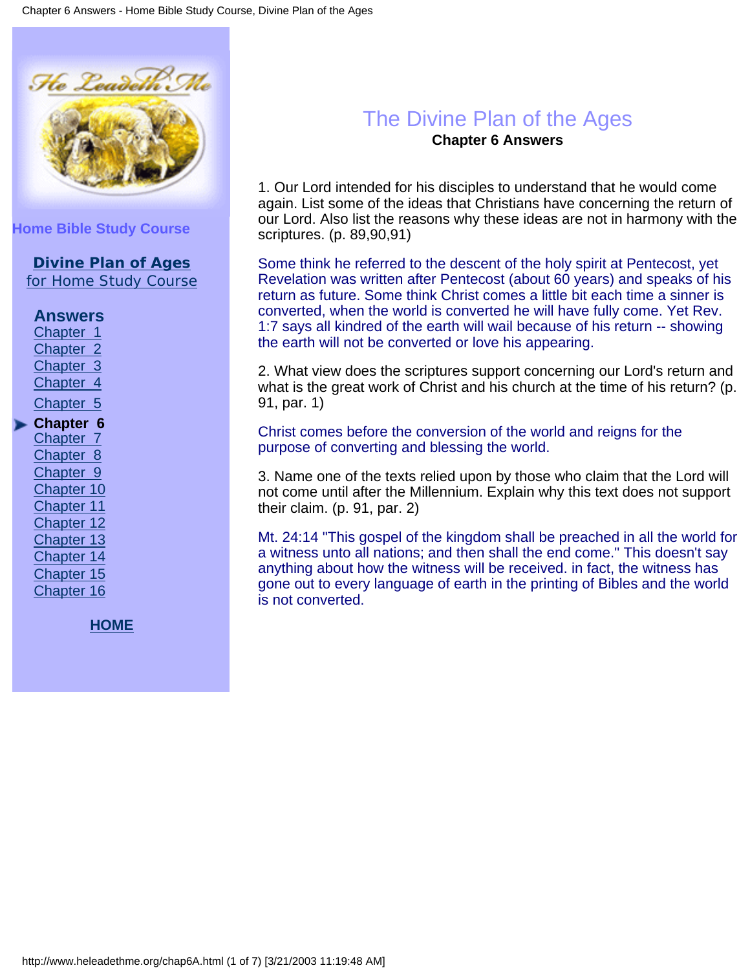<span id="page-35-0"></span>

## The Divine Plan of the Ages

**Chapter 6 Answers**

1. Our Lord intended for his disciples to understand that he would come again. List some of the ideas that Christians have concerning the return of our Lord. Also list the reasons why these ideas are not in harmony with the scriptures. (p. 89,90,91)

Some think he referred to the descent of the holy spirit at Pentecost, yet Revelation was written after Pentecost (about 60 years) and speaks of his return as future. Some think Christ comes a little bit each time a sinner is converted, when the world is converted he will have fully come. Yet Rev. 1:7 says all kindred of the earth will wail because of his return -- showing the earth will not be converted or love his appearing.

2. What view does the scriptures support concerning our Lord's return and what is the great work of Christ and his church at the time of his return? (p. 91, par. 1)

Christ comes before the conversion of the world and reigns for the purpose of converting and blessing the world.

3. Name one of the texts relied upon by those who claim that the Lord will not come until after the Millennium. Explain why this text does not support their claim. (p. 91, par. 2)

Mt. 24:14 "This gospel of the kingdom shall be preached in all the world for a witness unto all nations; and then shall the end come." This doesn't say anything about how the witness will be received. in fact, the witness has gone out to every language of earth in the printing of Bibles and the world is not converted.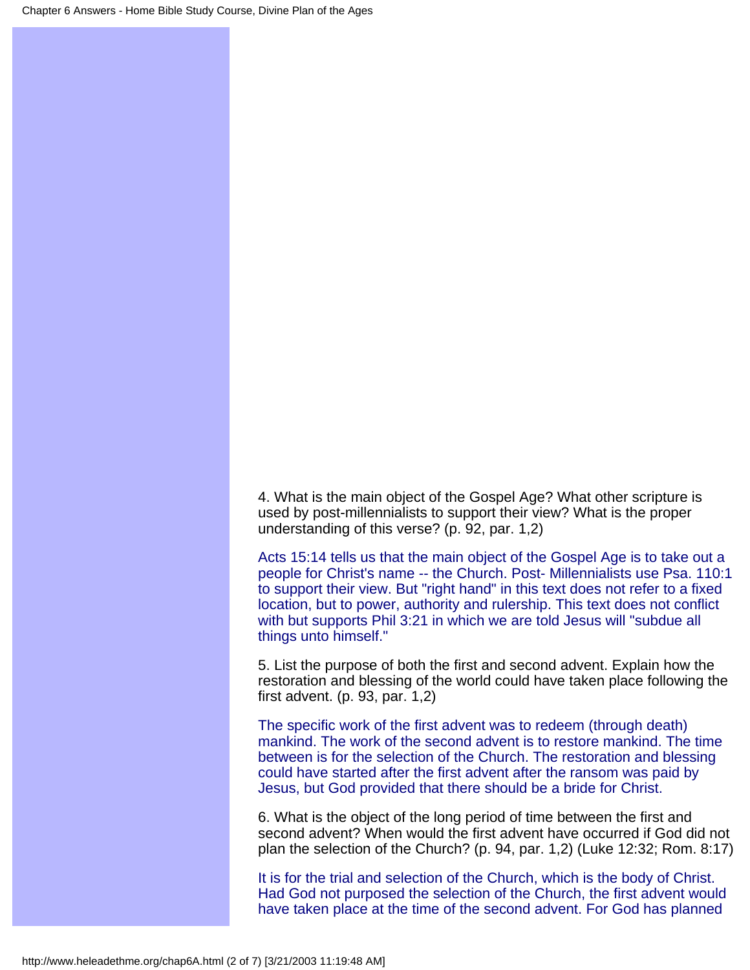4. What is the main object of the Gospel Age? What other scripture is used by post-millennialists to support their view? What is the proper understanding of this verse? (p. 92, par. 1,2)

Acts 15:14 tells us that the main object of the Gospel Age is to take out a people for Christ's name -- the Church. Post- Millennialists use Psa. 110:1 to support their view. But "right hand" in this text does not refer to a fixed location, but to power, authority and rulership. This text does not conflict with but supports Phil 3:21 in which we are told Jesus will "subdue all things unto himself."

5. List the purpose of both the first and second advent. Explain how the restoration and blessing of the world could have taken place following the first advent. (p. 93, par. 1,2)

The specific work of the first advent was to redeem (through death) mankind. The work of the second advent is to restore mankind. The time between is for the selection of the Church. The restoration and blessing could have started after the first advent after the ransom was paid by Jesus, but God provided that there should be a bride for Christ.

6. What is the object of the long period of time between the first and second advent? When would the first advent have occurred if God did not plan the selection of the Church? (p. 94, par. 1,2) (Luke 12:32; Rom. 8:17)

It is for the trial and selection of the Church, which is the body of Christ. Had God not purposed the selection of the Church, the first advent would have taken place at the time of the second advent. For God has planned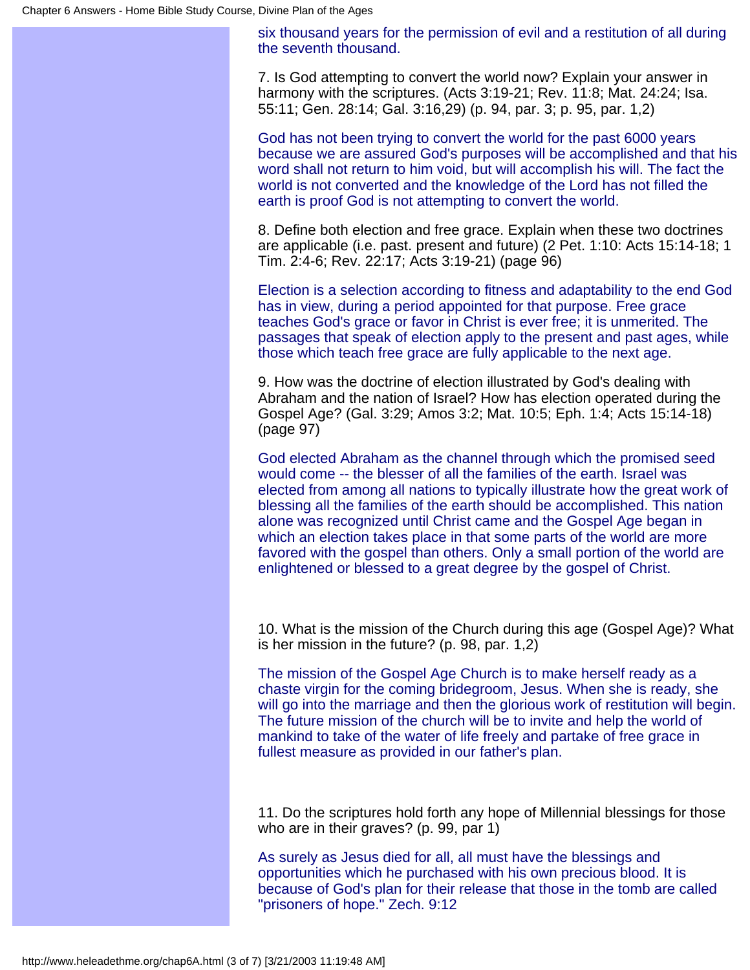six thousand years for the permission of evil and a restitution of all during the seventh thousand.

7. Is God attempting to convert the world now? Explain your answer in harmony with the scriptures. (Acts 3:19-21; Rev. 11:8; Mat. 24:24; Isa. 55:11; Gen. 28:14; Gal. 3:16,29) (p. 94, par. 3; p. 95, par. 1,2)

God has not been trying to convert the world for the past 6000 years because we are assured God's purposes will be accomplished and that his word shall not return to him void, but will accomplish his will. The fact the world is not converted and the knowledge of the Lord has not filled the earth is proof God is not attempting to convert the world.

8. Define both election and free grace. Explain when these two doctrines are applicable (i.e. past. present and future) (2 Pet. 1:10: Acts 15:14-18; 1 Tim. 2:4-6; Rev. 22:17; Acts 3:19-21) (page 96)

Election is a selection according to fitness and adaptability to the end God has in view, during a period appointed for that purpose. Free grace teaches God's grace or favor in Christ is ever free; it is unmerited. The passages that speak of election apply to the present and past ages, while those which teach free grace are fully applicable to the next age.

9. How was the doctrine of election illustrated by God's dealing with Abraham and the nation of Israel? How has election operated during the Gospel Age? (Gal. 3:29; Amos 3:2; Mat. 10:5; Eph. 1:4; Acts 15:14-18) (page 97)

God elected Abraham as the channel through which the promised seed would come -- the blesser of all the families of the earth. Israel was elected from among all nations to typically illustrate how the great work of blessing all the families of the earth should be accomplished. This nation alone was recognized until Christ came and the Gospel Age began in which an election takes place in that some parts of the world are more favored with the gospel than others. Only a small portion of the world are enlightened or blessed to a great degree by the gospel of Christ.

10. What is the mission of the Church during this age (Gospel Age)? What is her mission in the future? (p. 98, par. 1,2)

The mission of the Gospel Age Church is to make herself ready as a chaste virgin for the coming bridegroom, Jesus. When she is ready, she will go into the marriage and then the glorious work of restitution will begin. The future mission of the church will be to invite and help the world of mankind to take of the water of life freely and partake of free grace in fullest measure as provided in our father's plan.

11. Do the scriptures hold forth any hope of Millennial blessings for those who are in their graves? (p. 99, par 1)

As surely as Jesus died for all, all must have the blessings and opportunities which he purchased with his own precious blood. It is because of God's plan for their release that those in the tomb are called "prisoners of hope." Zech. 9:12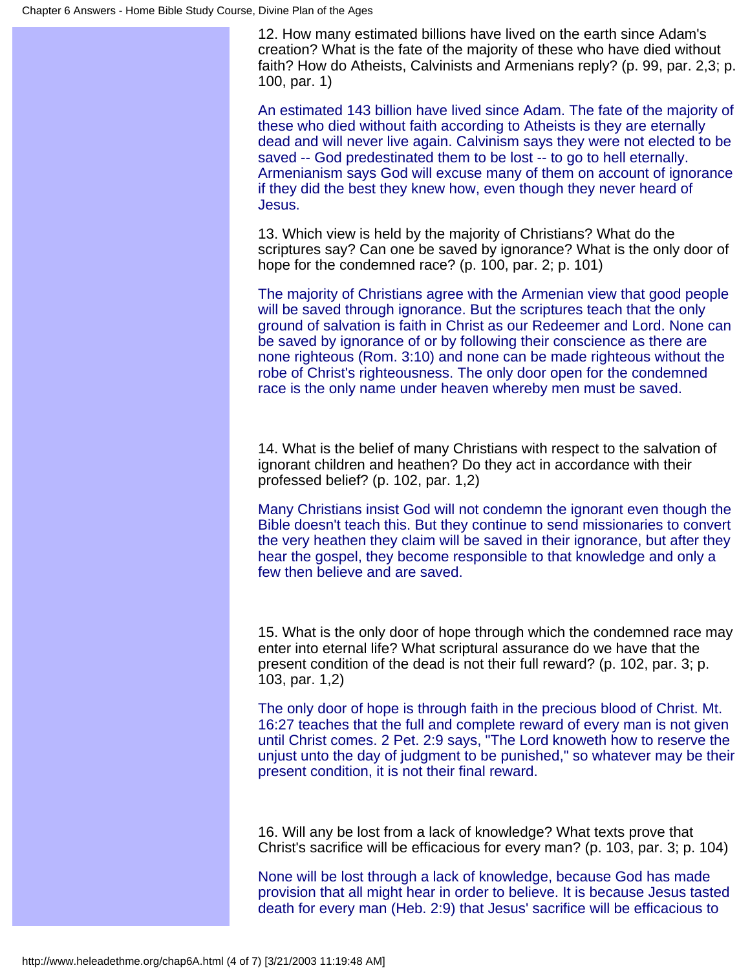12. How many estimated billions have lived on the earth since Adam's creation? What is the fate of the majority of these who have died without faith? How do Atheists, Calvinists and Armenians reply? (p. 99, par. 2,3; p. 100, par. 1)

An estimated 143 billion have lived since Adam. The fate of the majority of these who died without faith according to Atheists is they are eternally dead and will never live again. Calvinism says they were not elected to be saved -- God predestinated them to be lost -- to go to hell eternally. Armenianism says God will excuse many of them on account of ignorance if they did the best they knew how, even though they never heard of Jesus.

13. Which view is held by the majority of Christians? What do the scriptures say? Can one be saved by ignorance? What is the only door of hope for the condemned race? (p. 100, par. 2; p. 101)

The majority of Christians agree with the Armenian view that good people will be saved through ignorance. But the scriptures teach that the only ground of salvation is faith in Christ as our Redeemer and Lord. None can be saved by ignorance of or by following their conscience as there are none righteous (Rom. 3:10) and none can be made righteous without the robe of Christ's righteousness. The only door open for the condemned race is the only name under heaven whereby men must be saved.

14. What is the belief of many Christians with respect to the salvation of ignorant children and heathen? Do they act in accordance with their professed belief? (p. 102, par. 1,2)

Many Christians insist God will not condemn the ignorant even though the Bible doesn't teach this. But they continue to send missionaries to convert the very heathen they claim will be saved in their ignorance, but after they hear the gospel, they become responsible to that knowledge and only a few then believe and are saved.

15. What is the only door of hope through which the condemned race may enter into eternal life? What scriptural assurance do we have that the present condition of the dead is not their full reward? (p. 102, par. 3; p. 103, par. 1,2)

The only door of hope is through faith in the precious blood of Christ. Mt. 16:27 teaches that the full and complete reward of every man is not given until Christ comes. 2 Pet. 2:9 says, "The Lord knoweth how to reserve the unjust unto the day of judgment to be punished," so whatever may be their present condition, it is not their final reward.

16. Will any be lost from a lack of knowledge? What texts prove that Christ's sacrifice will be efficacious for every man? (p. 103, par. 3; p. 104)

None will be lost through a lack of knowledge, because God has made provision that all might hear in order to believe. It is because Jesus tasted death for every man (Heb. 2:9) that Jesus' sacrifice will be efficacious to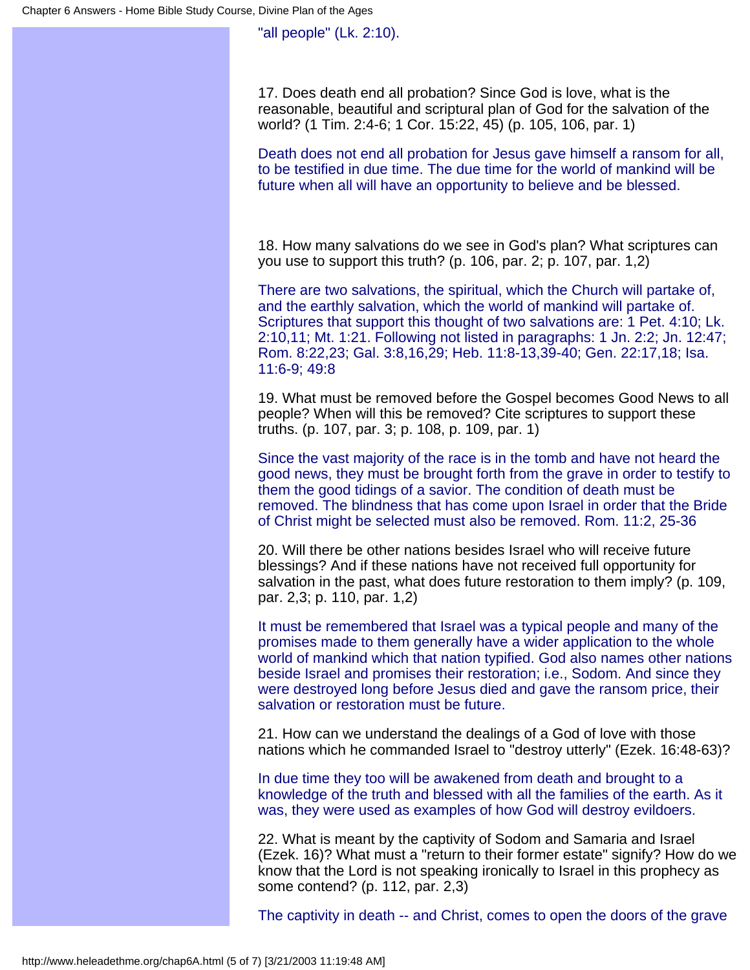"all people" (Lk. 2:10).

17. Does death end all probation? Since God is love, what is the reasonable, beautiful and scriptural plan of God for the salvation of the world? (1 Tim. 2:4-6; 1 Cor. 15:22, 45) (p. 105, 106, par. 1)

Death does not end all probation for Jesus gave himself a ransom for all, to be testified in due time. The due time for the world of mankind will be future when all will have an opportunity to believe and be blessed.

18. How many salvations do we see in God's plan? What scriptures can you use to support this truth? (p. 106, par. 2; p. 107, par. 1,2)

There are two salvations, the spiritual, which the Church will partake of, and the earthly salvation, which the world of mankind will partake of. Scriptures that support this thought of two salvations are: 1 Pet. 4:10; Lk. 2:10,11; Mt. 1:21. Following not listed in paragraphs: 1 Jn. 2:2; Jn. 12:47; Rom. 8:22,23; Gal. 3:8,16,29; Heb. 11:8-13,39-40; Gen. 22:17,18; Isa. 11:6-9; 49:8

19. What must be removed before the Gospel becomes Good News to all people? When will this be removed? Cite scriptures to support these truths. (p. 107, par. 3; p. 108, p. 109, par. 1)

Since the vast majority of the race is in the tomb and have not heard the good news, they must be brought forth from the grave in order to testify to them the good tidings of a savior. The condition of death must be removed. The blindness that has come upon Israel in order that the Bride of Christ might be selected must also be removed. Rom. 11:2, 25-36

20. Will there be other nations besides Israel who will receive future blessings? And if these nations have not received full opportunity for salvation in the past, what does future restoration to them imply? (p. 109, par. 2,3; p. 110, par. 1,2)

It must be remembered that Israel was a typical people and many of the promises made to them generally have a wider application to the whole world of mankind which that nation typified. God also names other nations beside Israel and promises their restoration; i.e., Sodom. And since they were destroyed long before Jesus died and gave the ransom price, their salvation or restoration must be future.

21. How can we understand the dealings of a God of love with those nations which he commanded Israel to "destroy utterly" (Ezek. 16:48-63)?

In due time they too will be awakened from death and brought to a knowledge of the truth and blessed with all the families of the earth. As it was, they were used as examples of how God will destroy evildoers.

22. What is meant by the captivity of Sodom and Samaria and Israel (Ezek. 16)? What must a "return to their former estate" signify? How do we know that the Lord is not speaking ironically to Israel in this prophecy as some contend? (p. 112, par. 2,3)

The captivity in death -- and Christ, comes to open the doors of the grave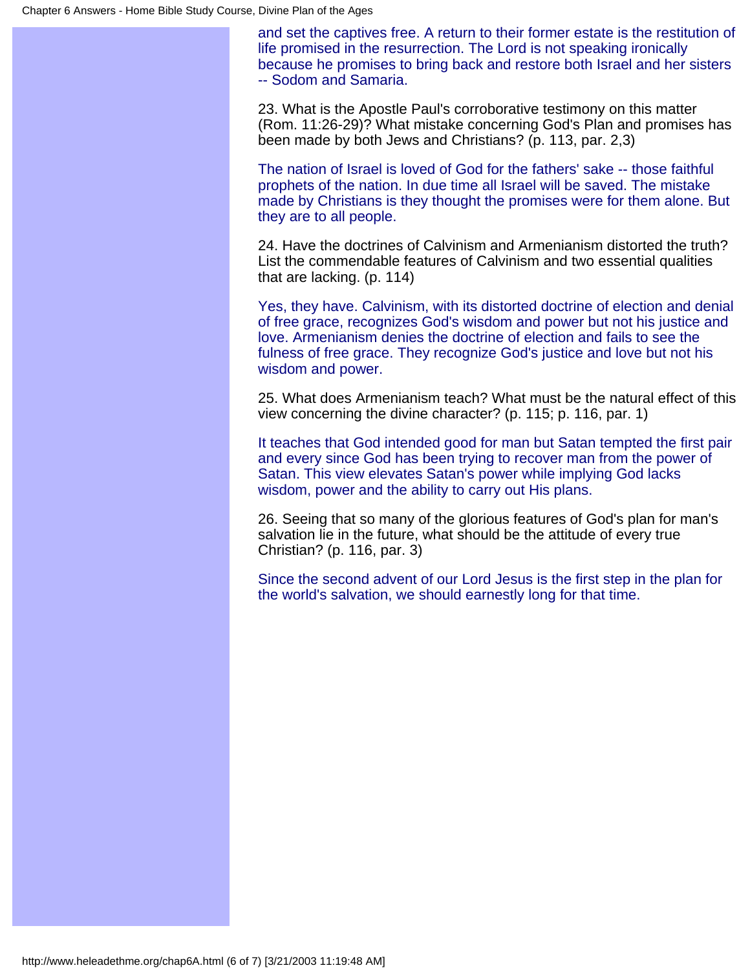and set the captives free. A return to their former estate is the restitution of life promised in the resurrection. The Lord is not speaking ironically because he promises to bring back and restore both Israel and her sisters -- Sodom and Samaria.

23. What is the Apostle Paul's corroborative testimony on this matter (Rom. 11:26-29)? What mistake concerning God's Plan and promises has been made by both Jews and Christians? (p. 113, par. 2,3)

The nation of Israel is loved of God for the fathers' sake -- those faithful prophets of the nation. In due time all Israel will be saved. The mistake made by Christians is they thought the promises were for them alone. But they are to all people.

24. Have the doctrines of Calvinism and Armenianism distorted the truth? List the commendable features of Calvinism and two essential qualities that are lacking. (p. 114)

Yes, they have. Calvinism, with its distorted doctrine of election and denial of free grace, recognizes God's wisdom and power but not his justice and love. Armenianism denies the doctrine of election and fails to see the fulness of free grace. They recognize God's justice and love but not his wisdom and power.

25. What does Armenianism teach? What must be the natural effect of this view concerning the divine character? (p. 115; p. 116, par. 1)

It teaches that God intended good for man but Satan tempted the first pair and every since God has been trying to recover man from the power of Satan. This view elevates Satan's power while implying God lacks wisdom, power and the ability to carry out His plans.

26. Seeing that so many of the glorious features of God's plan for man's salvation lie in the future, what should be the attitude of every true Christian? (p. 116, par. 3)

Since the second advent of our Lord Jesus is the first step in the plan for the world's salvation, we should earnestly long for that time.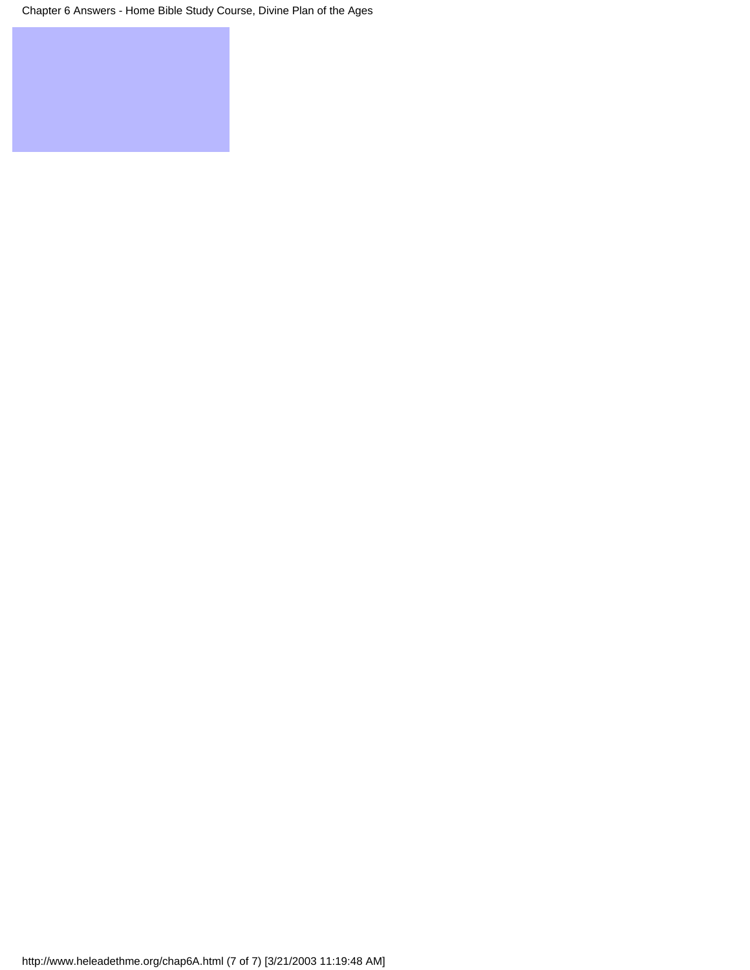Chapter 6 Answers - Home Bible Study Course, Divine Plan of the Ages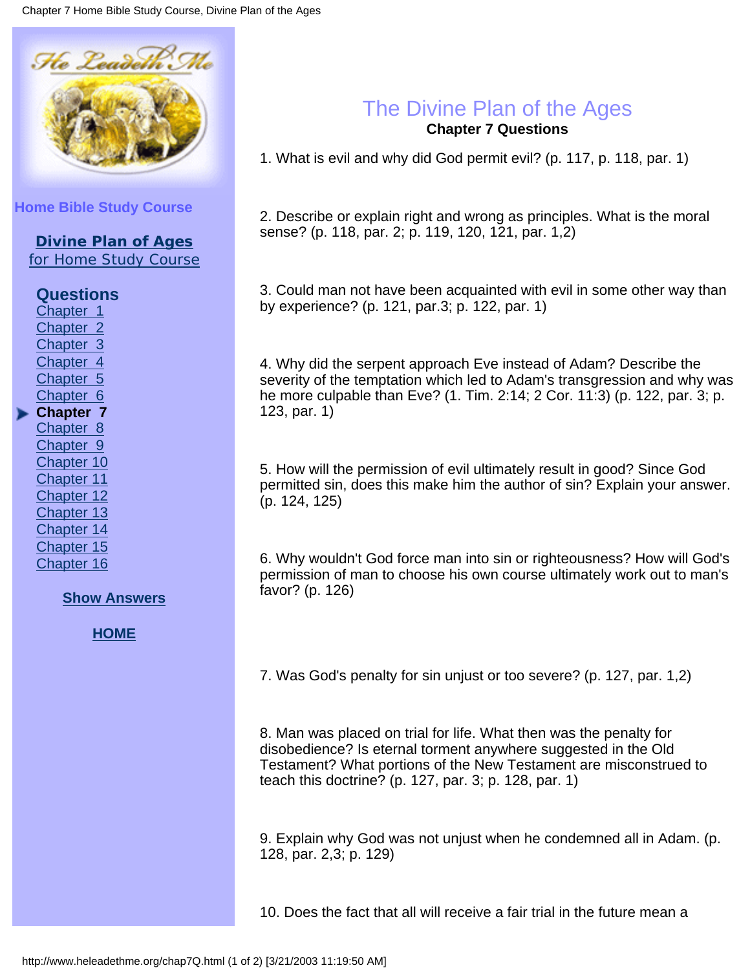<span id="page-42-0"></span>

**[Divine Plan of Ages](#page-7-0)** [for Home Study Course](#page-7-0)

## **Questions**

| <b>Chapter</b>                 |
|--------------------------------|
| <b>Chapter</b><br>2            |
| Chapter<br>3                   |
| Chapter<br>4                   |
| Chapter<br>5                   |
| Chapter<br>6                   |
| <b>Chapter</b><br>7            |
| Chapter<br>8                   |
| <b>Chapter</b><br>9            |
|                                |
| 10                             |
| Chapter<br>11                  |
| <b>Chapter</b><br>12           |
| <b>Chapter</b><br>13           |
| <b>Chapter</b><br>14           |
| Chapter<br>15                  |
| <b>Chapter</b><br>Chapter<br>6 |

## **[Show Answers](#page-44-0)**

**[HOME](http://www.heleadethme.org/index.html)**

# The Divine Plan of the Ages

**Chapter 7 Questions**

1. What is evil and why did God permit evil? (p. 117, p. 118, par. 1)

2. Describe or explain right and wrong as principles. What is the moral sense? (p. 118, par. 2; p. 119, 120, 121, par. 1,2)

3. Could man not have been acquainted with evil in some other way than by experience? (p. 121, par.3; p. 122, par. 1)

4. Why did the serpent approach Eve instead of Adam? Describe the severity of the temptation which led to Adam's transgression and why was he more culpable than Eve? (1. Tim. 2:14; 2 Cor. 11:3) (p. 122, par. 3; p. 123, par. 1)

5. How will the permission of evil ultimately result in good? Since God permitted sin, does this make him the author of sin? Explain your answer. (p. 124, 125)

6. Why wouldn't God force man into sin or righteousness? How will God's permission of man to choose his own course ultimately work out to man's favor? (p. 126)

7. Was God's penalty for sin unjust or too severe? (p. 127, par. 1,2)

8. Man was placed on trial for life. What then was the penalty for disobedience? Is eternal torment anywhere suggested in the Old Testament? What portions of the New Testament are misconstrued to teach this doctrine? (p. 127, par. 3; p. 128, par. 1)

9. Explain why God was not unjust when he condemned all in Adam. (p. 128, par. 2,3; p. 129)

10. Does the fact that all will receive a fair trial in the future mean a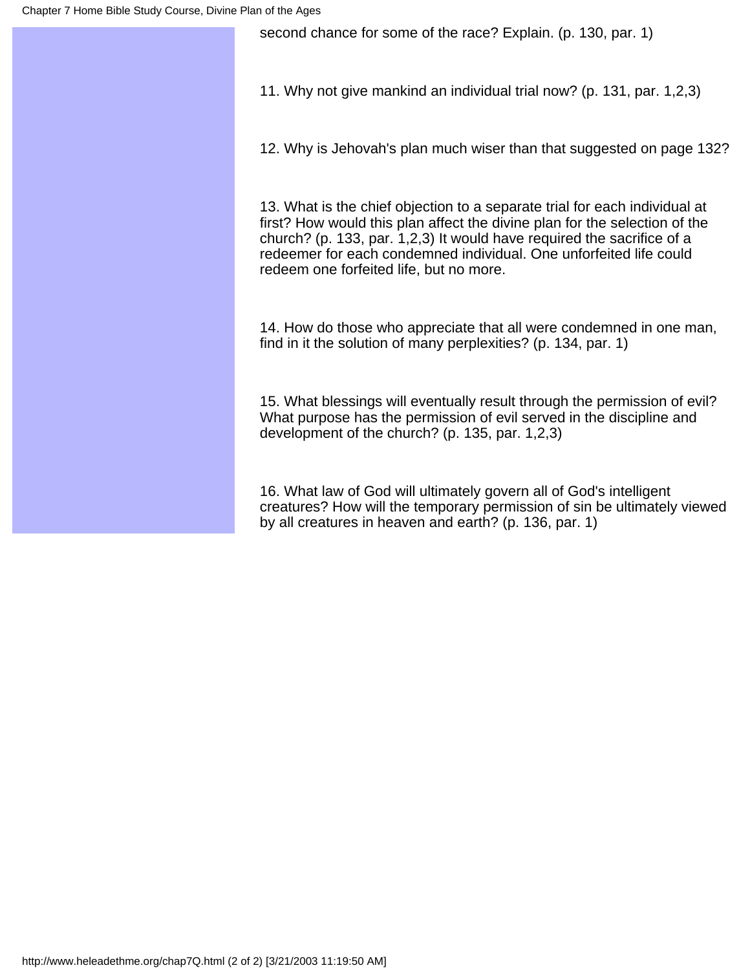second chance for some of the race? Explain. (p. 130, par. 1)

11. Why not give mankind an individual trial now? (p. 131, par. 1,2,3)

12. Why is Jehovah's plan much wiser than that suggested on page 132?

13. What is the chief objection to a separate trial for each individual at first? How would this plan affect the divine plan for the selection of the church? (p. 133, par. 1,2,3) It would have required the sacrifice of a redeemer for each condemned individual. One unforfeited life could redeem one forfeited life, but no more.

14. How do those who appreciate that all were condemned in one man, find in it the solution of many perplexities? (p. 134, par. 1)

15. What blessings will eventually result through the permission of evil? What purpose has the permission of evil served in the discipline and development of the church? (p. 135, par. 1,2,3)

16. What law of God will ultimately govern all of God's intelligent creatures? How will the temporary permission of sin be ultimately viewed by all creatures in heaven and earth? (p. 136, par. 1)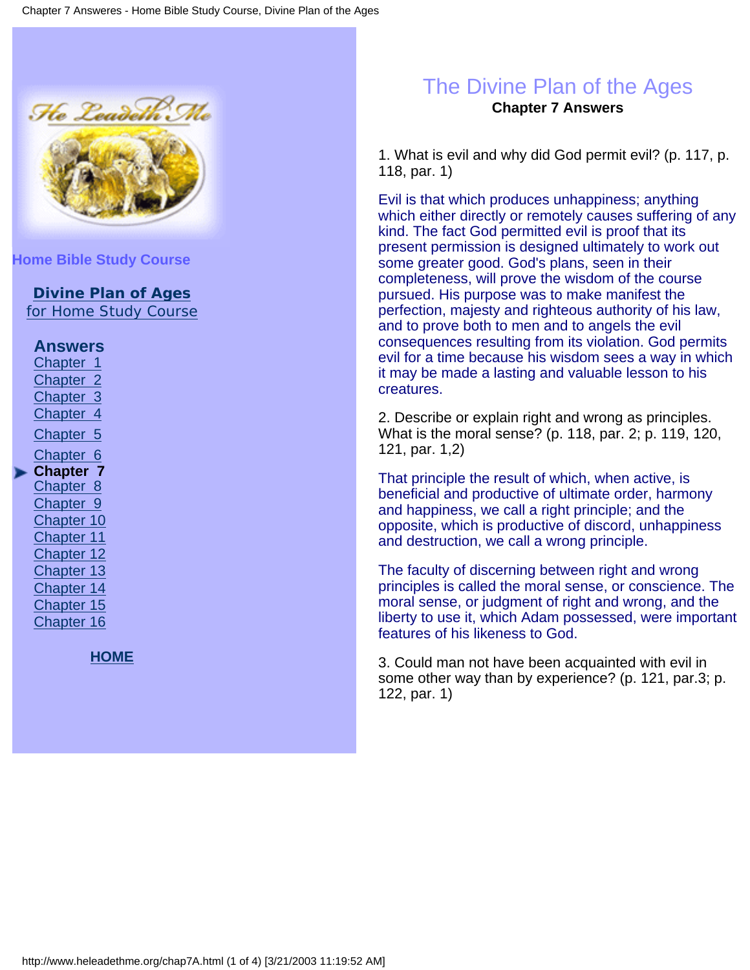<span id="page-44-0"></span>

## **[Divine Plan of Ages](#page-7-0)** [for Home Study Course](#page-7-0)

**Answers** [Chapter 1](#page-1-0) [Chapter 2](#page-9-0) [Chapter 3](#page-13-0) [Chapter 4](#page-19-0) [Chapter 5](#page-25-0) [Chapter 6](#page-32-0) **Chapter 7** [Chapter 8](#page-48-0) [Chapter 9](#page-54-0) [Chapter 10](#page-60-0) [Chapter 11](#page-66-0) [Chapter 12](#page-72-0) [Chapter 13](#page-74-0) [Chapter 14](#page-83-0) [Chapter 15](#page-94-0) [Chapter 16](#page-105-0)

**[HOME](http://www.heleadethme.org/index.html)**

## The Divine Plan of the Ages **Chapter 7 Answers**

1. What is evil and why did God permit evil? (p. 117, p. 118, par. 1)

Evil is that which produces unhappiness; anything which either directly or remotely causes suffering of any kind. The fact God permitted evil is proof that its present permission is designed ultimately to work out some greater good. God's plans, seen in their completeness, will prove the wisdom of the course pursued. His purpose was to make manifest the perfection, majesty and righteous authority of his law, and to prove both to men and to angels the evil consequences resulting from its violation. God permits evil for a time because his wisdom sees a way in which it may be made a lasting and valuable lesson to his creatures.

2. Describe or explain right and wrong as principles. What is the moral sense? (p. 118, par. 2; p. 119, 120, 121, par. 1,2)

That principle the result of which, when active, is beneficial and productive of ultimate order, harmony and happiness, we call a right principle; and the opposite, which is productive of discord, unhappiness and destruction, we call a wrong principle.

The faculty of discerning between right and wrong principles is called the moral sense, or conscience. The moral sense, or judgment of right and wrong, and the liberty to use it, which Adam possessed, were important features of his likeness to God.

3. Could man not have been acquainted with evil in some other way than by experience? (p. 121, par.3; p. 122, par. 1)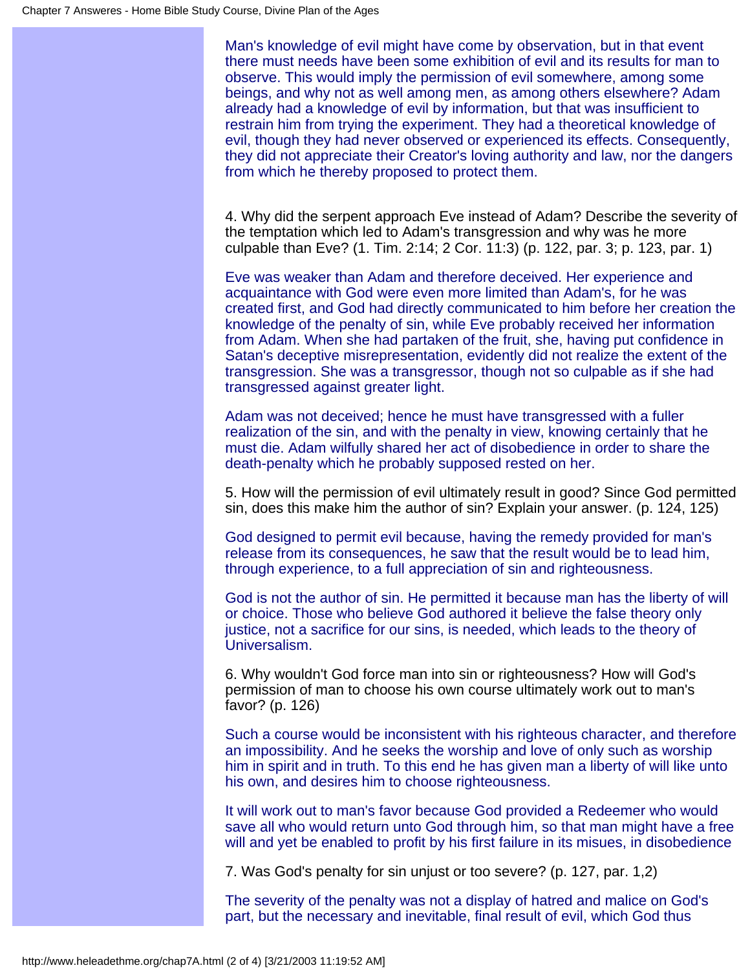Man's knowledge of evil might have come by observation, but in that event there must needs have been some exhibition of evil and its results for man to observe. This would imply the permission of evil somewhere, among some beings, and why not as well among men, as among others elsewhere? Adam already had a knowledge of evil by information, but that was insufficient to restrain him from trying the experiment. They had a theoretical knowledge of evil, though they had never observed or experienced its effects. Consequently, they did not appreciate their Creator's loving authority and law, nor the dangers from which he thereby proposed to protect them.

4. Why did the serpent approach Eve instead of Adam? Describe the severity of the temptation which led to Adam's transgression and why was he more culpable than Eve? (1. Tim. 2:14; 2 Cor. 11:3) (p. 122, par. 3; p. 123, par. 1)

Eve was weaker than Adam and therefore deceived. Her experience and acquaintance with God were even more limited than Adam's, for he was created first, and God had directly communicated to him before her creation the knowledge of the penalty of sin, while Eve probably received her information from Adam. When she had partaken of the fruit, she, having put confidence in Satan's deceptive misrepresentation, evidently did not realize the extent of the transgression. She was a transgressor, though not so culpable as if she had transgressed against greater light.

Adam was not deceived; hence he must have transgressed with a fuller realization of the sin, and with the penalty in view, knowing certainly that he must die. Adam wilfully shared her act of disobedience in order to share the death-penalty which he probably supposed rested on her.

5. How will the permission of evil ultimately result in good? Since God permitted sin, does this make him the author of sin? Explain your answer. (p. 124, 125)

God designed to permit evil because, having the remedy provided for man's release from its consequences, he saw that the result would be to lead him, through experience, to a full appreciation of sin and righteousness.

God is not the author of sin. He permitted it because man has the liberty of will or choice. Those who believe God authored it believe the false theory only justice, not a sacrifice for our sins, is needed, which leads to the theory of Universalism.

6. Why wouldn't God force man into sin or righteousness? How will God's permission of man to choose his own course ultimately work out to man's favor? (p. 126)

Such a course would be inconsistent with his righteous character, and therefore an impossibility. And he seeks the worship and love of only such as worship him in spirit and in truth. To this end he has given man a liberty of will like unto his own, and desires him to choose righteousness.

It will work out to man's favor because God provided a Redeemer who would save all who would return unto God through him, so that man might have a free will and yet be enabled to profit by his first failure in its misues, in disobedience

7. Was God's penalty for sin unjust or too severe? (p. 127, par. 1,2)

The severity of the penalty was not a display of hatred and malice on God's part, but the necessary and inevitable, final result of evil, which God thus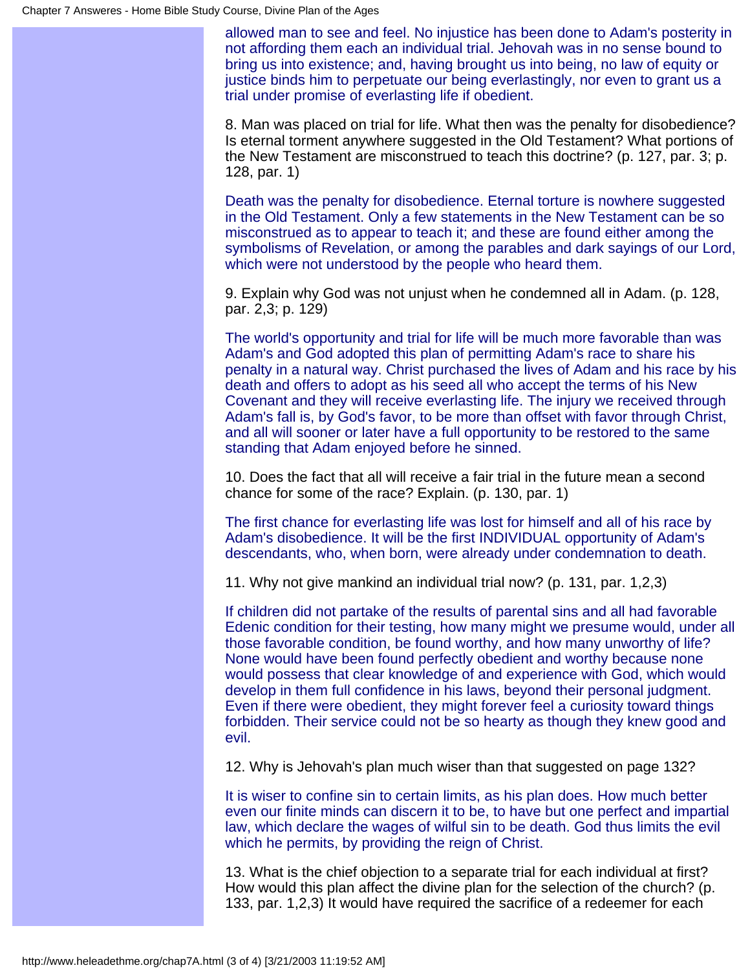allowed man to see and feel. No injustice has been done to Adam's posterity in not affording them each an individual trial. Jehovah was in no sense bound to bring us into existence; and, having brought us into being, no law of equity or justice binds him to perpetuate our being everlastingly, nor even to grant us a trial under promise of everlasting life if obedient.

8. Man was placed on trial for life. What then was the penalty for disobedience? Is eternal torment anywhere suggested in the Old Testament? What portions of the New Testament are misconstrued to teach this doctrine? (p. 127, par. 3; p. 128, par. 1)

Death was the penalty for disobedience. Eternal torture is nowhere suggested in the Old Testament. Only a few statements in the New Testament can be so misconstrued as to appear to teach it; and these are found either among the symbolisms of Revelation, or among the parables and dark sayings of our Lord, which were not understood by the people who heard them.

9. Explain why God was not unjust when he condemned all in Adam. (p. 128, par. 2,3; p. 129)

The world's opportunity and trial for life will be much more favorable than was Adam's and God adopted this plan of permitting Adam's race to share his penalty in a natural way. Christ purchased the lives of Adam and his race by his death and offers to adopt as his seed all who accept the terms of his New Covenant and they will receive everlasting life. The injury we received through Adam's fall is, by God's favor, to be more than offset with favor through Christ, and all will sooner or later have a full opportunity to be restored to the same standing that Adam enjoyed before he sinned.

10. Does the fact that all will receive a fair trial in the future mean a second chance for some of the race? Explain. (p. 130, par. 1)

The first chance for everlasting life was lost for himself and all of his race by Adam's disobedience. It will be the first INDIVIDUAL opportunity of Adam's descendants, who, when born, were already under condemnation to death.

11. Why not give mankind an individual trial now? (p. 131, par. 1,2,3)

If children did not partake of the results of parental sins and all had favorable Edenic condition for their testing, how many might we presume would, under all those favorable condition, be found worthy, and how many unworthy of life? None would have been found perfectly obedient and worthy because none would possess that clear knowledge of and experience with God, which would develop in them full confidence in his laws, beyond their personal judgment. Even if there were obedient, they might forever feel a curiosity toward things forbidden. Their service could not be so hearty as though they knew good and evil.

12. Why is Jehovah's plan much wiser than that suggested on page 132?

It is wiser to confine sin to certain limits, as his plan does. How much better even our finite minds can discern it to be, to have but one perfect and impartial law, which declare the wages of wilful sin to be death. God thus limits the evil which he permits, by providing the reign of Christ.

13. What is the chief objection to a separate trial for each individual at first? How would this plan affect the divine plan for the selection of the church? (p. 133, par. 1,2,3) It would have required the sacrifice of a redeemer for each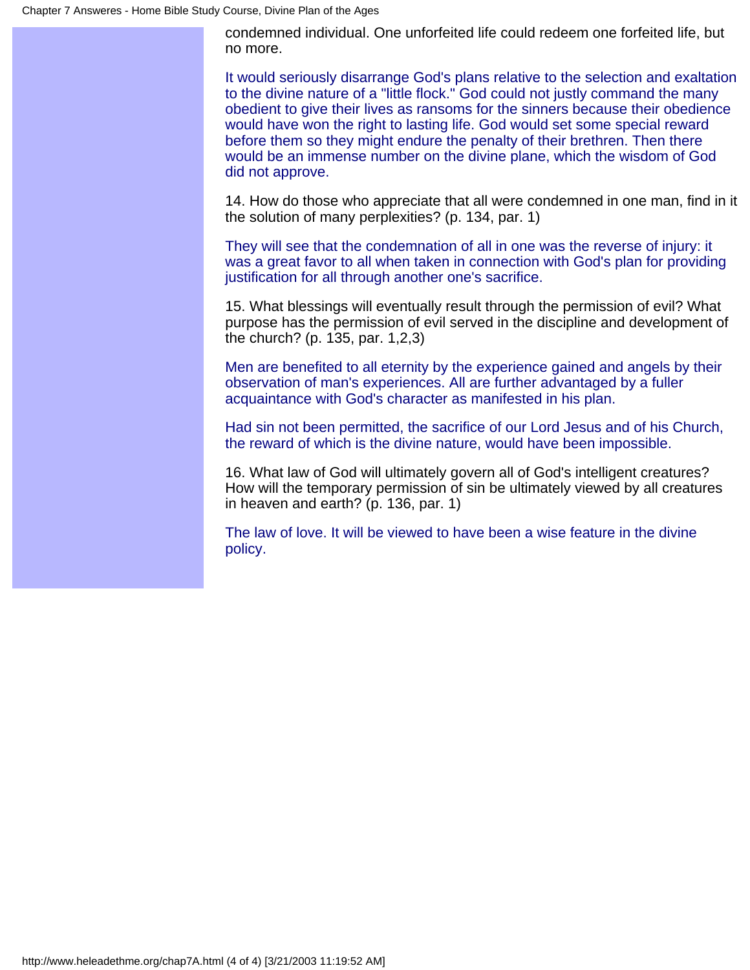condemned individual. One unforfeited life could redeem one forfeited life, but no more.

It would seriously disarrange God's plans relative to the selection and exaltation to the divine nature of a "little flock." God could not justly command the many obedient to give their lives as ransoms for the sinners because their obedience would have won the right to lasting life. God would set some special reward before them so they might endure the penalty of their brethren. Then there would be an immense number on the divine plane, which the wisdom of God did not approve.

14. How do those who appreciate that all were condemned in one man, find in it the solution of many perplexities? (p. 134, par. 1)

They will see that the condemnation of all in one was the reverse of injury: it was a great favor to all when taken in connection with God's plan for providing justification for all through another one's sacrifice.

15. What blessings will eventually result through the permission of evil? What purpose has the permission of evil served in the discipline and development of the church? (p. 135, par. 1,2,3)

Men are benefited to all eternity by the experience gained and angels by their observation of man's experiences. All are further advantaged by a fuller acquaintance with God's character as manifested in his plan.

Had sin not been permitted, the sacrifice of our Lord Jesus and of his Church, the reward of which is the divine nature, would have been impossible.

16. What law of God will ultimately govern all of God's intelligent creatures? How will the temporary permission of sin be ultimately viewed by all creatures in heaven and earth? (p. 136, par. 1)

The law of love. It will be viewed to have been a wise feature in the divine policy.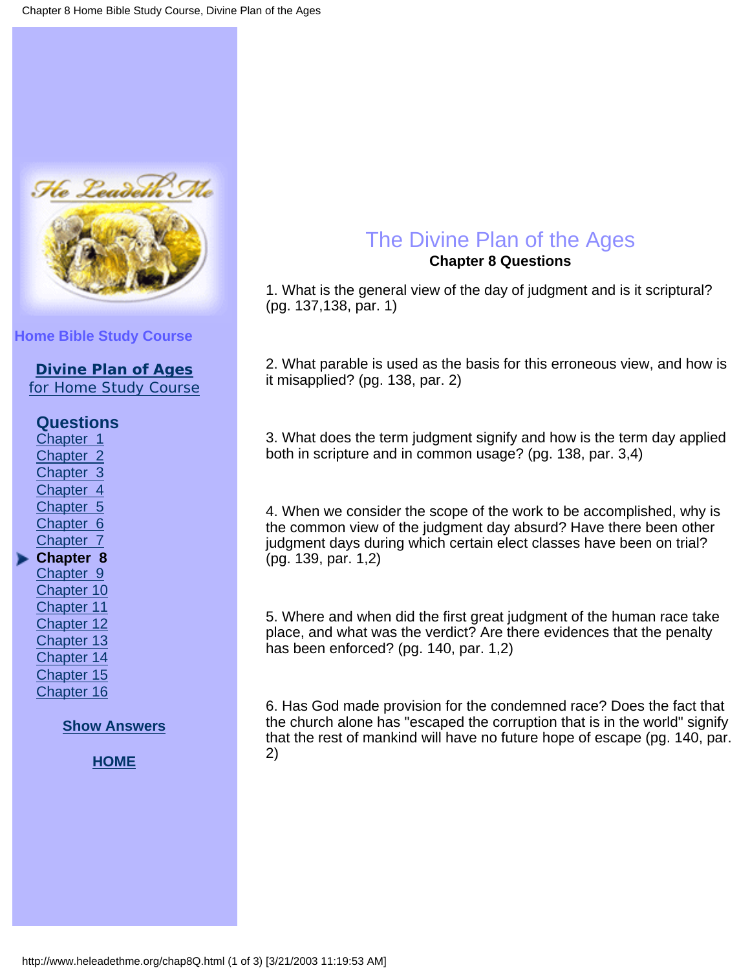<span id="page-48-0"></span>

## **[Divine Plan of Ages](#page-7-0)** [for Home Study Course](#page-7-0)

### **Questions**

[Chapter 1](#page-1-0) [Chapter 2](#page-9-0) [Chapter 3](#page-13-0) [Chapter 4](#page-19-0) [Chapter 5](#page-25-0) [Chapter 6](#page-32-0) [Chapter 7](#page-44-0) **Chapter 8** [Chapter 9](#page-54-0) [Chapter 10](#page-60-0) [Chapter 11](#page-66-0) [Chapter 12](#page-72-0) [Chapter 13](#page-74-0) [Chapter 14](#page-83-0) [Chapter 15](#page-94-0) [Chapter 16](#page-105-0)

### **[Show Answers](#page-51-0)**

#### **[HOME](http://www.heleadethme.org/index.html)**

## The Divine Plan of the Ages **Chapter 8 Questions**

1. What is the general view of the day of judgment and is it scriptural? (pg. 137,138, par. 1)

2. What parable is used as the basis for this erroneous view, and how is it misapplied? (pg. 138, par. 2)

3. What does the term judgment signify and how is the term day applied both in scripture and in common usage? (pg. 138, par. 3,4)

4. When we consider the scope of the work to be accomplished, why is the common view of the judgment day absurd? Have there been other judgment days during which certain elect classes have been on trial? (pg. 139, par. 1,2)

5. Where and when did the first great judgment of the human race take place, and what was the verdict? Are there evidences that the penalty has been enforced? (pg. 140, par. 1,2)

6. Has God made provision for the condemned race? Does the fact that the church alone has "escaped the corruption that is in the world" signify that the rest of mankind will have no future hope of escape (pg. 140, par. 2)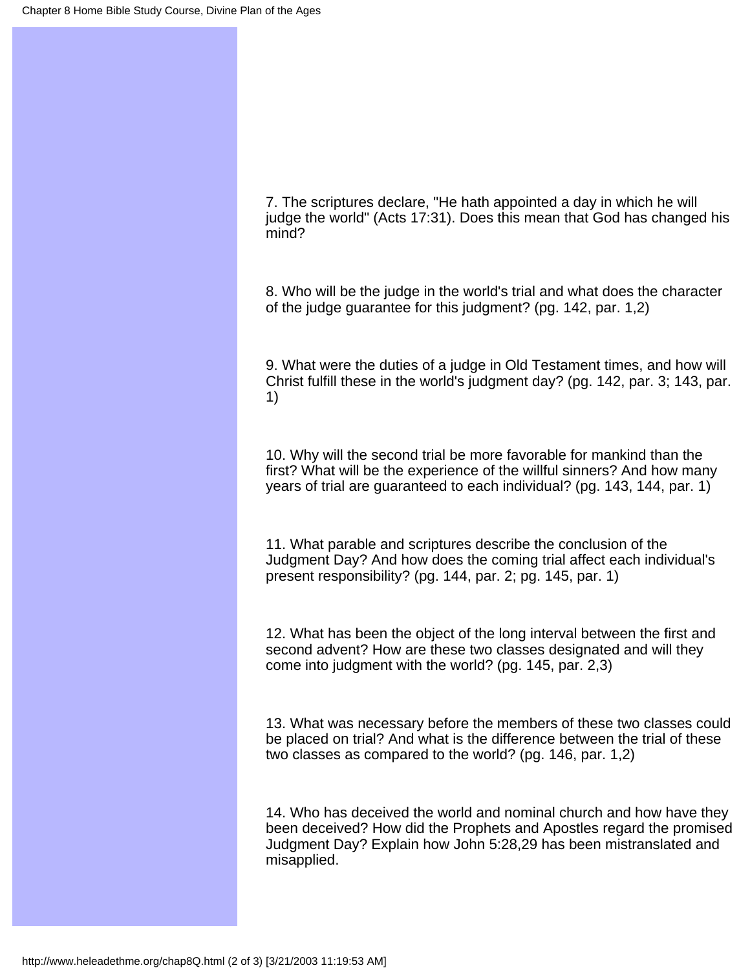7. The scriptures declare, "He hath appointed a day in which he will judge the world" (Acts 17:31). Does this mean that God has changed his mind?

8. Who will be the judge in the world's trial and what does the character of the judge guarantee for this judgment? (pg. 142, par. 1,2)

9. What were the duties of a judge in Old Testament times, and how will Christ fulfill these in the world's judgment day? (pg. 142, par. 3; 143, par. 1)

10. Why will the second trial be more favorable for mankind than the first? What will be the experience of the willful sinners? And how many years of trial are guaranteed to each individual? (pg. 143, 144, par. 1)

11. What parable and scriptures describe the conclusion of the Judgment Day? And how does the coming trial affect each individual's present responsibility? (pg. 144, par. 2; pg. 145, par. 1)

12. What has been the object of the long interval between the first and second advent? How are these two classes designated and will they come into judgment with the world? (pg. 145, par. 2,3)

13. What was necessary before the members of these two classes could be placed on trial? And what is the difference between the trial of these two classes as compared to the world? (pg. 146, par. 1,2)

14. Who has deceived the world and nominal church and how have they been deceived? How did the Prophets and Apostles regard the promised Judgment Day? Explain how John 5:28,29 has been mistranslated and misapplied.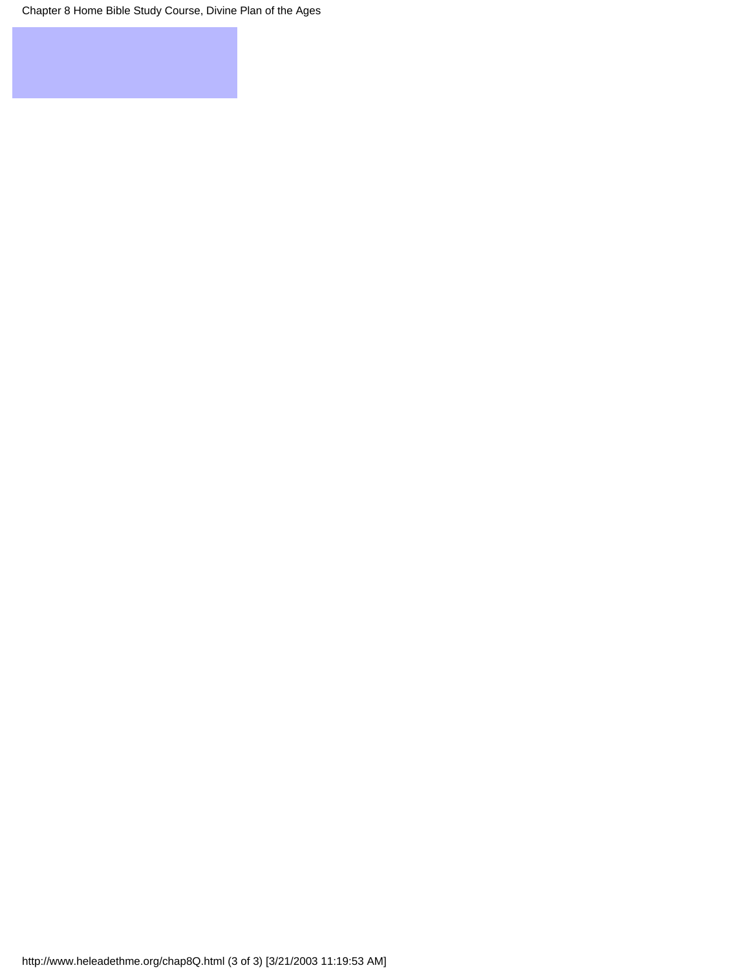Chapter 8 Home Bible Study Course, Divine Plan of the Ages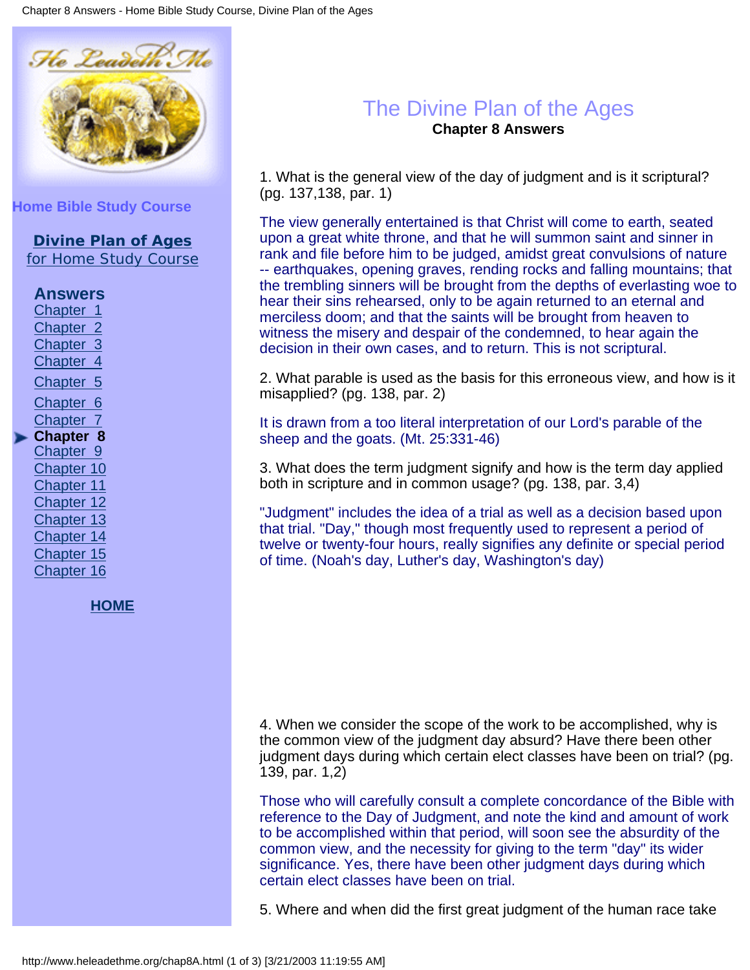<span id="page-51-0"></span>

**[Divine Plan of Ages](#page-7-0)** [for Home Study Course](#page-7-0)

## **Answers** [Chapter 1](#page-1-0) [Chapter 2](#page-9-0) [Chapter 3](#page-13-0) [Chapter 4](#page-19-0) [Chapter 5](#page-25-0) [Chapter 6](#page-32-0) [Chapter 7](#page-42-0) **Chapter 8** [Chapter 9](#page-54-0) [Chapter 10](#page-60-0) [Chapter 11](#page-66-0) [Chapter 12](#page-72-0) [Chapter 13](#page-74-0) [Chapter 14](#page-83-0) [Chapter 15](#page-94-0) [Chapter 16](#page-105-0)

## **[HOME](http://www.heleadethme.org/index.html)**

## The Divine Plan of the Ages **Chapter 8 Answers**

1. What is the general view of the day of judgment and is it scriptural? (pg. 137,138, par. 1)

The view generally entertained is that Christ will come to earth, seated upon a great white throne, and that he will summon saint and sinner in rank and file before him to be judged, amidst great convulsions of nature -- earthquakes, opening graves, rending rocks and falling mountains; that the trembling sinners will be brought from the depths of everlasting woe to hear their sins rehearsed, only to be again returned to an eternal and merciless doom; and that the saints will be brought from heaven to witness the misery and despair of the condemned, to hear again the decision in their own cases, and to return. This is not scriptural.

2. What parable is used as the basis for this erroneous view, and how is it misapplied? (pg. 138, par. 2)

It is drawn from a too literal interpretation of our Lord's parable of the sheep and the goats. (Mt. 25:331-46)

3. What does the term judgment signify and how is the term day applied both in scripture and in common usage? (pg. 138, par. 3,4)

"Judgment" includes the idea of a trial as well as a decision based upon that trial. "Day," though most frequently used to represent a period of twelve or twenty-four hours, really signifies any definite or special period of time. (Noah's day, Luther's day, Washington's day)

4. When we consider the scope of the work to be accomplished, why is the common view of the judgment day absurd? Have there been other judgment days during which certain elect classes have been on trial? (pg. 139, par. 1,2)

Those who will carefully consult a complete concordance of the Bible with reference to the Day of Judgment, and note the kind and amount of work to be accomplished within that period, will soon see the absurdity of the common view, and the necessity for giving to the term "day" its wider significance. Yes, there have been other judgment days during which certain elect classes have been on trial.

5. Where and when did the first great judgment of the human race take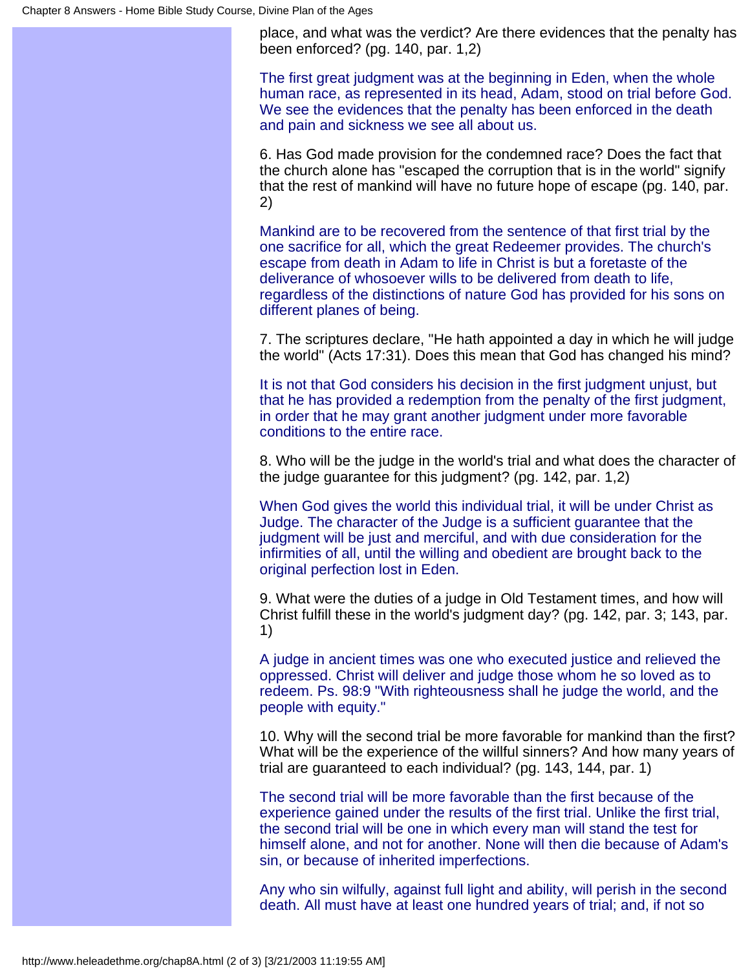place, and what was the verdict? Are there evidences that the penalty has been enforced? (pg. 140, par. 1,2)

The first great judgment was at the beginning in Eden, when the whole human race, as represented in its head, Adam, stood on trial before God. We see the evidences that the penalty has been enforced in the death and pain and sickness we see all about us.

6. Has God made provision for the condemned race? Does the fact that the church alone has "escaped the corruption that is in the world" signify that the rest of mankind will have no future hope of escape (pg. 140, par. 2)

Mankind are to be recovered from the sentence of that first trial by the one sacrifice for all, which the great Redeemer provides. The church's escape from death in Adam to life in Christ is but a foretaste of the deliverance of whosoever wills to be delivered from death to life, regardless of the distinctions of nature God has provided for his sons on different planes of being.

7. The scriptures declare, "He hath appointed a day in which he will judge the world" (Acts 17:31). Does this mean that God has changed his mind?

It is not that God considers his decision in the first judgment unjust, but that he has provided a redemption from the penalty of the first judgment, in order that he may grant another judgment under more favorable conditions to the entire race.

8. Who will be the judge in the world's trial and what does the character of the judge guarantee for this judgment? (pg. 142, par. 1,2)

When God gives the world this individual trial, it will be under Christ as Judge. The character of the Judge is a sufficient guarantee that the judgment will be just and merciful, and with due consideration for the infirmities of all, until the willing and obedient are brought back to the original perfection lost in Eden.

9. What were the duties of a judge in Old Testament times, and how will Christ fulfill these in the world's judgment day? (pg. 142, par. 3; 143, par. 1)

A judge in ancient times was one who executed justice and relieved the oppressed. Christ will deliver and judge those whom he so loved as to redeem. Ps. 98:9 "With righteousness shall he judge the world, and the people with equity."

10. Why will the second trial be more favorable for mankind than the first? What will be the experience of the willful sinners? And how many years of trial are guaranteed to each individual? (pg. 143, 144, par. 1)

The second trial will be more favorable than the first because of the experience gained under the results of the first trial. Unlike the first trial, the second trial will be one in which every man will stand the test for himself alone, and not for another. None will then die because of Adam's sin, or because of inherited imperfections.

Any who sin wilfully, against full light and ability, will perish in the second death. All must have at least one hundred years of trial; and, if not so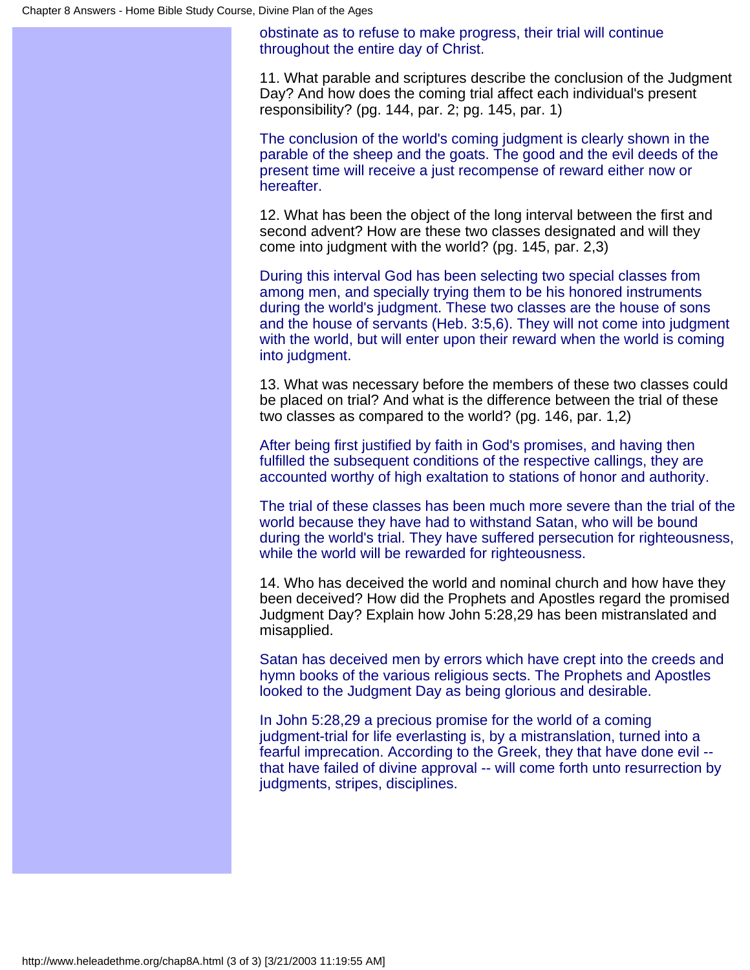obstinate as to refuse to make progress, their trial will continue throughout the entire day of Christ.

11. What parable and scriptures describe the conclusion of the Judgment Day? And how does the coming trial affect each individual's present responsibility? (pg. 144, par. 2; pg. 145, par. 1)

The conclusion of the world's coming judgment is clearly shown in the parable of the sheep and the goats. The good and the evil deeds of the present time will receive a just recompense of reward either now or hereafter.

12. What has been the object of the long interval between the first and second advent? How are these two classes designated and will they come into judgment with the world? (pg. 145, par. 2,3)

During this interval God has been selecting two special classes from among men, and specially trying them to be his honored instruments during the world's judgment. These two classes are the house of sons and the house of servants (Heb. 3:5,6). They will not come into judgment with the world, but will enter upon their reward when the world is coming into judgment.

13. What was necessary before the members of these two classes could be placed on trial? And what is the difference between the trial of these two classes as compared to the world? (pg. 146, par. 1,2)

After being first justified by faith in God's promises, and having then fulfilled the subsequent conditions of the respective callings, they are accounted worthy of high exaltation to stations of honor and authority.

The trial of these classes has been much more severe than the trial of the world because they have had to withstand Satan, who will be bound during the world's trial. They have suffered persecution for righteousness, while the world will be rewarded for righteousness.

14. Who has deceived the world and nominal church and how have they been deceived? How did the Prophets and Apostles regard the promised Judgment Day? Explain how John 5:28,29 has been mistranslated and misapplied.

Satan has deceived men by errors which have crept into the creeds and hymn books of the various religious sects. The Prophets and Apostles looked to the Judgment Day as being glorious and desirable.

In John 5:28,29 a precious promise for the world of a coming judgment-trial for life everlasting is, by a mistranslation, turned into a fearful imprecation. According to the Greek, they that have done evil - that have failed of divine approval -- will come forth unto resurrection by judgments, stripes, disciplines.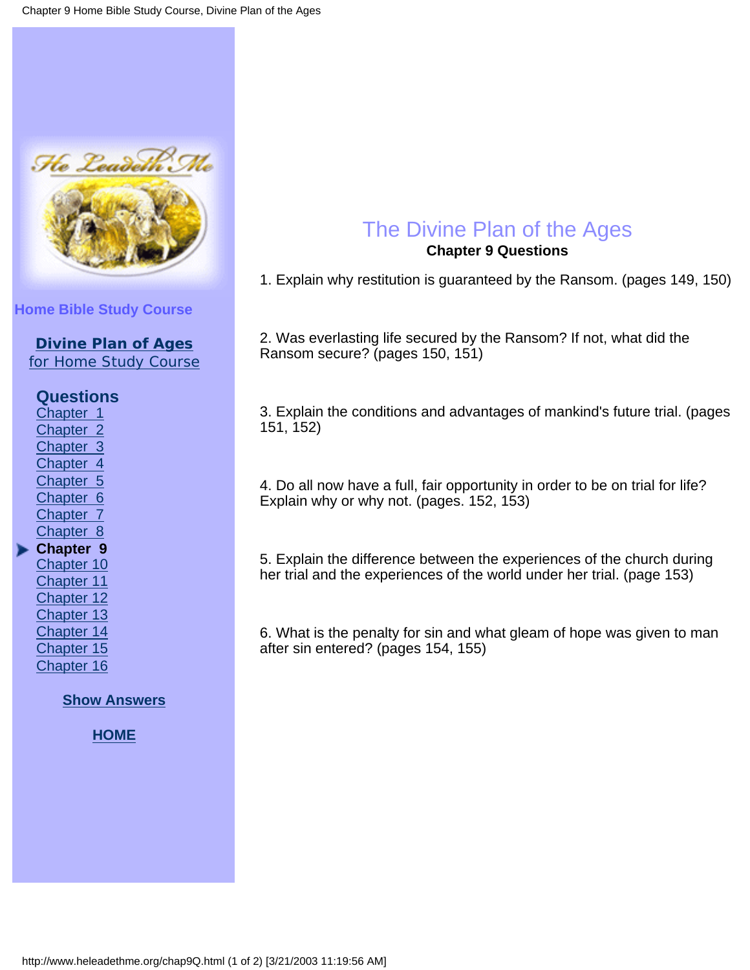<span id="page-54-0"></span>

**[Divine Plan of Ages](#page-7-0)** [for Home Study Course](#page-7-0)

### **Questions**

[Chapter 1](#page-1-0) [Chapter 2](#page-9-0) [Chapter 3](#page-13-0) [Chapter 4](#page-19-0) [Chapter 5](#page-25-0) [Chapter 6](#page-32-0) [Chapter 7](#page-44-0) [Chapter 8](#page-48-0) **Chapter 9** [Chapter 10](#page-60-0) [Chapter 11](#page-66-0) [Chapter 12](#page-72-0) [Chapter 13](#page-74-0) [Chapter 14](#page-83-0) [Chapter 15](#page-94-0) [Chapter 16](#page-105-0)

## **[Show Answers](#page-56-0)**

### **[HOME](http://www.heleadethme.org/index.html)**

## The Divine Plan of the Ages **Chapter 9 Questions**

1. Explain why restitution is guaranteed by the Ransom. (pages 149, 150)

2. Was everlasting life secured by the Ransom? If not, what did the Ransom secure? (pages 150, 151)

3. Explain the conditions and advantages of mankind's future trial. (pages 151, 152)

4. Do all now have a full, fair opportunity in order to be on trial for life? Explain why or why not. (pages. 152, 153)

5. Explain the difference between the experiences of the church during her trial and the experiences of the world under her trial. (page 153)

6. What is the penalty for sin and what gleam of hope was given to man after sin entered? (pages 154, 155)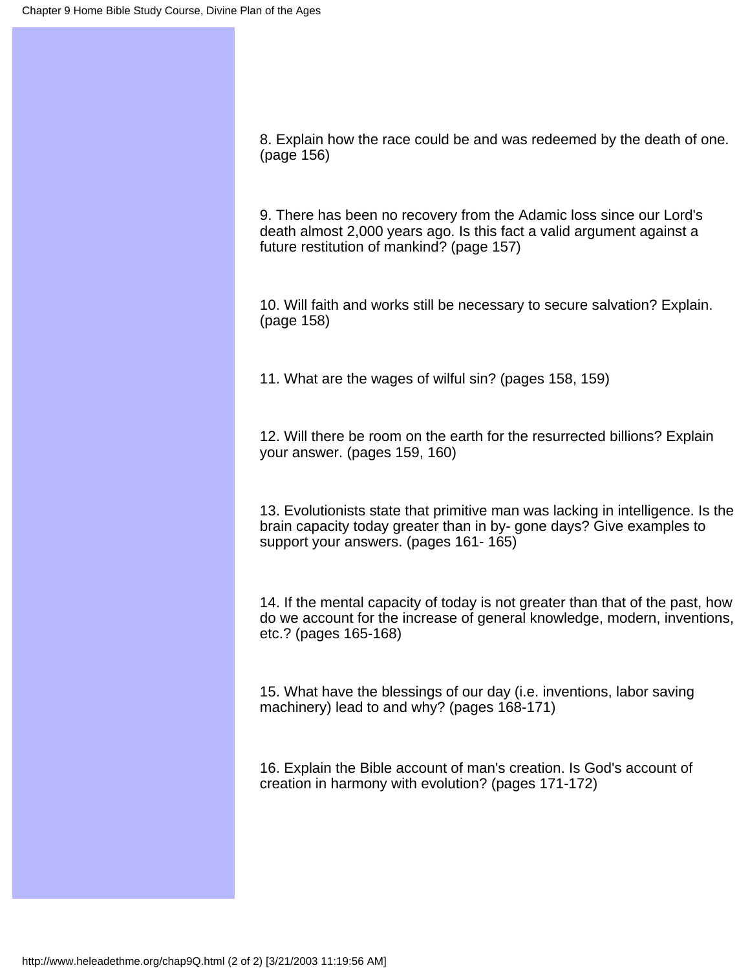8. Explain how the race could be and was redeemed by the death of one. (page 156)

9. There has been no recovery from the Adamic loss since our Lord's death almost 2,000 years ago. Is this fact a valid argument against a future restitution of mankind? (page 157)

10. Will faith and works still be necessary to secure salvation? Explain. (page 158)

11. What are the wages of wilful sin? (pages 158, 159)

12. Will there be room on the earth for the resurrected billions? Explain your answer. (pages 159, 160)

13. Evolutionists state that primitive man was lacking in intelligence. Is the brain capacity today greater than in by- gone days? Give examples to support your answers. (pages 161- 165)

14. If the mental capacity of today is not greater than that of the past, how do we account for the increase of general knowledge, modern, inventions, etc.? (pages 165-168)

15. What have the blessings of our day (i.e. inventions, labor saving machinery) lead to and why? (pages 168-171)

16. Explain the Bible account of man's creation. Is God's account of creation in harmony with evolution? (pages 171-172)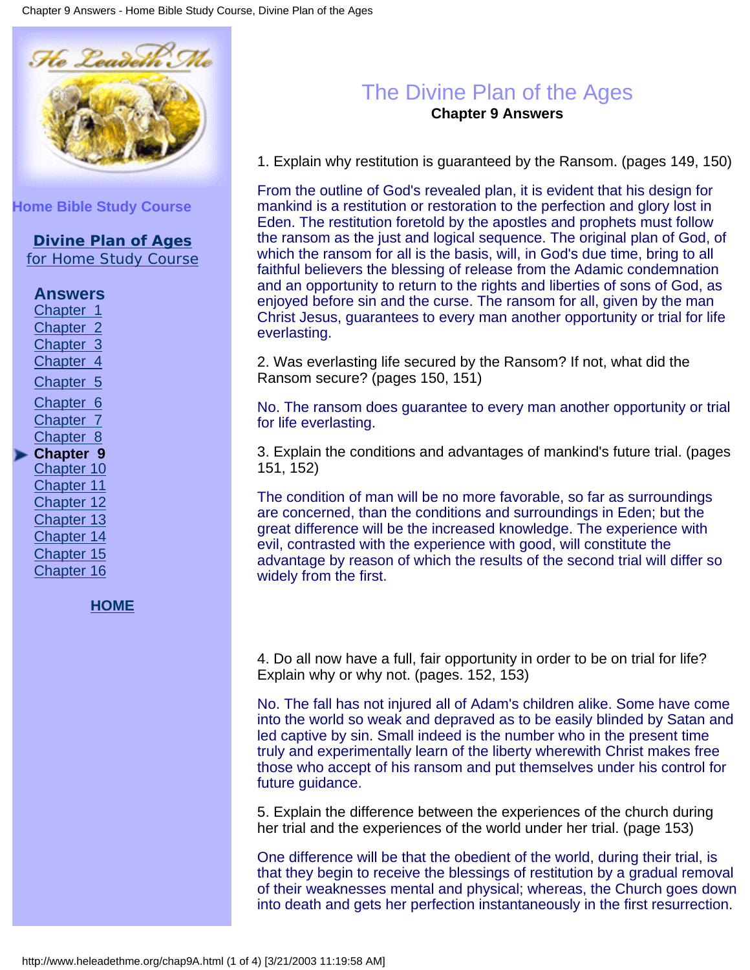<span id="page-56-0"></span>

[Chapter 6](#page-32-0) [Chapter 7](#page-42-0) [Chapter 8](#page-48-0) **Chapter 9** [Chapter 10](#page-60-0) [Chapter 11](#page-66-0) [Chapter 12](#page-72-0) [Chapter 13](#page-74-0) [Chapter 14](#page-83-0) [Chapter 15](#page-94-0) [Chapter 16](#page-105-0)

## **[HOME](http://www.heleadethme.org/index.html)**

## The Divine Plan of the Ages **Chapter 9 Answers**

1. Explain why restitution is guaranteed by the Ransom. (pages 149, 150)

From the outline of God's revealed plan, it is evident that his design for mankind is a restitution or restoration to the perfection and glory lost in Eden. The restitution foretold by the apostles and prophets must follow the ransom as the just and logical sequence. The original plan of God, of which the ransom for all is the basis, will, in God's due time, bring to all faithful believers the blessing of release from the Adamic condemnation and an opportunity to return to the rights and liberties of sons of God, as enjoyed before sin and the curse. The ransom for all, given by the man Christ Jesus, guarantees to every man another opportunity or trial for life everlasting.

2. Was everlasting life secured by the Ransom? If not, what did the Ransom secure? (pages 150, 151)

No. The ransom does guarantee to every man another opportunity or trial for life everlasting.

3. Explain the conditions and advantages of mankind's future trial. (pages 151, 152)

The condition of man will be no more favorable, so far as surroundings are concerned, than the conditions and surroundings in Eden; but the great difference will be the increased knowledge. The experience with evil, contrasted with the experience with good, will constitute the advantage by reason of which the results of the second trial will differ so widely from the first.

4. Do all now have a full, fair opportunity in order to be on trial for life? Explain why or why not. (pages. 152, 153)

No. The fall has not injured all of Adam's children alike. Some have come into the world so weak and depraved as to be easily blinded by Satan and led captive by sin. Small indeed is the number who in the present time truly and experimentally learn of the liberty wherewith Christ makes free those who accept of his ransom and put themselves under his control for future guidance.

5. Explain the difference between the experiences of the church during her trial and the experiences of the world under her trial. (page 153)

One difference will be that the obedient of the world, during their trial, is that they begin to receive the blessings of restitution by a gradual removal of their weaknesses mental and physical; whereas, the Church goes down into death and gets her perfection instantaneously in the first resurrection.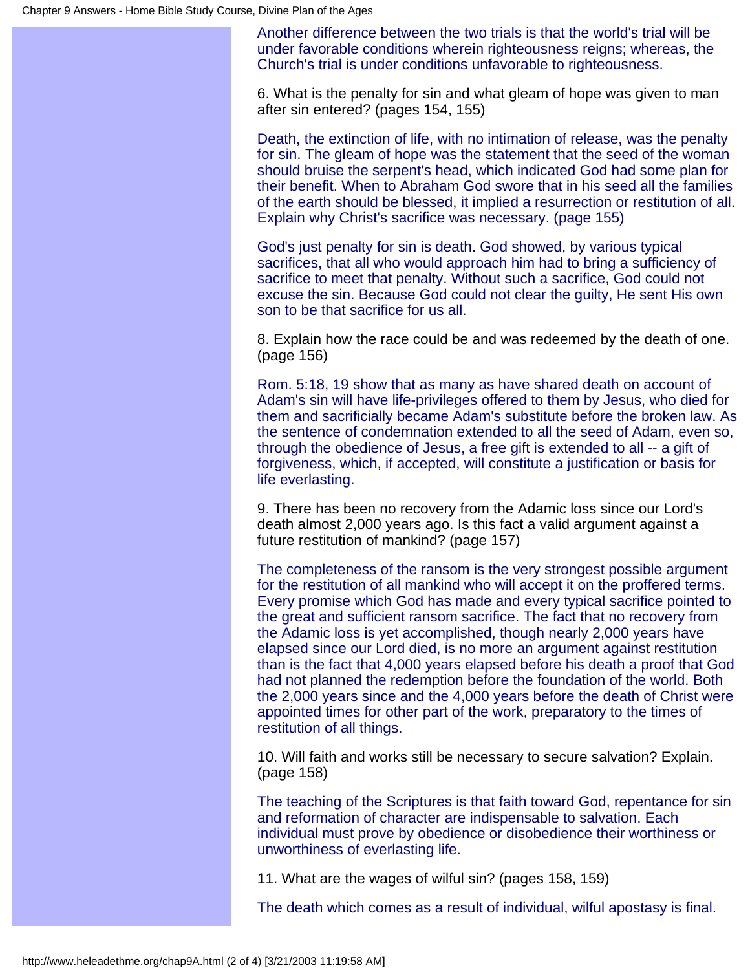Another difference between the two trials is that the world's trial will be under favorable conditions wherein righteousness reigns; whereas, the Church's trial is under conditions unfavorable to righteousness.

6. What is the penalty for sin and what gleam of hope was given to man after sin entered? (pages 154, 155)

Death, the extinction of life, with no intimation of release, was the penalty for sin. The gleam of hope was the statement that the seed of the woman should bruise the serpent's head, which indicated God had some plan for their benefit. When to Abraham God swore that in his seed all the families of the earth should be blessed, it implied a resurrection or restitution of all. Explain why Christ's sacrifice was necessary. (page 155)

God's just penalty for sin is death. God showed, by various typical sacrifices, that all who would approach him had to bring a sufficiency of sacrifice to meet that penalty. Without such a sacrifice, God could not excuse the sin. Because God could not clear the guilty, He sent His own son to be that sacrifice for us all.

8. Explain how the race could be and was redeemed by the death of one. (page 156)

Rom. 5:18, 19 show that as many as have shared death on account of Adam's sin will have life-privileges offered to them by Jesus, who died for them and sacrificially became Adam's substitute before the broken law. As the sentence of condemnation extended to all the seed of Adam, even so, through the obedience of Jesus, a free gift is extended to all -- a gift of forgiveness, which, if accepted, will constitute a justification or basis for life everlasting.

9. There has been no recovery from the Adamic loss since our Lord's death almost 2,000 years ago. Is this fact a valid argument against a future restitution of mankind? (page 157)

The completeness of the ransom is the very strongest possible argument for the restitution of all mankind who will accept it on the proffered terms. Every promise which God has made and every typical sacrifice pointed to the great and sufficient ransom sacrifice. The fact that no recovery from the Adamic loss is yet accomplished, though nearly 2,000 years have elapsed since our Lord died, is no more an argument against restitution than is the fact that 4,000 years elapsed before his death a proof that God had not planned the redemption before the foundation of the world. Both the 2,000 years since and the 4,000 years before the death of Christ were appointed times for other part of the work, preparatory to the times of restitution of all things.

10. Will faith and works still be necessary to secure salvation? Explain. (page 158)

The teaching of the Scriptures is that faith toward God, repentance for sin and reformation of character are indispensable to salvation. Each individual must prove by obedience or disobedience their worthiness or unworthiness of everlasting life.

11. What are the wages of wilful sin? (pages 158, 159)

The death which comes as a result of individual, wilful apostasy is final.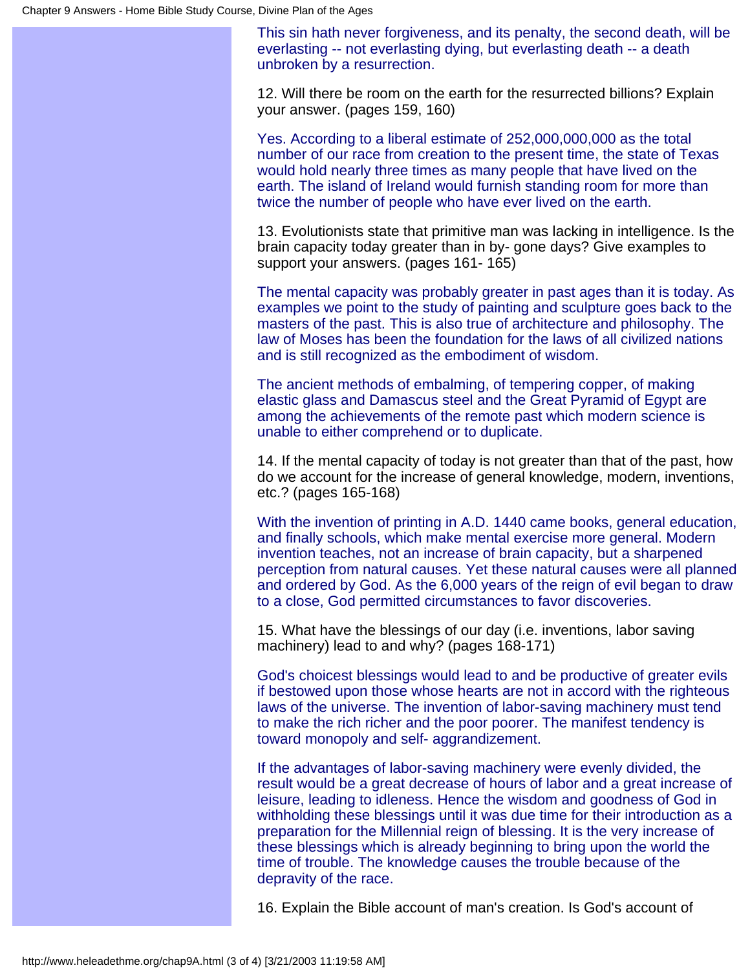This sin hath never forgiveness, and its penalty, the second death, will be everlasting -- not everlasting dying, but everlasting death -- a death unbroken by a resurrection.

12. Will there be room on the earth for the resurrected billions? Explain your answer. (pages 159, 160)

Yes. According to a liberal estimate of 252,000,000,000 as the total number of our race from creation to the present time, the state of Texas would hold nearly three times as many people that have lived on the earth. The island of Ireland would furnish standing room for more than twice the number of people who have ever lived on the earth.

13. Evolutionists state that primitive man was lacking in intelligence. Is the brain capacity today greater than in by- gone days? Give examples to support your answers. (pages 161- 165)

The mental capacity was probably greater in past ages than it is today. As examples we point to the study of painting and sculpture goes back to the masters of the past. This is also true of architecture and philosophy. The law of Moses has been the foundation for the laws of all civilized nations and is still recognized as the embodiment of wisdom.

The ancient methods of embalming, of tempering copper, of making elastic glass and Damascus steel and the Great Pyramid of Egypt are among the achievements of the remote past which modern science is unable to either comprehend or to duplicate.

14. If the mental capacity of today is not greater than that of the past, how do we account for the increase of general knowledge, modern, inventions, etc.? (pages 165-168)

With the invention of printing in A.D. 1440 came books, general education, and finally schools, which make mental exercise more general. Modern invention teaches, not an increase of brain capacity, but a sharpened perception from natural causes. Yet these natural causes were all planned and ordered by God. As the 6,000 years of the reign of evil began to draw to a close, God permitted circumstances to favor discoveries.

15. What have the blessings of our day (i.e. inventions, labor saving machinery) lead to and why? (pages 168-171)

God's choicest blessings would lead to and be productive of greater evils if bestowed upon those whose hearts are not in accord with the righteous laws of the universe. The invention of labor-saving machinery must tend to make the rich richer and the poor poorer. The manifest tendency is toward monopoly and self- aggrandizement.

If the advantages of labor-saving machinery were evenly divided, the result would be a great decrease of hours of labor and a great increase of leisure, leading to idleness. Hence the wisdom and goodness of God in withholding these blessings until it was due time for their introduction as a preparation for the Millennial reign of blessing. It is the very increase of these blessings which is already beginning to bring upon the world the time of trouble. The knowledge causes the trouble because of the depravity of the race.

16. Explain the Bible account of man's creation. Is God's account of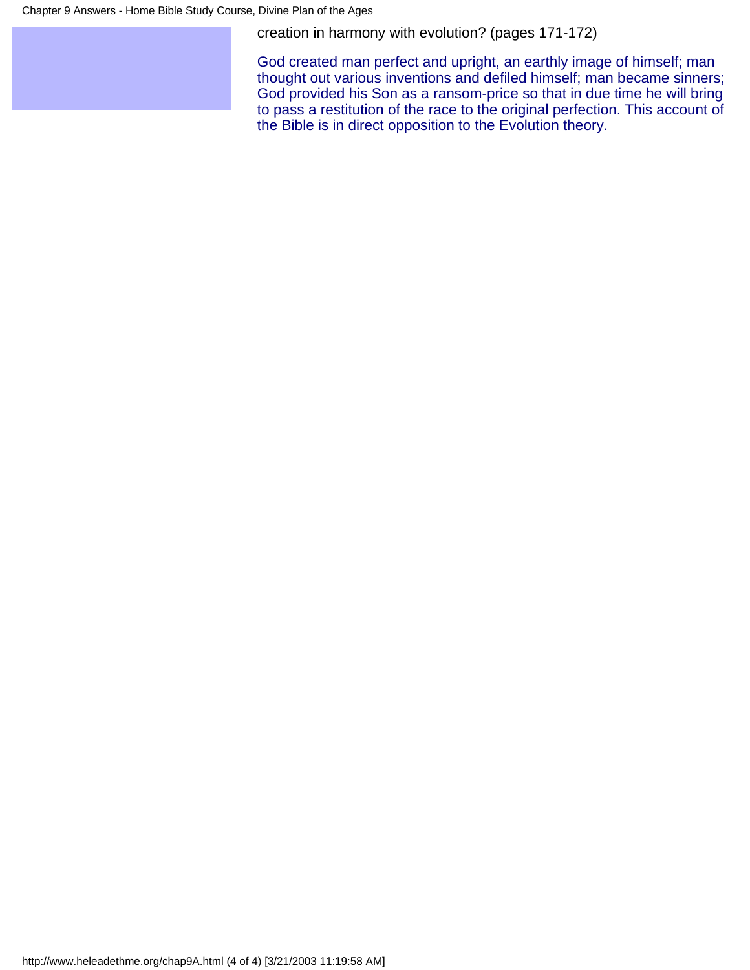creation in harmony with evolution? (pages 171-172)

God created man perfect and upright, an earthly image of himself; man thought out various inventions and defiled himself; man became sinners; God provided his Son as a ransom-price so that in due time he will bring to pass a restitution of the race to the original perfection. This account of the Bible is in direct opposition to the Evolution theory.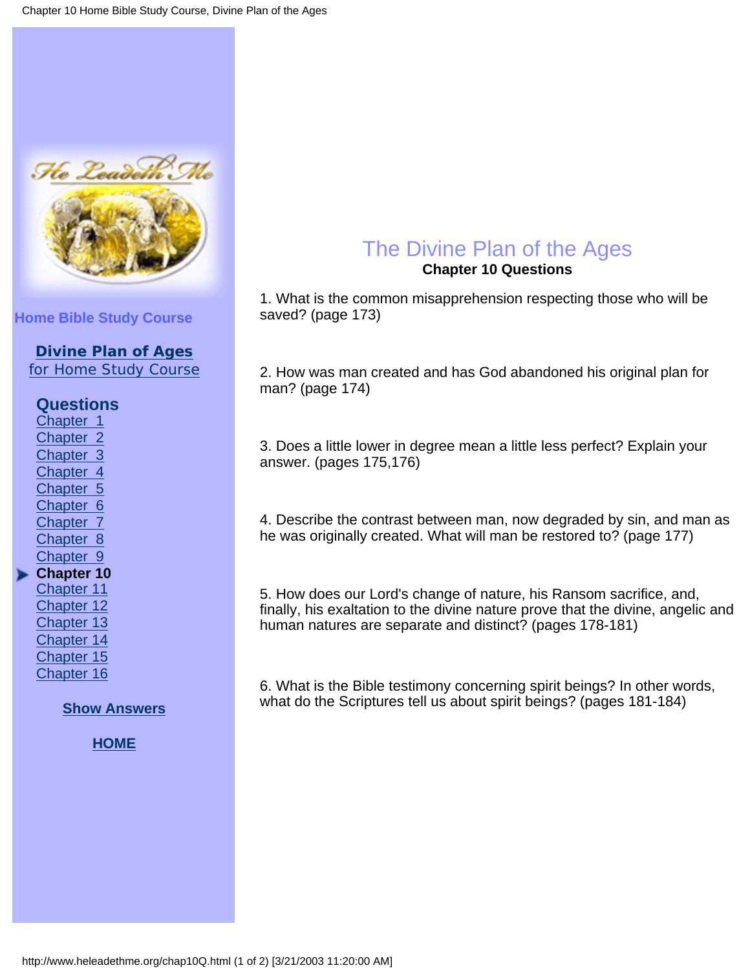<span id="page-60-0"></span>

## **[Divine Plan of Ages](#page-7-0)** [for Home Study Course](#page-7-0)

## **Questions**

[Chapter 1](#page-1-0) [Chapter 2](#page-9-0) [Chapter 3](#page-13-0) [Chapter 4](#page-19-0) [Chapter 5](#page-25-0) [Chapter 6](#page-32-0) [Chapter 7](#page-44-0) [Chapter 8](#page-48-0) [Chapter 9](#page-54-0) **Chapter 10** [Chapter 11](#page-66-0) [Chapter 12](#page-72-0) [Chapter 13](#page-74-0) [Chapter 14](#page-83-0) [Chapter 15](#page-94-0) [Chapter 16](#page-105-0)

### **[Show Answers](#page-62-0)**

### **[HOME](http://www.heleadethme.org/index.html)**

# The Divine Plan of the Ages

**Chapter 10 Questions**

1. What is the common misapprehension respecting those who will be saved? (page 173)

2. How was man created and has God abandoned his original plan for man? (page 174)

3. Does a little lower in degree mean a little less perfect? Explain your answer. (pages 175,176)

4. Describe the contrast between man, now degraded by sin, and man as he was originally created. What will man be restored to? (page 177)

5. How does our Lord's change of nature, his Ransom sacrifice, and, finally, his exaltation to the divine nature prove that the divine, angelic and human natures are separate and distinct? (pages 178-181)

6. What is the Bible testimony concerning spirit beings? In other words, what do the Scriptures tell us about spirit beings? (pages 181-184)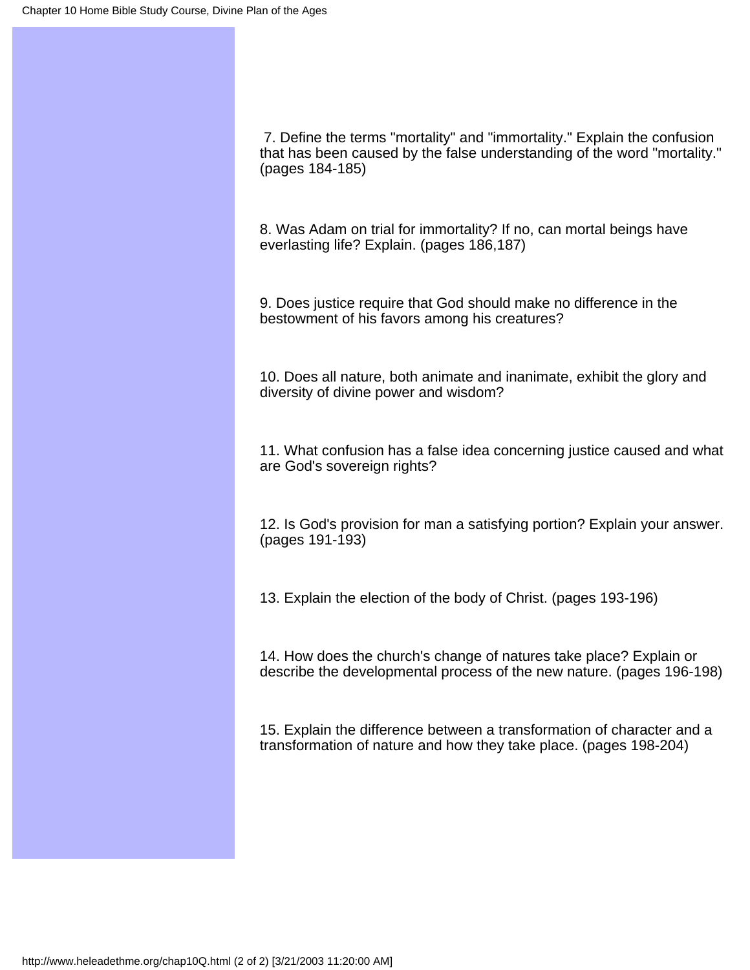7. Define the terms "mortality" and "immortality." Explain the confusion that has been caused by the false understanding of the word "mortality." (pages 184-185)

8. Was Adam on trial for immortality? If no, can mortal beings have everlasting life? Explain. (pages 186,187)

9. Does justice require that God should make no difference in the bestowment of his favors among his creatures?

10. Does all nature, both animate and inanimate, exhibit the glory and diversity of divine power and wisdom?

11. What confusion has a false idea concerning justice caused and what are God's sovereign rights?

12. Is God's provision for man a satisfying portion? Explain your answer. (pages 191-193)

13. Explain the election of the body of Christ. (pages 193-196)

14. How does the church's change of natures take place? Explain or describe the developmental process of the new nature. (pages 196-198)

15. Explain the difference between a transformation of character and a transformation of nature and how they take place. (pages 198-204)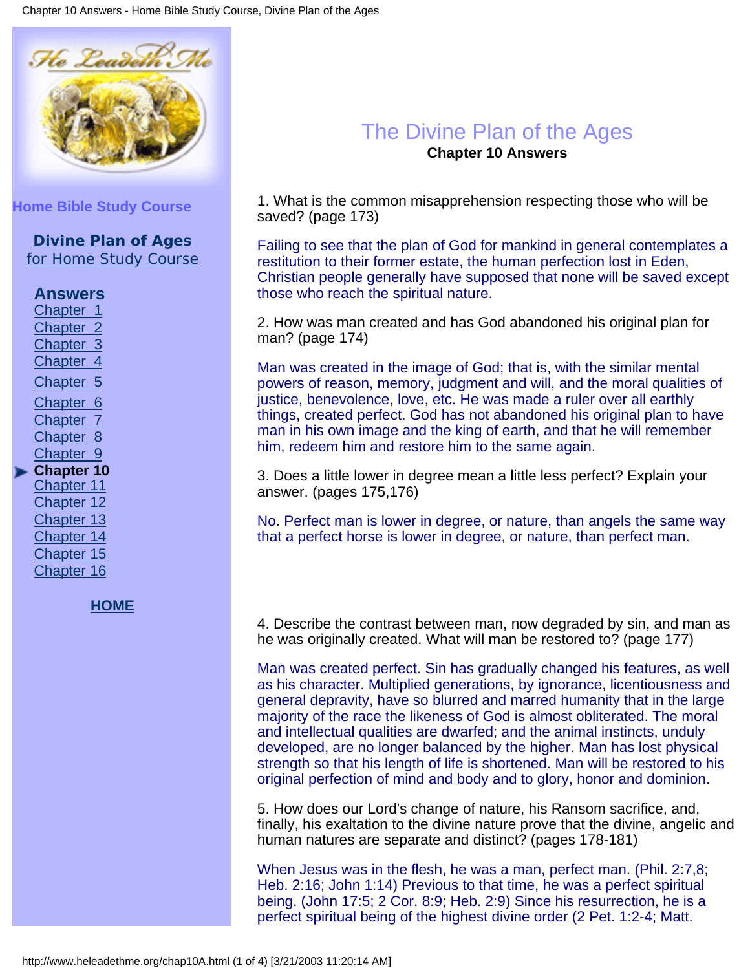<span id="page-62-0"></span>

**[Divine Plan of Ages](#page-7-0)** [for Home Study Course](#page-7-0)

#### **Answers**

[Chapter 1](#page-1-0) [Chapter 2](#page-9-0) [Chapter 3](#page-13-0) [Chapter 4](#page-19-0) [Chapter 5](#page-25-0) [Chapter 6](#page-32-0) [Chapter 7](#page-42-0) [Chapter 8](#page-48-0) [Chapter 9](#page-54-0) **Chapter 10** [Chapter 11](#page-66-0) [Chapter 12](#page-72-0) [Chapter 13](#page-74-0) [Chapter 14](#page-83-0) [Chapter 15](#page-94-0) [Chapter 16](#page-105-0)

## **[HOME](http://www.heleadethme.org/index.html)**

# The Divine Plan of the Ages

**Chapter 10 Answers**

1. What is the common misapprehension respecting those who will be saved? (page 173)

Failing to see that the plan of God for mankind in general contemplates a restitution to their former estate, the human perfection lost in Eden, Christian people generally have supposed that none will be saved except those who reach the spiritual nature.

2. How was man created and has God abandoned his original plan for man? (page 174)

Man was created in the image of God; that is, with the similar mental powers of reason, memory, judgment and will, and the moral qualities of justice, benevolence, love, etc. He was made a ruler over all earthly things, created perfect. God has not abandoned his original plan to have man in his own image and the king of earth, and that he will remember him, redeem him and restore him to the same again.

3. Does a little lower in degree mean a little less perfect? Explain your answer. (pages 175,176)

No. Perfect man is lower in degree, or nature, than angels the same way that a perfect horse is lower in degree, or nature, than perfect man.

4. Describe the contrast between man, now degraded by sin, and man as he was originally created. What will man be restored to? (page 177)

Man was created perfect. Sin has gradually changed his features, as well as his character. Multiplied generations, by ignorance, licentiousness and general depravity, have so blurred and marred humanity that in the large majority of the race the likeness of God is almost obliterated. The moral and intellectual qualities are dwarfed; and the animal instincts, unduly developed, are no longer balanced by the higher. Man has lost physical strength so that his length of life is shortened. Man will be restored to his original perfection of mind and body and to glory, honor and dominion.

5. How does our Lord's change of nature, his Ransom sacrifice, and, finally, his exaltation to the divine nature prove that the divine, angelic and human natures are separate and distinct? (pages 178-181)

When Jesus was in the flesh, he was a man, perfect man. (Phil. 2:7,8; Heb. 2:16; John 1:14) Previous to that time, he was a perfect spiritual being. (John 17:5; 2 Cor. 8:9; Heb. 2:9) Since his resurrection, he is a perfect spiritual being of the highest divine order (2 Pet. 1:2-4; Matt.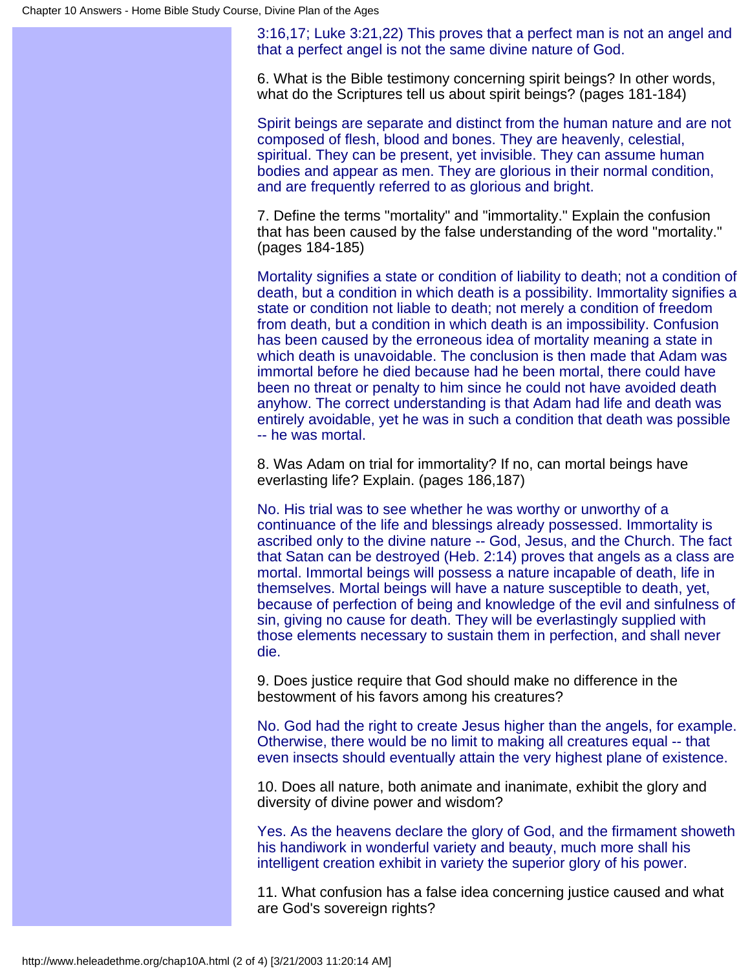3:16,17; Luke 3:21,22) This proves that a perfect man is not an angel and that a perfect angel is not the same divine nature of God.

6. What is the Bible testimony concerning spirit beings? In other words, what do the Scriptures tell us about spirit beings? (pages 181-184)

Spirit beings are separate and distinct from the human nature and are not composed of flesh, blood and bones. They are heavenly, celestial, spiritual. They can be present, yet invisible. They can assume human bodies and appear as men. They are glorious in their normal condition, and are frequently referred to as glorious and bright.

7. Define the terms "mortality" and "immortality." Explain the confusion that has been caused by the false understanding of the word "mortality." (pages 184-185)

Mortality signifies a state or condition of liability to death; not a condition of death, but a condition in which death is a possibility. Immortality signifies a state or condition not liable to death; not merely a condition of freedom from death, but a condition in which death is an impossibility. Confusion has been caused by the erroneous idea of mortality meaning a state in which death is unavoidable. The conclusion is then made that Adam was immortal before he died because had he been mortal, there could have been no threat or penalty to him since he could not have avoided death anyhow. The correct understanding is that Adam had life and death was entirely avoidable, yet he was in such a condition that death was possible -- he was mortal.

8. Was Adam on trial for immortality? If no, can mortal beings have everlasting life? Explain. (pages 186,187)

No. His trial was to see whether he was worthy or unworthy of a continuance of the life and blessings already possessed. Immortality is ascribed only to the divine nature -- God, Jesus, and the Church. The fact that Satan can be destroyed (Heb. 2:14) proves that angels as a class are mortal. Immortal beings will possess a nature incapable of death, life in themselves. Mortal beings will have a nature susceptible to death, yet, because of perfection of being and knowledge of the evil and sinfulness of sin, giving no cause for death. They will be everlastingly supplied with those elements necessary to sustain them in perfection, and shall never die.

9. Does justice require that God should make no difference in the bestowment of his favors among his creatures?

No. God had the right to create Jesus higher than the angels, for example. Otherwise, there would be no limit to making all creatures equal -- that even insects should eventually attain the very highest plane of existence.

10. Does all nature, both animate and inanimate, exhibit the glory and diversity of divine power and wisdom?

Yes. As the heavens declare the glory of God, and the firmament showeth his handiwork in wonderful variety and beauty, much more shall his intelligent creation exhibit in variety the superior glory of his power.

11. What confusion has a false idea concerning justice caused and what are God's sovereign rights?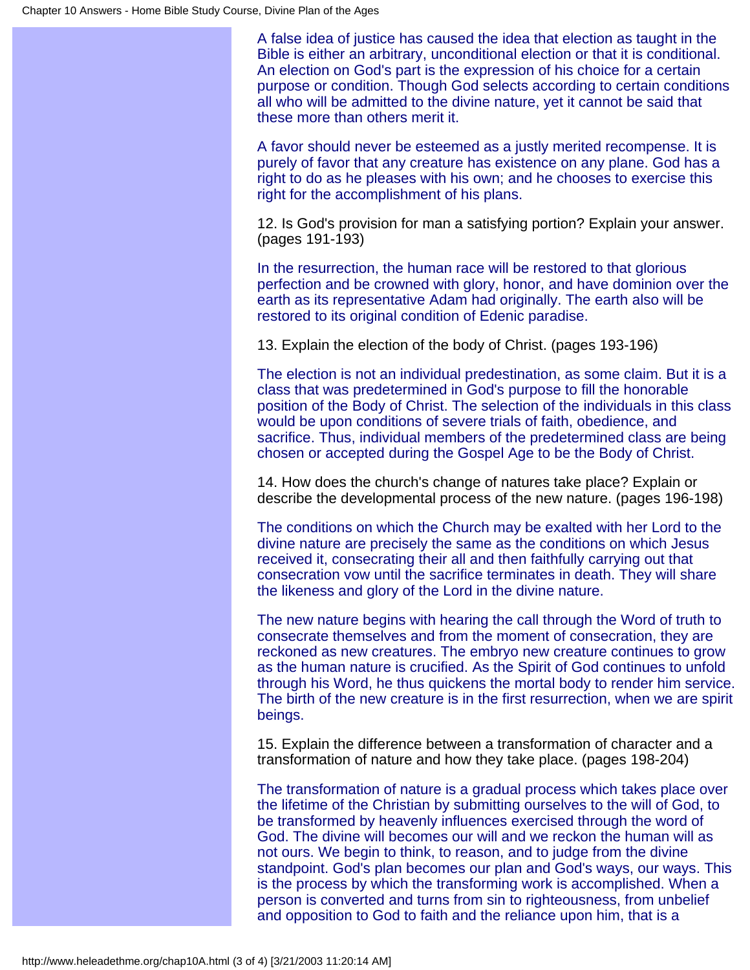A false idea of justice has caused the idea that election as taught in the Bible is either an arbitrary, unconditional election or that it is conditional. An election on God's part is the expression of his choice for a certain purpose or condition. Though God selects according to certain conditions all who will be admitted to the divine nature, yet it cannot be said that these more than others merit it.

A favor should never be esteemed as a justly merited recompense. It is purely of favor that any creature has existence on any plane. God has a right to do as he pleases with his own; and he chooses to exercise this right for the accomplishment of his plans.

12. Is God's provision for man a satisfying portion? Explain your answer. (pages 191-193)

In the resurrection, the human race will be restored to that glorious perfection and be crowned with glory, honor, and have dominion over the earth as its representative Adam had originally. The earth also will be restored to its original condition of Edenic paradise.

13. Explain the election of the body of Christ. (pages 193-196)

The election is not an individual predestination, as some claim. But it is a class that was predetermined in God's purpose to fill the honorable position of the Body of Christ. The selection of the individuals in this class would be upon conditions of severe trials of faith, obedience, and sacrifice. Thus, individual members of the predetermined class are being chosen or accepted during the Gospel Age to be the Body of Christ.

14. How does the church's change of natures take place? Explain or describe the developmental process of the new nature. (pages 196-198)

The conditions on which the Church may be exalted with her Lord to the divine nature are precisely the same as the conditions on which Jesus received it, consecrating their all and then faithfully carrying out that consecration vow until the sacrifice terminates in death. They will share the likeness and glory of the Lord in the divine nature.

The new nature begins with hearing the call through the Word of truth to consecrate themselves and from the moment of consecration, they are reckoned as new creatures. The embryo new creature continues to grow as the human nature is crucified. As the Spirit of God continues to unfold through his Word, he thus quickens the mortal body to render him service. The birth of the new creature is in the first resurrection, when we are spirit beings.

15. Explain the difference between a transformation of character and a transformation of nature and how they take place. (pages 198-204)

The transformation of nature is a gradual process which takes place over the lifetime of the Christian by submitting ourselves to the will of God, to be transformed by heavenly influences exercised through the word of God. The divine will becomes our will and we reckon the human will as not ours. We begin to think, to reason, and to judge from the divine standpoint. God's plan becomes our plan and God's ways, our ways. This is the process by which the transforming work is accomplished. When a person is converted and turns from sin to righteousness, from unbelief and opposition to God to faith and the reliance upon him, that is a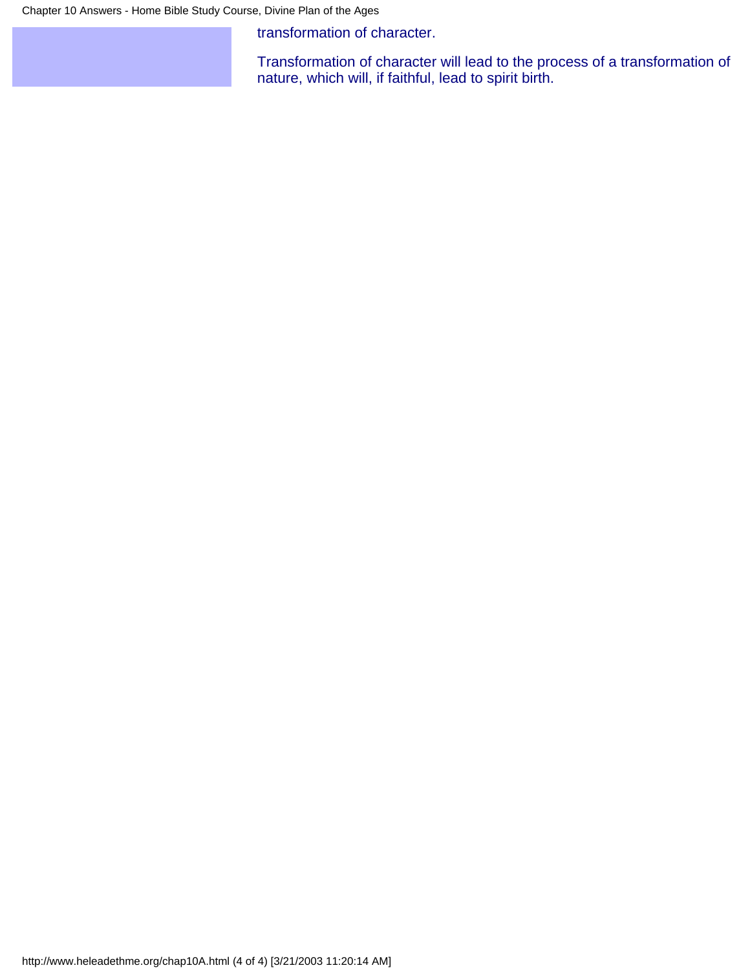transformation of character.

Transformation of character will lead to the process of a transformation of nature, which will, if faithful, lead to spirit birth.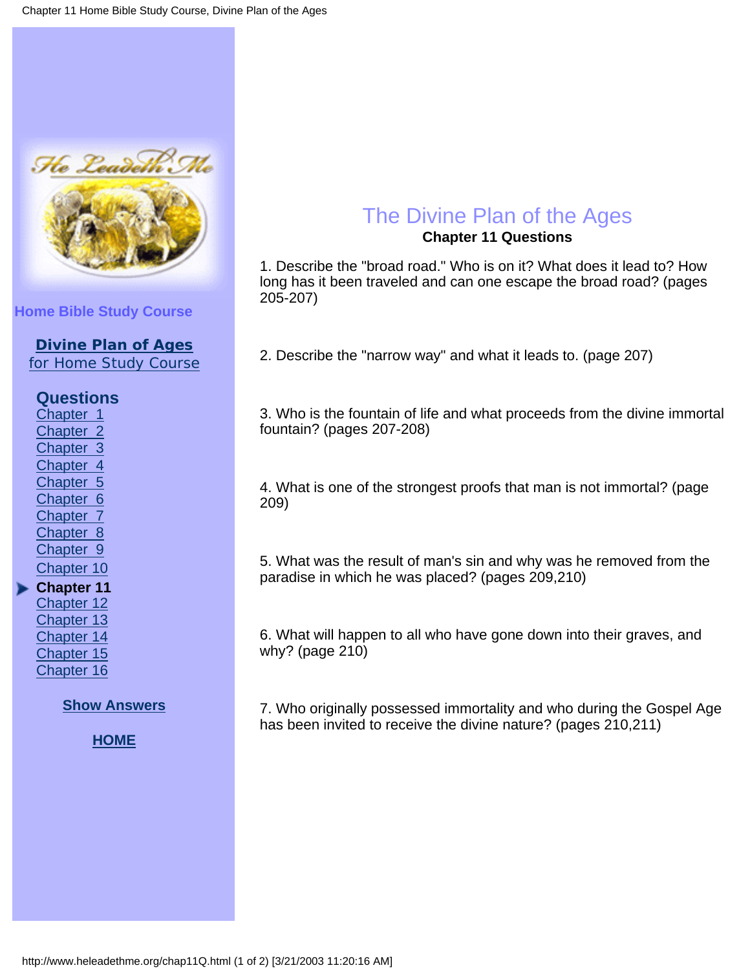<span id="page-66-0"></span>

**[Divine Plan of Ages](#page-7-0)** [for Home Study Course](#page-7-0)

### **Questions**

[Chapter 1](#page-1-0) [Chapter 2](#page-9-0) [Chapter 3](#page-13-0) [Chapter 4](#page-19-0) [Chapter 5](#page-25-0) [Chapter 6](#page-32-0) [Chapter 7](#page-44-0) [Chapter 8](#page-48-0) [Chapter 9](#page-54-0) [Chapter 10](#page-60-0) **Chapter 11** [Chapter 12](#page-72-0) [Chapter 13](#page-74-0) [Chapter 14](#page-83-0) [Chapter 15](#page-94-0) [Chapter 16](#page-105-0)

### **[Show Answers](#page-68-0)**

**[HOME](http://www.heleadethme.org/index.html)**

# The Divine Plan of the Ages

## **Chapter 11 Questions**

1. Describe the "broad road." Who is on it? What does it lead to? How long has it been traveled and can one escape the broad road? (pages 205-207)

2. Describe the "narrow way" and what it leads to. (page 207)

3. Who is the fountain of life and what proceeds from the divine immortal fountain? (pages 207-208)

4. What is one of the strongest proofs that man is not immortal? (page 209)

5. What was the result of man's sin and why was he removed from the paradise in which he was placed? (pages 209,210)

6. What will happen to all who have gone down into their graves, and why? (page 210)

7. Who originally possessed immortality and who during the Gospel Age has been invited to receive the divine nature? (pages 210,211)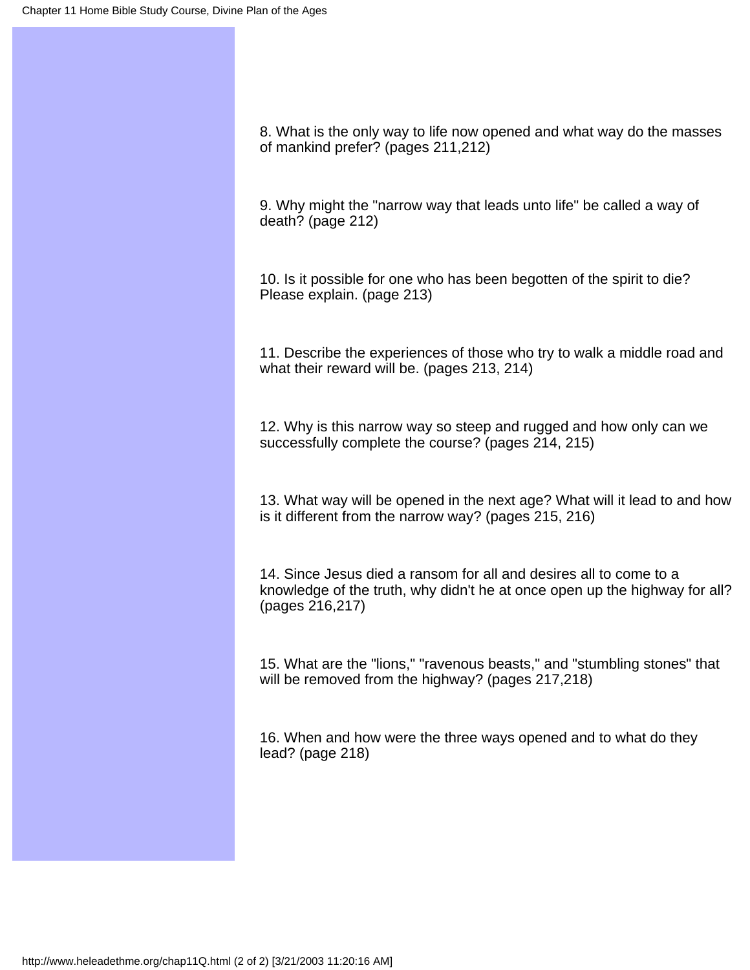8. What is the only way to life now opened and what way do the masses of mankind prefer? (pages 211,212)

9. Why might the "narrow way that leads unto life" be called a way of death? (page 212)

10. Is it possible for one who has been begotten of the spirit to die? Please explain. (page 213)

11. Describe the experiences of those who try to walk a middle road and what their reward will be. (pages 213, 214)

12. Why is this narrow way so steep and rugged and how only can we successfully complete the course? (pages 214, 215)

13. What way will be opened in the next age? What will it lead to and how is it different from the narrow way? (pages 215, 216)

14. Since Jesus died a ransom for all and desires all to come to a knowledge of the truth, why didn't he at once open up the highway for all? (pages 216,217)

15. What are the "lions," "ravenous beasts," and "stumbling stones" that will be removed from the highway? (pages 217,218)

16. When and how were the three ways opened and to what do they lead? (page 218)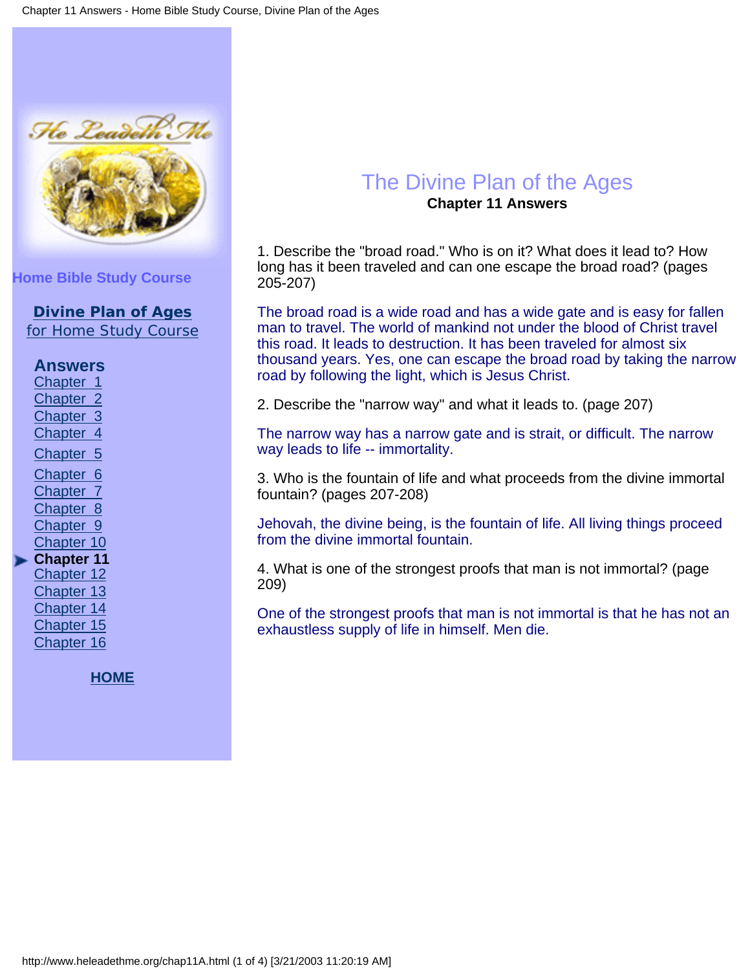<span id="page-68-0"></span>

**[Divine Plan of Ages](#page-7-0)** [for Home Study Course](#page-7-0)

### **Answers**

[Chapter 1](#page-1-0) [Chapter 2](#page-9-0) [Chapter 3](#page-13-0) [Chapter 4](#page-19-0) [Chapter 5](#page-25-0) [Chapter 6](#page-32-0) [Chapter 7](#page-42-0) [Chapter 8](#page-48-0) [Chapter 9](#page-54-0) [Chapter 10](#page-60-0) **Chapter 11** [Chapter 12](#page-72-0) [Chapter 13](#page-74-0) [Chapter 14](#page-83-0) [Chapter 15](#page-94-0) [Chapter 16](#page-105-0)

**[HOME](http://www.heleadethme.org/index.html)**

## The Divine Plan of the Ages

**Chapter 11 Answers**

1. Describe the "broad road." Who is on it? What does it lead to? How long has it been traveled and can one escape the broad road? (pages 205-207)

The broad road is a wide road and has a wide gate and is easy for fallen man to travel. The world of mankind not under the blood of Christ travel this road. It leads to destruction. It has been traveled for almost six thousand years. Yes, one can escape the broad road by taking the narrow road by following the light, which is Jesus Christ.

2. Describe the "narrow way" and what it leads to. (page 207)

The narrow way has a narrow gate and is strait, or difficult. The narrow way leads to life -- immortality.

3. Who is the fountain of life and what proceeds from the divine immortal fountain? (pages 207-208)

Jehovah, the divine being, is the fountain of life. All living things proceed from the divine immortal fountain.

4. What is one of the strongest proofs that man is not immortal? (page 209)

One of the strongest proofs that man is not immortal is that he has not an exhaustless supply of life in himself. Men die.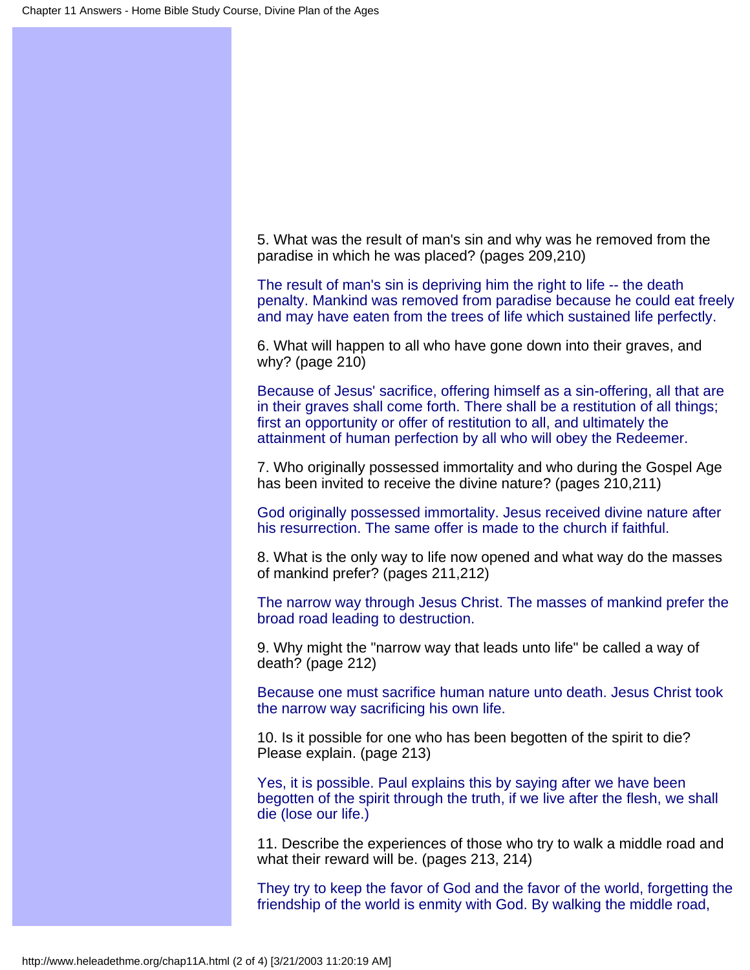

The result of man's sin is depriving him the right to life -- the death penalty. Mankind was removed from paradise because he could eat freely and may have eaten from the trees of life which sustained life perfectly.

6. What will happen to all who have gone down into their graves, and why? (page 210)

Because of Jesus' sacrifice, offering himself as a sin-offering, all that are in their graves shall come forth. There shall be a restitution of all things; first an opportunity or offer of restitution to all, and ultimately the attainment of human perfection by all who will obey the Redeemer.

7. Who originally possessed immortality and who during the Gospel Age has been invited to receive the divine nature? (pages 210,211)

God originally possessed immortality. Jesus received divine nature after his resurrection. The same offer is made to the church if faithful.

8. What is the only way to life now opened and what way do the masses of mankind prefer? (pages 211,212)

The narrow way through Jesus Christ. The masses of mankind prefer the broad road leading to destruction.

9. Why might the "narrow way that leads unto life" be called a way of death? (page 212)

Because one must sacrifice human nature unto death. Jesus Christ took the narrow way sacrificing his own life.

10. Is it possible for one who has been begotten of the spirit to die? Please explain. (page 213)

Yes, it is possible. Paul explains this by saying after we have been begotten of the spirit through the truth, if we live after the flesh, we shall die (lose our life.)

11. Describe the experiences of those who try to walk a middle road and what their reward will be. (pages 213, 214)

They try to keep the favor of God and the favor of the world, forgetting the friendship of the world is enmity with God. By walking the middle road,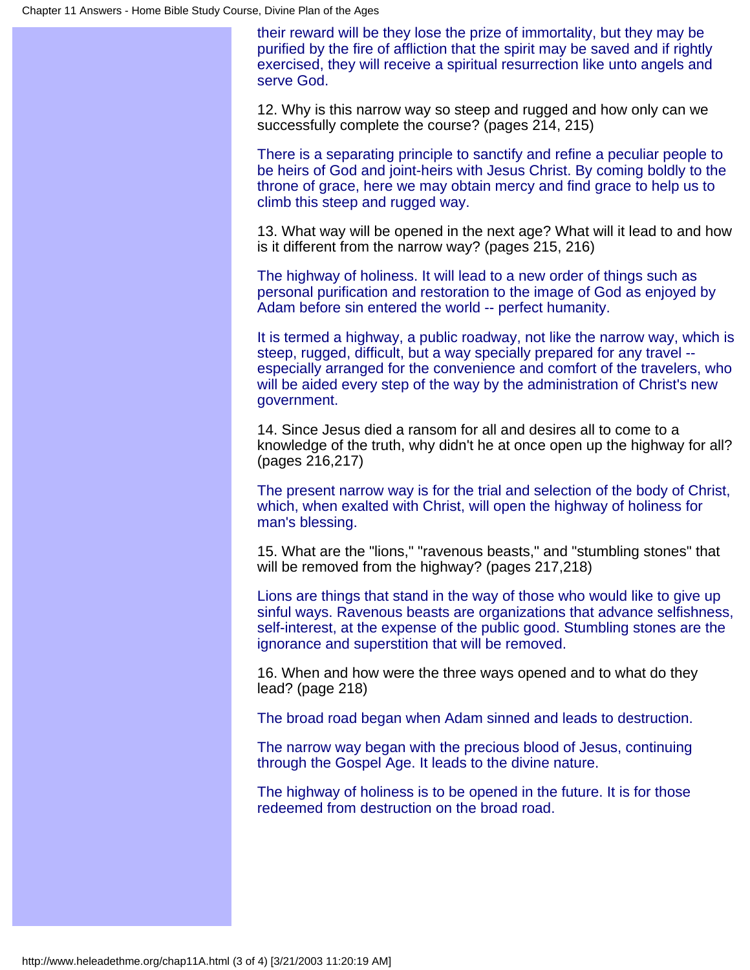their reward will be they lose the prize of immortality, but they may be purified by the fire of affliction that the spirit may be saved and if rightly exercised, they will receive a spiritual resurrection like unto angels and serve God.

12. Why is this narrow way so steep and rugged and how only can we successfully complete the course? (pages 214, 215)

There is a separating principle to sanctify and refine a peculiar people to be heirs of God and joint-heirs with Jesus Christ. By coming boldly to the throne of grace, here we may obtain mercy and find grace to help us to climb this steep and rugged way.

13. What way will be opened in the next age? What will it lead to and how is it different from the narrow way? (pages 215, 216)

The highway of holiness. It will lead to a new order of things such as personal purification and restoration to the image of God as enjoyed by Adam before sin entered the world -- perfect humanity.

It is termed a highway, a public roadway, not like the narrow way, which is steep, rugged, difficult, but a way specially prepared for any travel - especially arranged for the convenience and comfort of the travelers, who will be aided every step of the way by the administration of Christ's new government.

14. Since Jesus died a ransom for all and desires all to come to a knowledge of the truth, why didn't he at once open up the highway for all? (pages 216,217)

The present narrow way is for the trial and selection of the body of Christ, which, when exalted with Christ, will open the highway of holiness for man's blessing.

15. What are the "lions," "ravenous beasts," and "stumbling stones" that will be removed from the highway? (pages 217,218)

Lions are things that stand in the way of those who would like to give up sinful ways. Ravenous beasts are organizations that advance selfishness, self-interest, at the expense of the public good. Stumbling stones are the ignorance and superstition that will be removed.

16. When and how were the three ways opened and to what do they lead? (page 218)

The broad road began when Adam sinned and leads to destruction.

The narrow way began with the precious blood of Jesus, continuing through the Gospel Age. It leads to the divine nature.

The highway of holiness is to be opened in the future. It is for those redeemed from destruction on the broad road.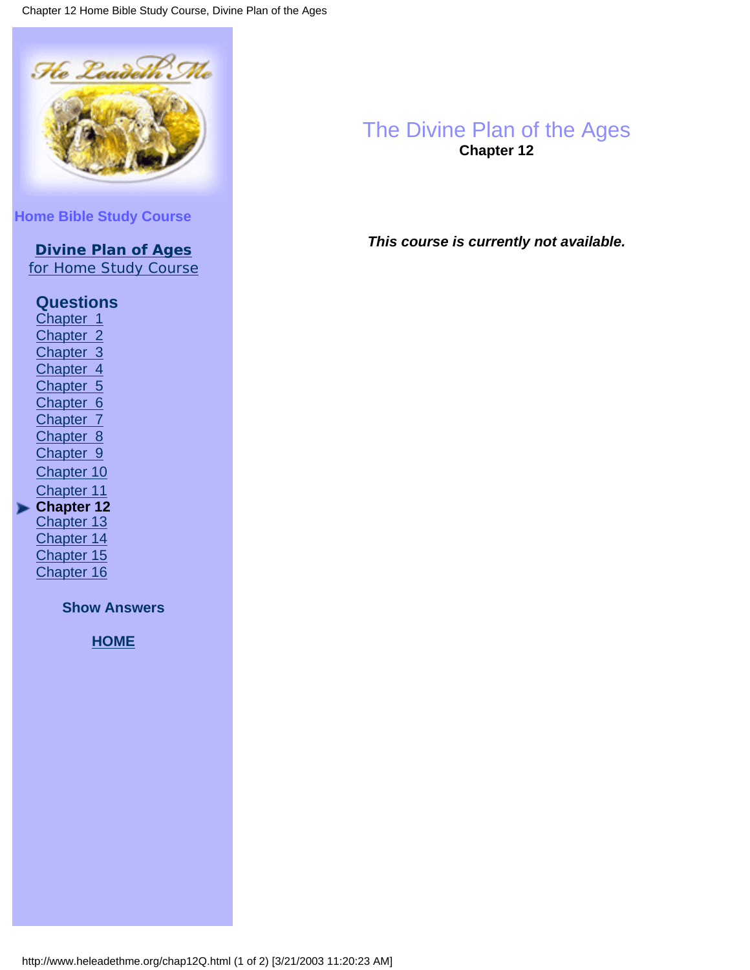<span id="page-72-0"></span>

**Home Bible Study Course**

## **[Divine Plan of Ages](#page-7-0)** [for Home Study Course](#page-7-0)

#### **Questions**

| <b>Chapter</b><br>1 |
|---------------------|
| Chapter<br>2        |
| <b>Chapter</b><br>3 |
| Chapter<br>4        |
| Chapter<br>5        |
| 6<br><b>Chapter</b> |
| 7<br>Chapter        |
| Chapter<br>8        |
| Chapter 9           |
| Chapter 10          |
| <b>Chapter 11</b>   |
| <b>Chapter 12</b>   |
| <b>Chapter 13</b>   |
| Chapter 14          |
| <b>Chapter 15</b>   |
| <b>Chapter 16</b>   |

**Show Answers**

**[HOME](http://www.heleadethme.org/index.html)**

## The Divine Plan of the Ages **Chapter 12**

*This course is currently not available.*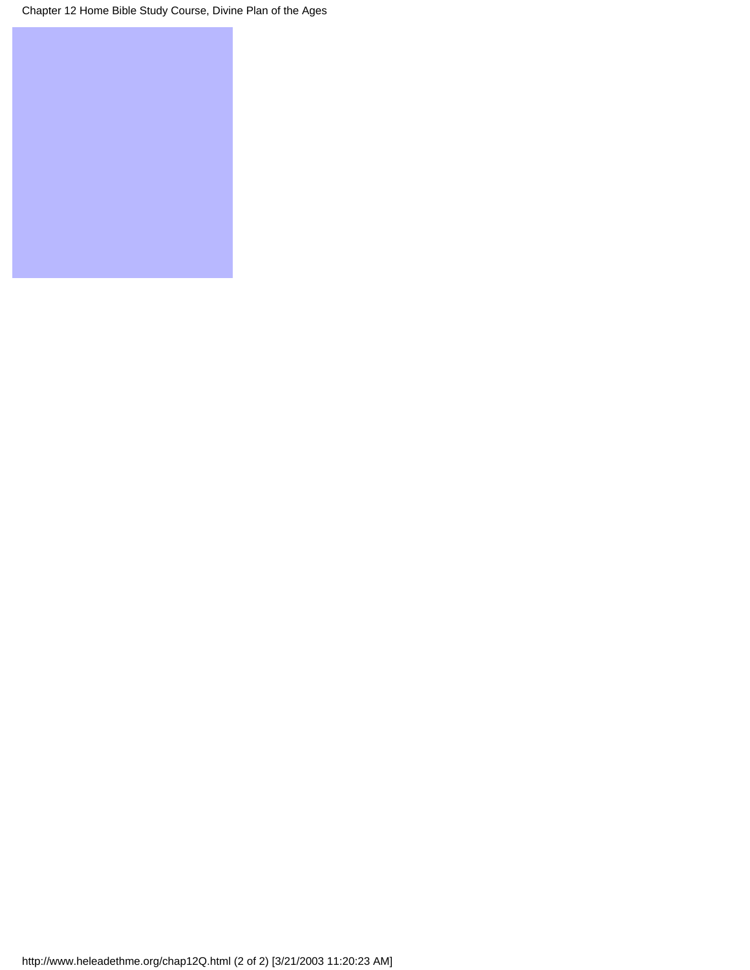Chapter 12 Home Bible Study Course, Divine Plan of the Ages

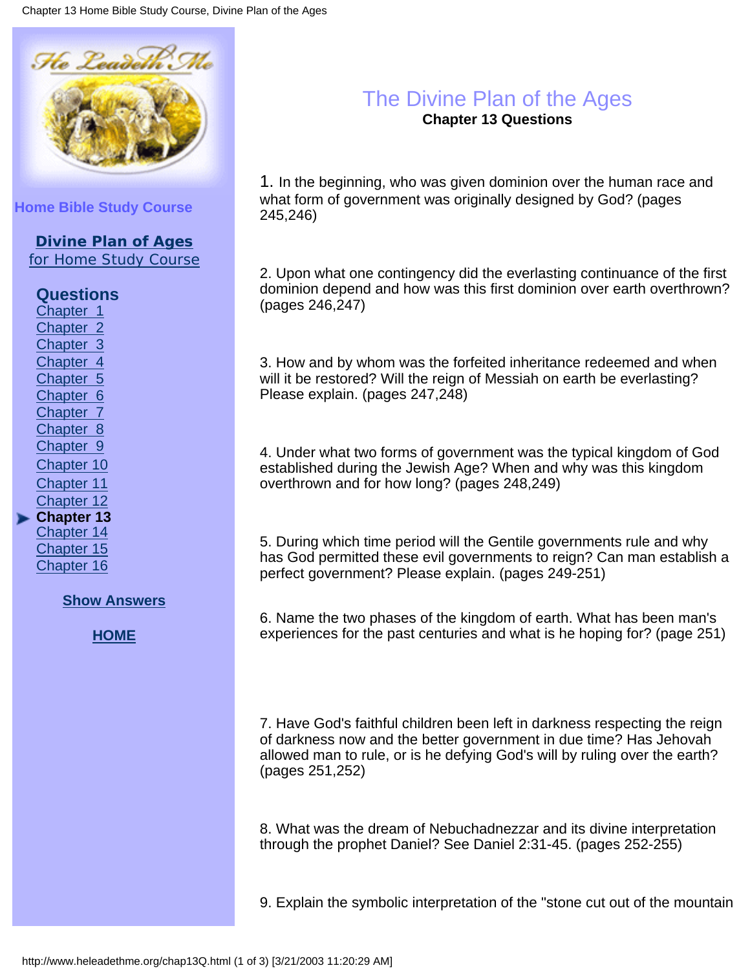<span id="page-74-0"></span>

**Home Bible Study Course**

**[Divine Plan of Ages](#page-7-0)** [for Home Study Course](#page-7-0)

#### **Questions**

| <b>Chapter</b>       |  |
|----------------------|--|
| <b>Chapter</b><br>2  |  |
| 3<br><b>Chapter</b>  |  |
| 4<br>Chapter         |  |
| Chapter<br>5         |  |
| 6<br>Chapter         |  |
| 7<br><b>Chapter</b>  |  |
| <b>Chapter</b><br>8  |  |
| Chapter <sub>9</sub> |  |
| <b>Chapter 10</b>    |  |
| <b>Chapter 11</b>    |  |
| <b>Chapter 12</b>    |  |
| <b>Chapter 13</b>    |  |
|                      |  |
| <b>Chapter 14</b>    |  |
| <b>Chapter 15</b>    |  |
| Chapter 1<br>6       |  |
|                      |  |

#### **[Show Answers](#page-77-0)**

**[HOME](http://www.heleadethme.org/index.html)**

## The Divine Plan of the Ages

**Chapter 13 Questions**

1. In the beginning, who was given dominion over the human race and what form of government was originally designed by God? (pages 245,246)

2. Upon what one contingency did the everlasting continuance of the first dominion depend and how was this first dominion over earth overthrown? (pages 246,247)

3. How and by whom was the forfeited inheritance redeemed and when will it be restored? Will the reign of Messiah on earth be everlasting? Please explain. (pages 247,248)

4. Under what two forms of government was the typical kingdom of God established during the Jewish Age? When and why was this kingdom overthrown and for how long? (pages 248,249)

5. During which time period will the Gentile governments rule and why has God permitted these evil governments to reign? Can man establish a perfect government? Please explain. (pages 249-251)

6. Name the two phases of the kingdom of earth. What has been man's experiences for the past centuries and what is he hoping for? (page 251)

7. Have God's faithful children been left in darkness respecting the reign of darkness now and the better government in due time? Has Jehovah allowed man to rule, or is he defying God's will by ruling over the earth? (pages 251,252)

8. What was the dream of Nebuchadnezzar and its divine interpretation through the prophet Daniel? See Daniel 2:31-45. (pages 252-255)

9. Explain the symbolic interpretation of the "stone cut out of the mountain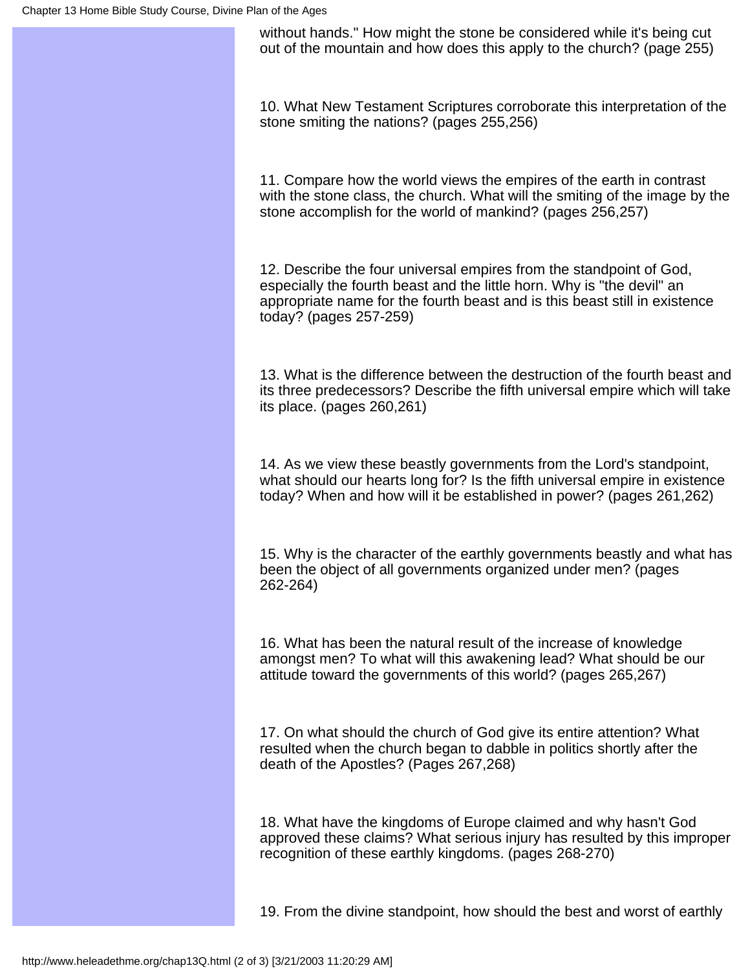without hands." How might the stone be considered while it's being cut out of the mountain and how does this apply to the church? (page 255)

10. What New Testament Scriptures corroborate this interpretation of the stone smiting the nations? (pages 255,256)

11. Compare how the world views the empires of the earth in contrast with the stone class, the church. What will the smiting of the image by the stone accomplish for the world of mankind? (pages 256,257)

12. Describe the four universal empires from the standpoint of God, especially the fourth beast and the little horn. Why is "the devil" an appropriate name for the fourth beast and is this beast still in existence today? (pages 257-259)

13. What is the difference between the destruction of the fourth beast and its three predecessors? Describe the fifth universal empire which will take its place. (pages 260,261)

14. As we view these beastly governments from the Lord's standpoint, what should our hearts long for? Is the fifth universal empire in existence today? When and how will it be established in power? (pages 261,262)

15. Why is the character of the earthly governments beastly and what has been the object of all governments organized under men? (pages 262-264)

16. What has been the natural result of the increase of knowledge amongst men? To what will this awakening lead? What should be our attitude toward the governments of this world? (pages 265,267)

17. On what should the church of God give its entire attention? What resulted when the church began to dabble in politics shortly after the death of the Apostles? (Pages 267,268)

18. What have the kingdoms of Europe claimed and why hasn't God approved these claims? What serious injury has resulted by this improper recognition of these earthly kingdoms. (pages 268-270)

19. From the divine standpoint, how should the best and worst of earthly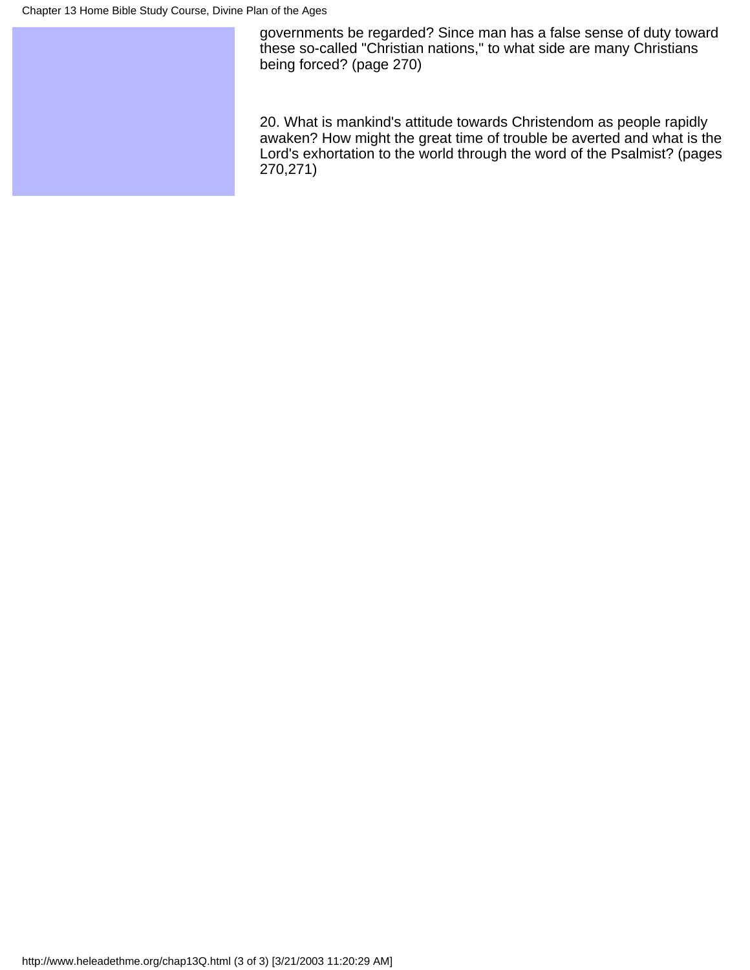governments be regarded? Since man has a false sense of duty toward these so-called "Christian nations," to what side are many Christians being forced? (page 270)

20. What is mankind's attitude towards Christendom as people rapidly awaken? How might the great time of trouble be averted and what is the Lord's exhortation to the world through the word of the Psalmist? (pages 270,271)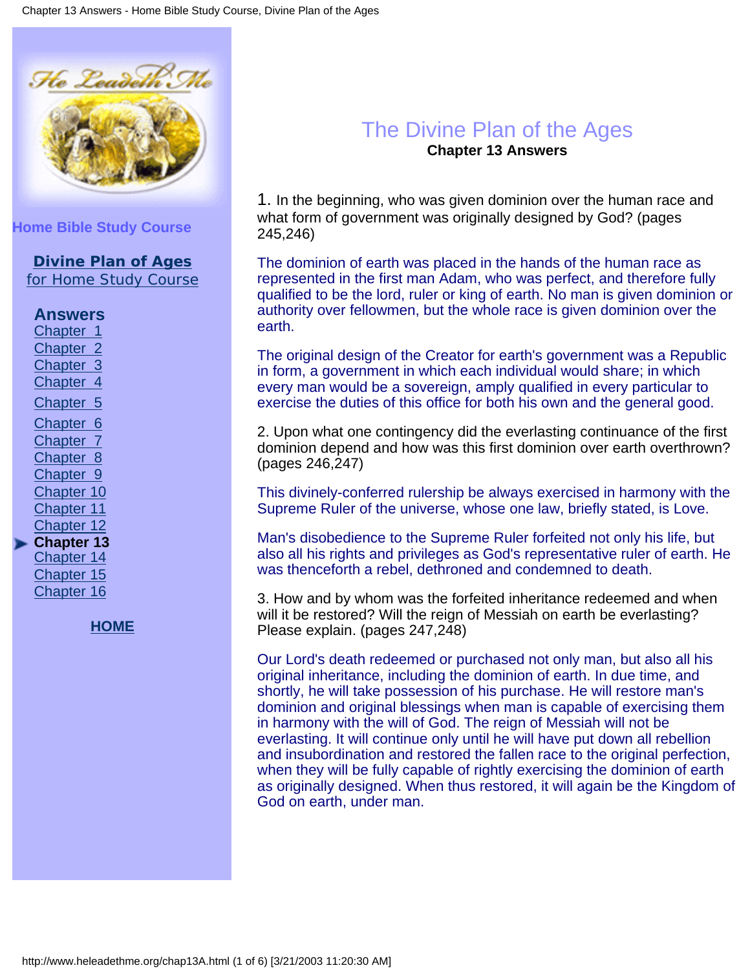<span id="page-77-0"></span>

**Home Bible Study Course**

#### **[Divine Plan of Ages](#page-7-0)** [for Home Study Course](#page-7-0)

**Answers** [Chapter 1](#page-1-0) [Chapter 2](#page-9-0) [Chapter 3](#page-13-0) [Chapter 4](#page-19-0) [Chapter 5](#page-25-0) [Chapter 6](#page-32-0) [Chapter 7](#page-42-0) [Chapter 8](#page-48-0) [Chapter 9](#page-54-0) [Chapter 10](#page-60-0) [Chapter 11](#page-74-0) [Chapter 12](#page-72-0) **Chapter 13** [Chapter 14](#page-83-0) [Chapter 15](#page-94-0) [Chapter 16](#page-105-0)

#### **[HOME](http://www.heleadethme.org/index.html)**

# The Divine Plan of the Ages

**Chapter 13 Answers**

1. In the beginning, who was given dominion over the human race and what form of government was originally designed by God? (pages 245,246)

The dominion of earth was placed in the hands of the human race as represented in the first man Adam, who was perfect, and therefore fully qualified to be the lord, ruler or king of earth. No man is given dominion or authority over fellowmen, but the whole race is given dominion over the earth.

The original design of the Creator for earth's government was a Republic in form, a government in which each individual would share; in which every man would be a sovereign, amply qualified in every particular to exercise the duties of this office for both his own and the general good.

2. Upon what one contingency did the everlasting continuance of the first dominion depend and how was this first dominion over earth overthrown? (pages 246,247)

This divinely-conferred rulership be always exercised in harmony with the Supreme Ruler of the universe, whose one law, briefly stated, is Love.

Man's disobedience to the Supreme Ruler forfeited not only his life, but also all his rights and privileges as God's representative ruler of earth. He was thenceforth a rebel, dethroned and condemned to death.

3. How and by whom was the forfeited inheritance redeemed and when will it be restored? Will the reign of Messiah on earth be everlasting? Please explain. (pages 247,248)

Our Lord's death redeemed or purchased not only man, but also all his original inheritance, including the dominion of earth. In due time, and shortly, he will take possession of his purchase. He will restore man's dominion and original blessings when man is capable of exercising them in harmony with the will of God. The reign of Messiah will not be everlasting. It will continue only until he will have put down all rebellion and insubordination and restored the fallen race to the original perfection, when they will be fully capable of rightly exercising the dominion of earth as originally designed. When thus restored, it will again be the Kingdom of God on earth, under man.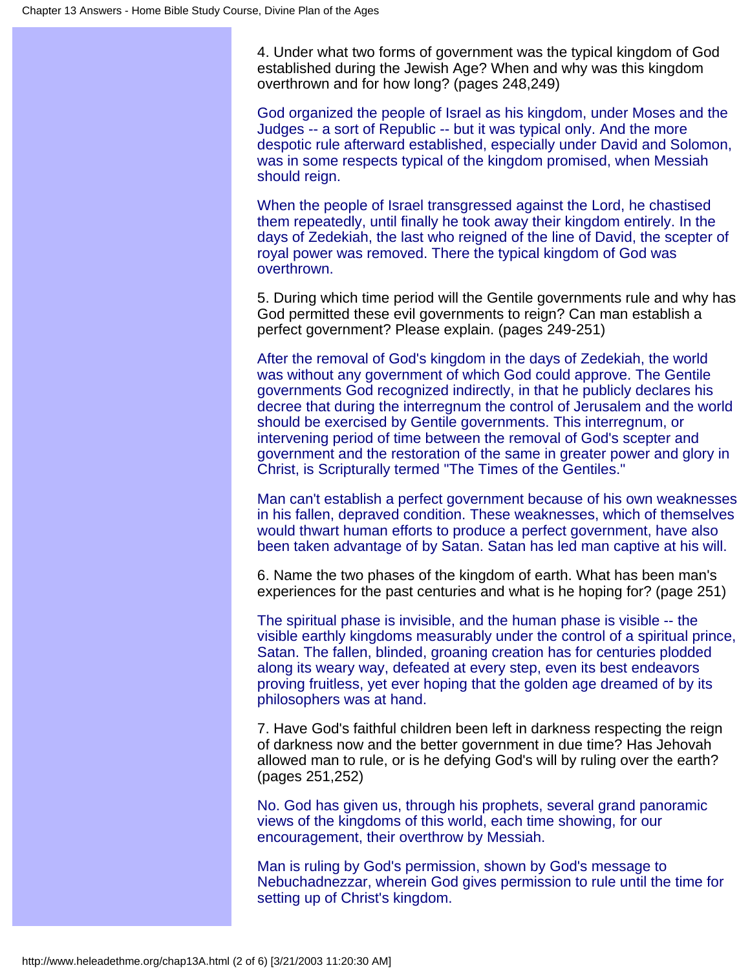4. Under what two forms of government was the typical kingdom of God established during the Jewish Age? When and why was this kingdom overthrown and for how long? (pages 248,249)

God organized the people of Israel as his kingdom, under Moses and the Judges -- a sort of Republic -- but it was typical only. And the more despotic rule afterward established, especially under David and Solomon, was in some respects typical of the kingdom promised, when Messiah should reign.

When the people of Israel transgressed against the Lord, he chastised them repeatedly, until finally he took away their kingdom entirely. In the days of Zedekiah, the last who reigned of the line of David, the scepter of royal power was removed. There the typical kingdom of God was overthrown.

5. During which time period will the Gentile governments rule and why has God permitted these evil governments to reign? Can man establish a perfect government? Please explain. (pages 249-251)

After the removal of God's kingdom in the days of Zedekiah, the world was without any government of which God could approve. The Gentile governments God recognized indirectly, in that he publicly declares his decree that during the interregnum the control of Jerusalem and the world should be exercised by Gentile governments. This interregnum, or intervening period of time between the removal of God's scepter and government and the restoration of the same in greater power and glory in Christ, is Scripturally termed "The Times of the Gentiles."

Man can't establish a perfect government because of his own weaknesses in his fallen, depraved condition. These weaknesses, which of themselves would thwart human efforts to produce a perfect government, have also been taken advantage of by Satan. Satan has led man captive at his will.

6. Name the two phases of the kingdom of earth. What has been man's experiences for the past centuries and what is he hoping for? (page 251)

The spiritual phase is invisible, and the human phase is visible -- the visible earthly kingdoms measurably under the control of a spiritual prince, Satan. The fallen, blinded, groaning creation has for centuries plodded along its weary way, defeated at every step, even its best endeavors proving fruitless, yet ever hoping that the golden age dreamed of by its philosophers was at hand.

7. Have God's faithful children been left in darkness respecting the reign of darkness now and the better government in due time? Has Jehovah allowed man to rule, or is he defying God's will by ruling over the earth? (pages 251,252)

No. God has given us, through his prophets, several grand panoramic views of the kingdoms of this world, each time showing, for our encouragement, their overthrow by Messiah.

Man is ruling by God's permission, shown by God's message to Nebuchadnezzar, wherein God gives permission to rule until the time for setting up of Christ's kingdom.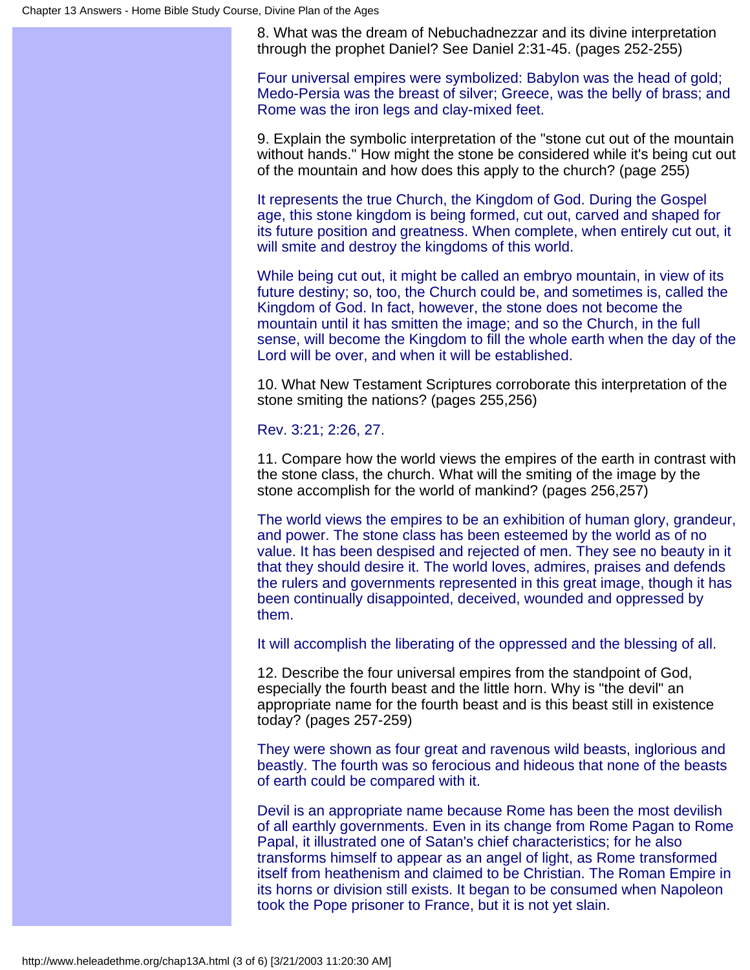8. What was the dream of Nebuchadnezzar and its divine interpretation through the prophet Daniel? See Daniel 2:31-45. (pages 252-255)

Four universal empires were symbolized: Babylon was the head of gold; Medo-Persia was the breast of silver; Greece, was the belly of brass; and Rome was the iron legs and clay-mixed feet.

9. Explain the symbolic interpretation of the "stone cut out of the mountain without hands." How might the stone be considered while it's being cut out of the mountain and how does this apply to the church? (page 255)

It represents the true Church, the Kingdom of God. During the Gospel age, this stone kingdom is being formed, cut out, carved and shaped for its future position and greatness. When complete, when entirely cut out, it will smite and destroy the kingdoms of this world.

While being cut out, it might be called an embryo mountain, in view of its future destiny; so, too, the Church could be, and sometimes is, called the Kingdom of God. In fact, however, the stone does not become the mountain until it has smitten the image; and so the Church, in the full sense, will become the Kingdom to fill the whole earth when the day of the Lord will be over, and when it will be established.

10. What New Testament Scriptures corroborate this interpretation of the stone smiting the nations? (pages 255,256)

Rev. 3:21; 2:26, 27.

11. Compare how the world views the empires of the earth in contrast with the stone class, the church. What will the smiting of the image by the stone accomplish for the world of mankind? (pages 256,257)

The world views the empires to be an exhibition of human glory, grandeur, and power. The stone class has been esteemed by the world as of no value. It has been despised and rejected of men. They see no beauty in it that they should desire it. The world loves, admires, praises and defends the rulers and governments represented in this great image, though it has been continually disappointed, deceived, wounded and oppressed by them.

It will accomplish the liberating of the oppressed and the blessing of all.

12. Describe the four universal empires from the standpoint of God, especially the fourth beast and the little horn. Why is "the devil" an appropriate name for the fourth beast and is this beast still in existence today? (pages 257-259)

They were shown as four great and ravenous wild beasts, inglorious and beastly. The fourth was so ferocious and hideous that none of the beasts of earth could be compared with it.

Devil is an appropriate name because Rome has been the most devilish of all earthly governments. Even in its change from Rome Pagan to Rome Papal, it illustrated one of Satan's chief characteristics; for he also transforms himself to appear as an angel of light, as Rome transformed itself from heathenism and claimed to be Christian. The Roman Empire in its horns or division still exists. It began to be consumed when Napoleon took the Pope prisoner to France, but it is not yet slain.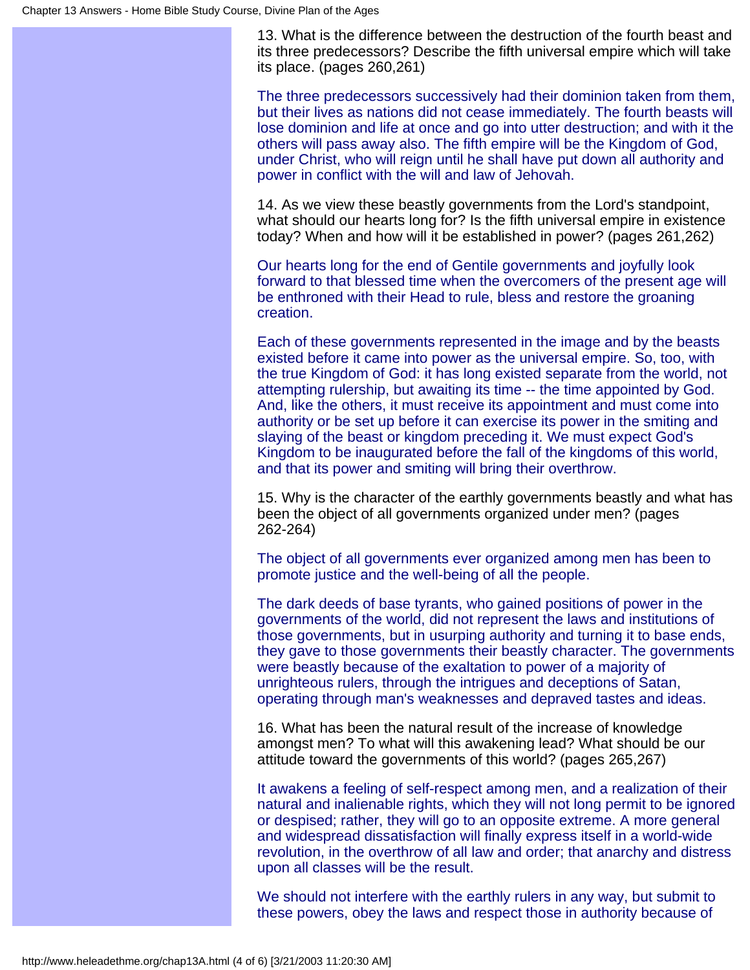13. What is the difference between the destruction of the fourth beast and its three predecessors? Describe the fifth universal empire which will take its place. (pages 260,261)

The three predecessors successively had their dominion taken from them, but their lives as nations did not cease immediately. The fourth beasts will lose dominion and life at once and go into utter destruction; and with it the others will pass away also. The fifth empire will be the Kingdom of God, under Christ, who will reign until he shall have put down all authority and power in conflict with the will and law of Jehovah.

14. As we view these beastly governments from the Lord's standpoint, what should our hearts long for? Is the fifth universal empire in existence today? When and how will it be established in power? (pages 261,262)

Our hearts long for the end of Gentile governments and joyfully look forward to that blessed time when the overcomers of the present age will be enthroned with their Head to rule, bless and restore the groaning creation.

Each of these governments represented in the image and by the beasts existed before it came into power as the universal empire. So, too, with the true Kingdom of God: it has long existed separate from the world, not attempting rulership, but awaiting its time -- the time appointed by God. And, like the others, it must receive its appointment and must come into authority or be set up before it can exercise its power in the smiting and slaying of the beast or kingdom preceding it. We must expect God's Kingdom to be inaugurated before the fall of the kingdoms of this world, and that its power and smiting will bring their overthrow.

15. Why is the character of the earthly governments beastly and what has been the object of all governments organized under men? (pages 262-264)

The object of all governments ever organized among men has been to promote justice and the well-being of all the people.

The dark deeds of base tyrants, who gained positions of power in the governments of the world, did not represent the laws and institutions of those governments, but in usurping authority and turning it to base ends, they gave to those governments their beastly character. The governments were beastly because of the exaltation to power of a majority of unrighteous rulers, through the intrigues and deceptions of Satan, operating through man's weaknesses and depraved tastes and ideas.

16. What has been the natural result of the increase of knowledge amongst men? To what will this awakening lead? What should be our attitude toward the governments of this world? (pages 265,267)

It awakens a feeling of self-respect among men, and a realization of their natural and inalienable rights, which they will not long permit to be ignored or despised; rather, they will go to an opposite extreme. A more general and widespread dissatisfaction will finally express itself in a world-wide revolution, in the overthrow of all law and order; that anarchy and distress upon all classes will be the result.

We should not interfere with the earthly rulers in any way, but submit to these powers, obey the laws and respect those in authority because of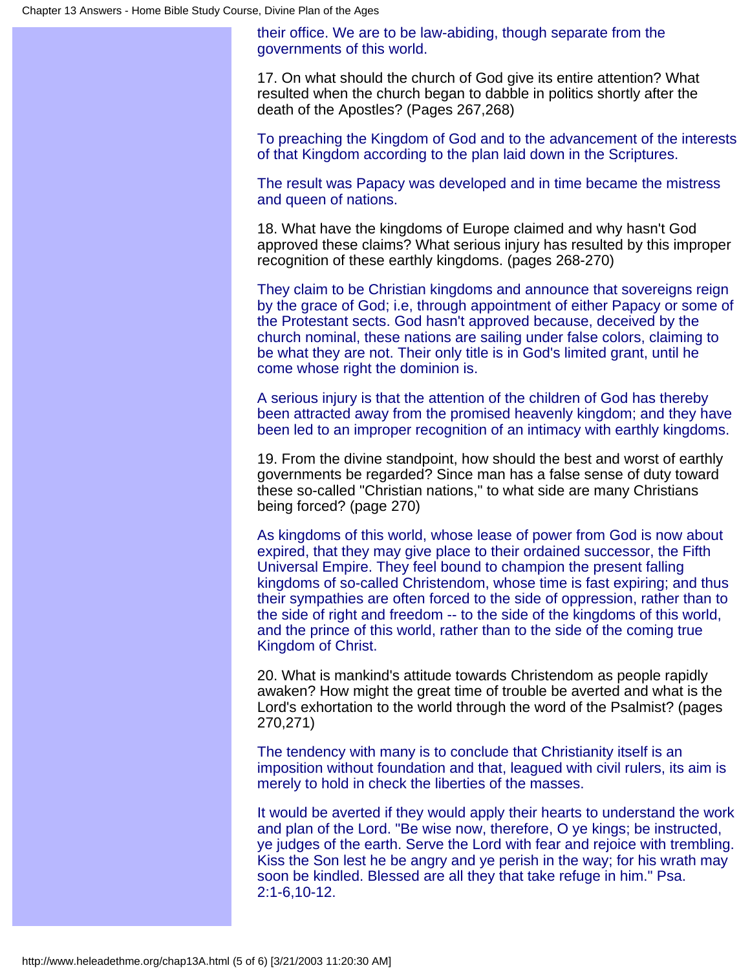their office. We are to be law-abiding, though separate from the governments of this world.

17. On what should the church of God give its entire attention? What resulted when the church began to dabble in politics shortly after the death of the Apostles? (Pages 267,268)

To preaching the Kingdom of God and to the advancement of the interests of that Kingdom according to the plan laid down in the Scriptures.

The result was Papacy was developed and in time became the mistress and queen of nations.

18. What have the kingdoms of Europe claimed and why hasn't God approved these claims? What serious injury has resulted by this improper recognition of these earthly kingdoms. (pages 268-270)

They claim to be Christian kingdoms and announce that sovereigns reign by the grace of God; i.e, through appointment of either Papacy or some of the Protestant sects. God hasn't approved because, deceived by the church nominal, these nations are sailing under false colors, claiming to be what they are not. Their only title is in God's limited grant, until he come whose right the dominion is.

A serious injury is that the attention of the children of God has thereby been attracted away from the promised heavenly kingdom; and they have been led to an improper recognition of an intimacy with earthly kingdoms.

19. From the divine standpoint, how should the best and worst of earthly governments be regarded? Since man has a false sense of duty toward these so-called "Christian nations," to what side are many Christians being forced? (page 270)

As kingdoms of this world, whose lease of power from God is now about expired, that they may give place to their ordained successor, the Fifth Universal Empire. They feel bound to champion the present falling kingdoms of so-called Christendom, whose time is fast expiring; and thus their sympathies are often forced to the side of oppression, rather than to the side of right and freedom -- to the side of the kingdoms of this world, and the prince of this world, rather than to the side of the coming true Kingdom of Christ.

20. What is mankind's attitude towards Christendom as people rapidly awaken? How might the great time of trouble be averted and what is the Lord's exhortation to the world through the word of the Psalmist? (pages 270,271)

The tendency with many is to conclude that Christianity itself is an imposition without foundation and that, leagued with civil rulers, its aim is merely to hold in check the liberties of the masses.

It would be averted if they would apply their hearts to understand the work and plan of the Lord. "Be wise now, therefore, O ye kings; be instructed, ye judges of the earth. Serve the Lord with fear and rejoice with trembling. Kiss the Son lest he be angry and ye perish in the way; for his wrath may soon be kindled. Blessed are all they that take refuge in him." Psa. 2:1-6,10-12.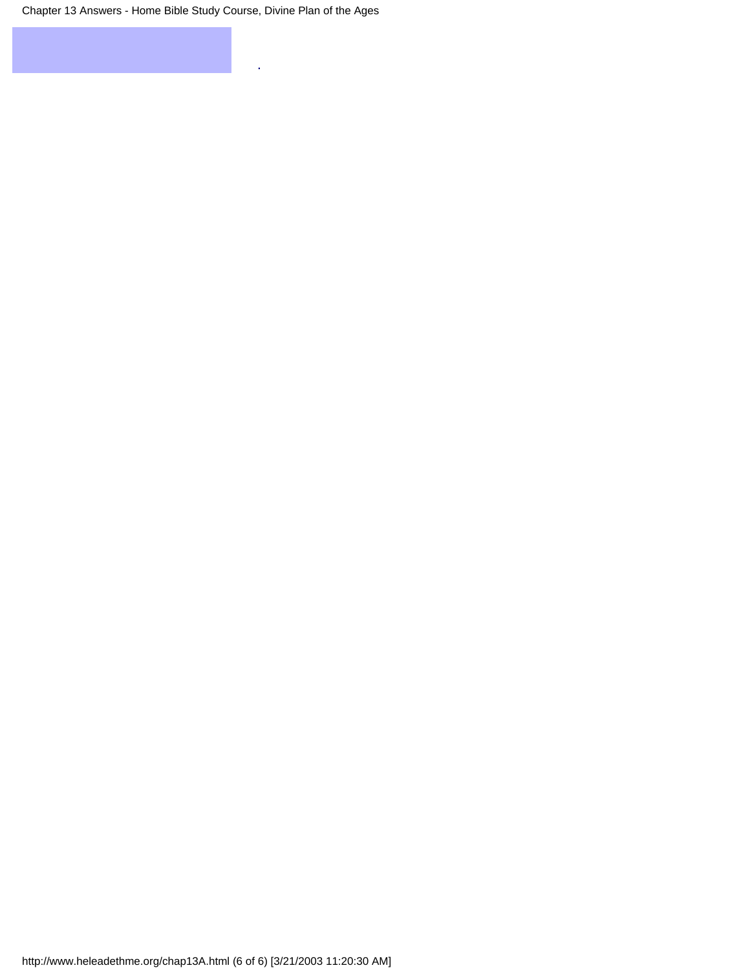.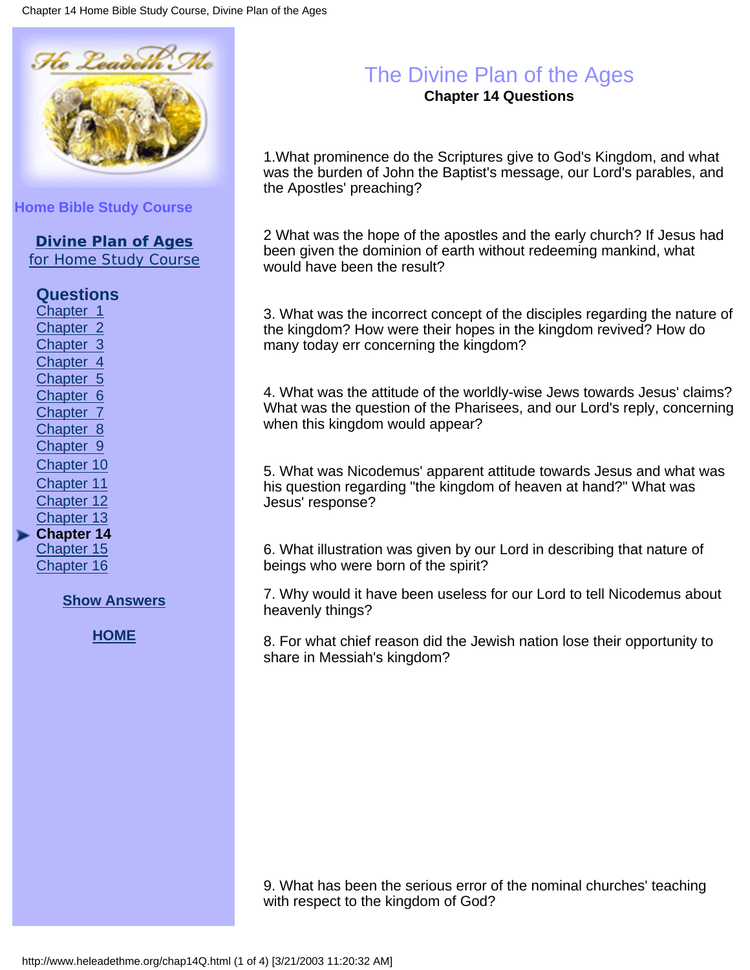<span id="page-83-0"></span>

#### **Questions**

| <b>Chapter</b>       |
|----------------------|
| <b>Chapter</b><br>2  |
| Chapter<br>3         |
| Chapter<br>4         |
| <b>Chapter</b><br>5  |
| Chapter<br>6         |
| <b>Chapter</b><br>7  |
| <b>Chapter</b><br>8  |
| <b>Chapter</b><br>9  |
| Chapter<br>10        |
|                      |
| Chapter<br>11        |
| <b>Chapter</b><br>12 |
| Chapter<br>13        |
| <b>Chapter 14</b>    |
| <b>Chapter 15</b>    |
| Chapter 1            |
|                      |

#### **[Show Answers](#page-87-0)**

**[HOME](http://www.heleadethme.org/index.html)**

### The Divine Plan of the Ages **Chapter 14 Questions**

1.What prominence do the Scriptures give to God's Kingdom, and what was the burden of John the Baptist's message, our Lord's parables, and the Apostles' preaching?

2 What was the hope of the apostles and the early church? If Jesus had been given the dominion of earth without redeeming mankind, what would have been the result?

3. What was the incorrect concept of the disciples regarding the nature of the kingdom? How were their hopes in the kingdom revived? How do many today err concerning the kingdom?

4. What was the attitude of the worldly-wise Jews towards Jesus' claims? What was the question of the Pharisees, and our Lord's reply, concerning when this kingdom would appear?

5. What was Nicodemus' apparent attitude towards Jesus and what was his question regarding "the kingdom of heaven at hand?" What was Jesus' response?

6. What illustration was given by our Lord in describing that nature of beings who were born of the spirit?

7. Why would it have been useless for our Lord to tell Nicodemus about heavenly things?

8. For what chief reason did the Jewish nation lose their opportunity to share in Messiah's kingdom?

9. What has been the serious error of the nominal churches' teaching with respect to the kingdom of God?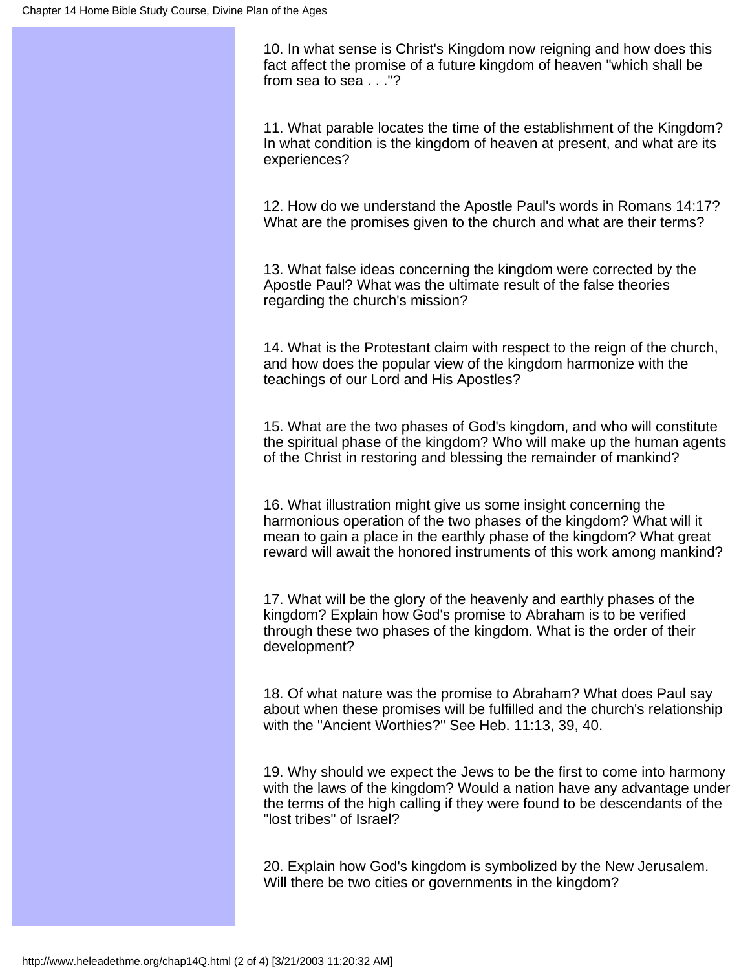10. In what sense is Christ's Kingdom now reigning and how does this fact affect the promise of a future kingdom of heaven "which shall be from sea to sea . . ."?

11. What parable locates the time of the establishment of the Kingdom? In what condition is the kingdom of heaven at present, and what are its experiences?

12. How do we understand the Apostle Paul's words in Romans 14:17? What are the promises given to the church and what are their terms?

13. What false ideas concerning the kingdom were corrected by the Apostle Paul? What was the ultimate result of the false theories regarding the church's mission?

14. What is the Protestant claim with respect to the reign of the church, and how does the popular view of the kingdom harmonize with the teachings of our Lord and His Apostles?

15. What are the two phases of God's kingdom, and who will constitute the spiritual phase of the kingdom? Who will make up the human agents of the Christ in restoring and blessing the remainder of mankind?

16. What illustration might give us some insight concerning the harmonious operation of the two phases of the kingdom? What will it mean to gain a place in the earthly phase of the kingdom? What great reward will await the honored instruments of this work among mankind?

17. What will be the glory of the heavenly and earthly phases of the kingdom? Explain how God's promise to Abraham is to be verified through these two phases of the kingdom. What is the order of their development?

18. Of what nature was the promise to Abraham? What does Paul say about when these promises will be fulfilled and the church's relationship with the "Ancient Worthies?" See Heb. 11:13, 39, 40.

19. Why should we expect the Jews to be the first to come into harmony with the laws of the kingdom? Would a nation have any advantage under the terms of the high calling if they were found to be descendants of the "lost tribes" of Israel?

20. Explain how God's kingdom is symbolized by the New Jerusalem. Will there be two cities or governments in the kingdom?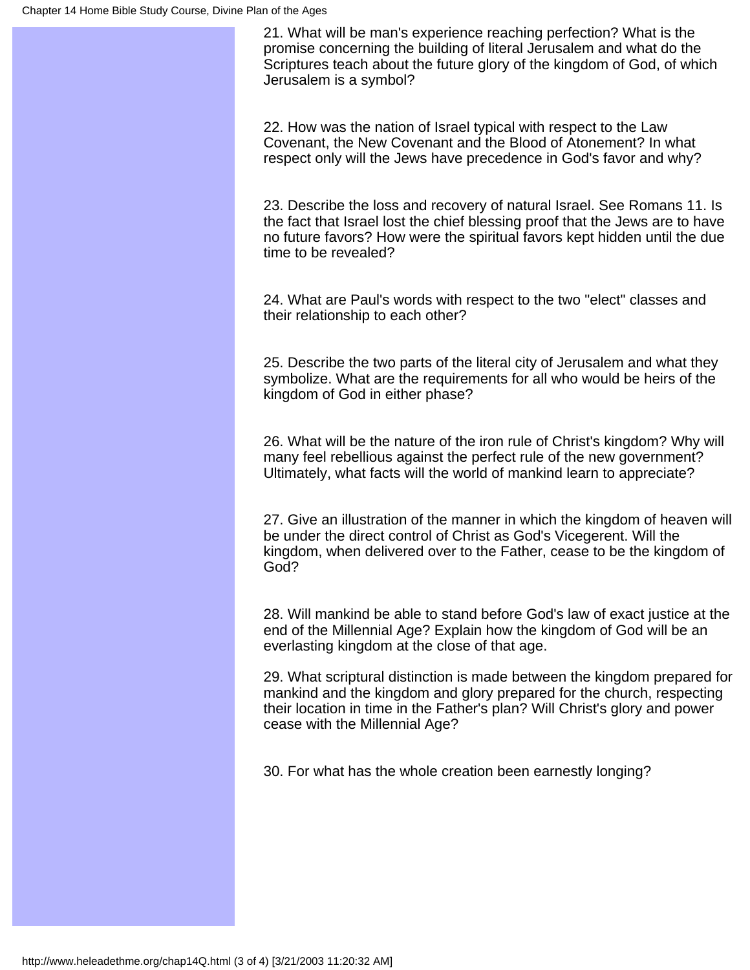21. What will be man's experience reaching perfection? What is the promise concerning the building of literal Jerusalem and what do the Scriptures teach about the future glory of the kingdom of God, of which Jerusalem is a symbol?

22. How was the nation of Israel typical with respect to the Law Covenant, the New Covenant and the Blood of Atonement? In what respect only will the Jews have precedence in God's favor and why?

23. Describe the loss and recovery of natural Israel. See Romans 11. Is the fact that Israel lost the chief blessing proof that the Jews are to have no future favors? How were the spiritual favors kept hidden until the due time to be revealed?

24. What are Paul's words with respect to the two "elect" classes and their relationship to each other?

25. Describe the two parts of the literal city of Jerusalem and what they symbolize. What are the requirements for all who would be heirs of the kingdom of God in either phase?

26. What will be the nature of the iron rule of Christ's kingdom? Why will many feel rebellious against the perfect rule of the new government? Ultimately, what facts will the world of mankind learn to appreciate?

27. Give an illustration of the manner in which the kingdom of heaven will be under the direct control of Christ as God's Vicegerent. Will the kingdom, when delivered over to the Father, cease to be the kingdom of God?

28. Will mankind be able to stand before God's law of exact justice at the end of the Millennial Age? Explain how the kingdom of God will be an everlasting kingdom at the close of that age.

29. What scriptural distinction is made between the kingdom prepared for mankind and the kingdom and glory prepared for the church, respecting their location in time in the Father's plan? Will Christ's glory and power cease with the Millennial Age?

30. For what has the whole creation been earnestly longing?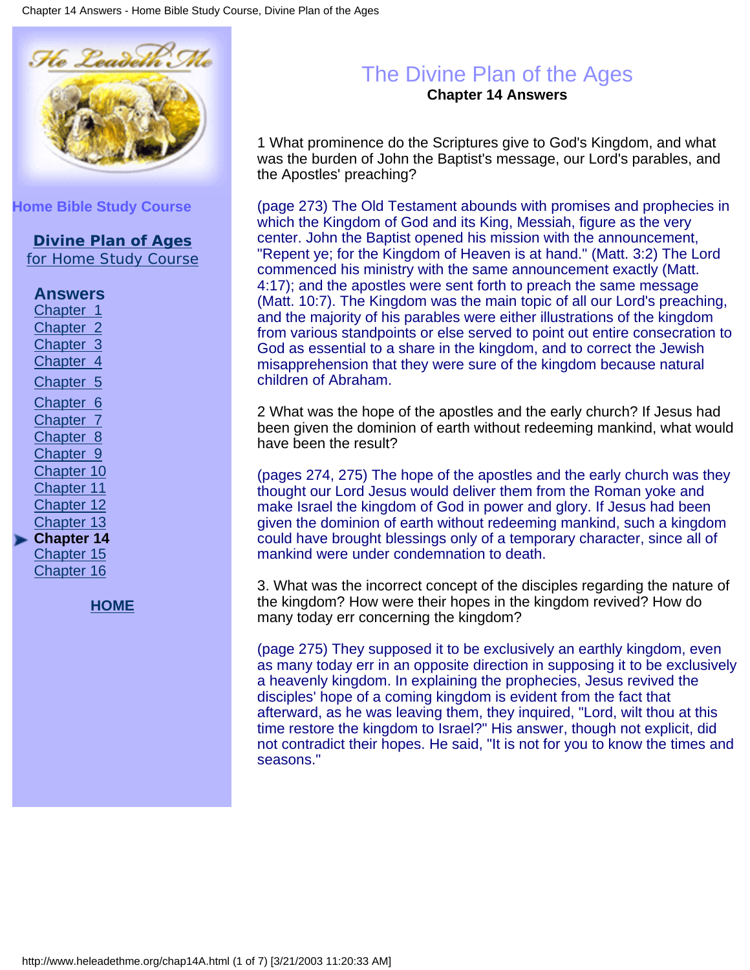<span id="page-87-0"></span>

[Chapter 3](#page-13-0) [Chapter 4](#page-19-0) [Chapter 5](#page-25-0) [Chapter 6](#page-32-0) [Chapter 7](#page-42-0) [Chapter 8](#page-48-0) [Chapter 9](#page-54-0) [Chapter 10](#page-60-0) [Chapter 11](#page-74-0) [Chapter 12](#page-72-0) [Chapter 13](#page-74-0) **Chapter 14** [Chapter 15](#page-94-0) [Chapter 16](#page-105-0)

**[HOME](http://www.heleadethme.org/index.html)**

### The Divine Plan of the Ages **Chapter 14 Answers**

1 What prominence do the Scriptures give to God's Kingdom, and what was the burden of John the Baptist's message, our Lord's parables, and the Apostles' preaching?

(page 273) The Old Testament abounds with promises and prophecies in which the Kingdom of God and its King, Messiah, figure as the very center. John the Baptist opened his mission with the announcement, "Repent ye; for the Kingdom of Heaven is at hand." (Matt. 3:2) The Lord commenced his ministry with the same announcement exactly (Matt. 4:17); and the apostles were sent forth to preach the same message (Matt. 10:7). The Kingdom was the main topic of all our Lord's preaching, and the majority of his parables were either illustrations of the kingdom from various standpoints or else served to point out entire consecration to God as essential to a share in the kingdom, and to correct the Jewish misapprehension that they were sure of the kingdom because natural children of Abraham.

2 What was the hope of the apostles and the early church? If Jesus had been given the dominion of earth without redeeming mankind, what would have been the result?

(pages 274, 275) The hope of the apostles and the early church was they thought our Lord Jesus would deliver them from the Roman yoke and make Israel the kingdom of God in power and glory. If Jesus had been given the dominion of earth without redeeming mankind, such a kingdom could have brought blessings only of a temporary character, since all of mankind were under condemnation to death.

3. What was the incorrect concept of the disciples regarding the nature of the kingdom? How were their hopes in the kingdom revived? How do many today err concerning the kingdom?

(page 275) They supposed it to be exclusively an earthly kingdom, even as many today err in an opposite direction in supposing it to be exclusively a heavenly kingdom. In explaining the prophecies, Jesus revived the disciples' hope of a coming kingdom is evident from the fact that afterward, as he was leaving them, they inquired, "Lord, wilt thou at this time restore the kingdom to Israel?" His answer, though not explicit, did not contradict their hopes. He said, "It is not for you to know the times and seasons."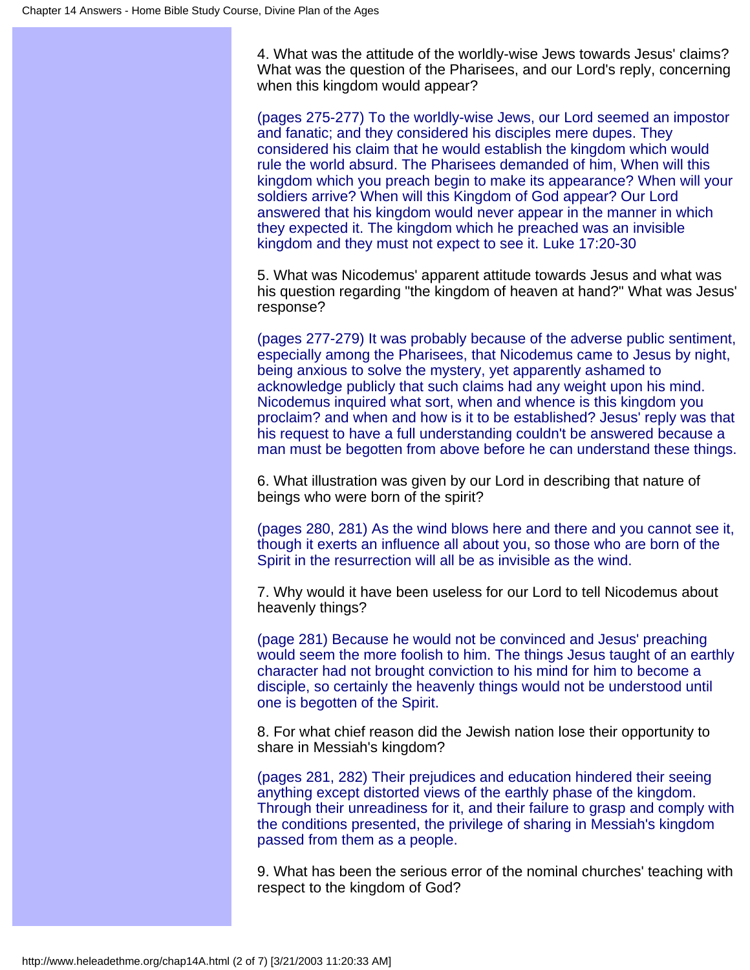4. What was the attitude of the worldly-wise Jews towards Jesus' claims? What was the question of the Pharisees, and our Lord's reply, concerning when this kingdom would appear?

(pages 275-277) To the worldly-wise Jews, our Lord seemed an impostor and fanatic; and they considered his disciples mere dupes. They considered his claim that he would establish the kingdom which would rule the world absurd. The Pharisees demanded of him, When will this kingdom which you preach begin to make its appearance? When will your soldiers arrive? When will this Kingdom of God appear? Our Lord answered that his kingdom would never appear in the manner in which they expected it. The kingdom which he preached was an invisible kingdom and they must not expect to see it. Luke 17:20-30

5. What was Nicodemus' apparent attitude towards Jesus and what was his question regarding "the kingdom of heaven at hand?" What was Jesus' response?

(pages 277-279) It was probably because of the adverse public sentiment, especially among the Pharisees, that Nicodemus came to Jesus by night, being anxious to solve the mystery, yet apparently ashamed to acknowledge publicly that such claims had any weight upon his mind. Nicodemus inquired what sort, when and whence is this kingdom you proclaim? and when and how is it to be established? Jesus' reply was that his request to have a full understanding couldn't be answered because a man must be begotten from above before he can understand these things.

6. What illustration was given by our Lord in describing that nature of beings who were born of the spirit?

(pages 280, 281) As the wind blows here and there and you cannot see it, though it exerts an influence all about you, so those who are born of the Spirit in the resurrection will all be as invisible as the wind.

7. Why would it have been useless for our Lord to tell Nicodemus about heavenly things?

(page 281) Because he would not be convinced and Jesus' preaching would seem the more foolish to him. The things Jesus taught of an earthly character had not brought conviction to his mind for him to become a disciple, so certainly the heavenly things would not be understood until one is begotten of the Spirit.

8. For what chief reason did the Jewish nation lose their opportunity to share in Messiah's kingdom?

(pages 281, 282) Their prejudices and education hindered their seeing anything except distorted views of the earthly phase of the kingdom. Through their unreadiness for it, and their failure to grasp and comply with the conditions presented, the privilege of sharing in Messiah's kingdom passed from them as a people.

9. What has been the serious error of the nominal churches' teaching with respect to the kingdom of God?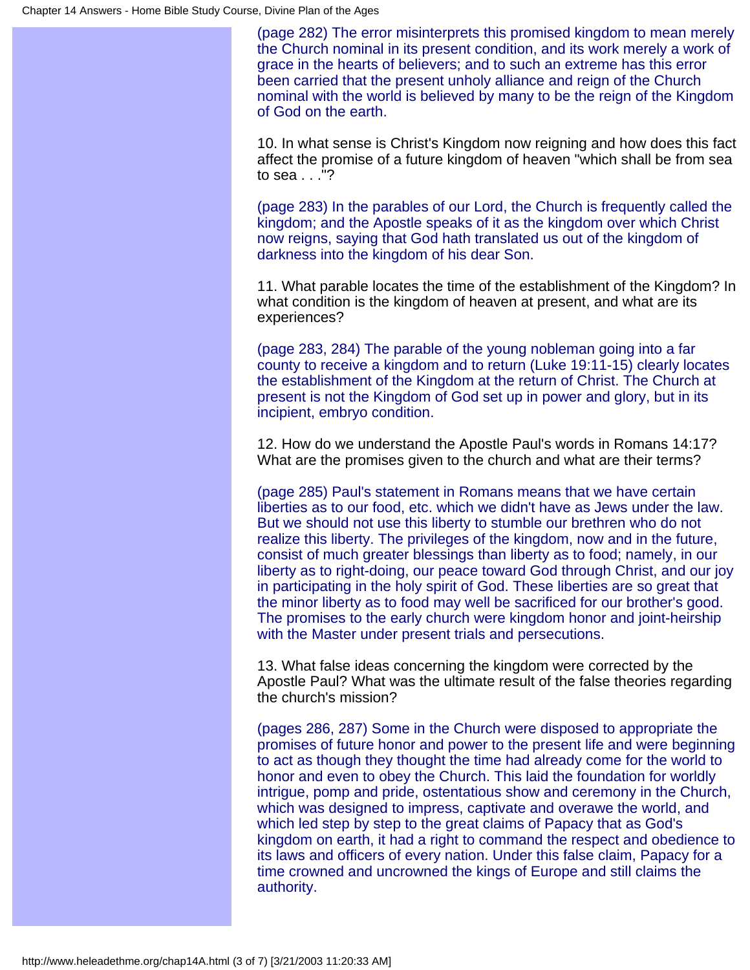(page 282) The error misinterprets this promised kingdom to mean merely the Church nominal in its present condition, and its work merely a work of grace in the hearts of believers; and to such an extreme has this error been carried that the present unholy alliance and reign of the Church nominal with the world is believed by many to be the reign of the Kingdom of God on the earth.

10. In what sense is Christ's Kingdom now reigning and how does this fact affect the promise of a future kingdom of heaven "which shall be from sea to sea . . ."?

(page 283) In the parables of our Lord, the Church is frequently called the kingdom; and the Apostle speaks of it as the kingdom over which Christ now reigns, saying that God hath translated us out of the kingdom of darkness into the kingdom of his dear Son.

11. What parable locates the time of the establishment of the Kingdom? In what condition is the kingdom of heaven at present, and what are its experiences?

(page 283, 284) The parable of the young nobleman going into a far county to receive a kingdom and to return (Luke 19:11-15) clearly locates the establishment of the Kingdom at the return of Christ. The Church at present is not the Kingdom of God set up in power and glory, but in its incipient, embryo condition.

12. How do we understand the Apostle Paul's words in Romans 14:17? What are the promises given to the church and what are their terms?

(page 285) Paul's statement in Romans means that we have certain liberties as to our food, etc. which we didn't have as Jews under the law. But we should not use this liberty to stumble our brethren who do not realize this liberty. The privileges of the kingdom, now and in the future, consist of much greater blessings than liberty as to food; namely, in our liberty as to right-doing, our peace toward God through Christ, and our joy in participating in the holy spirit of God. These liberties are so great that the minor liberty as to food may well be sacrificed for our brother's good. The promises to the early church were kingdom honor and joint-heirship with the Master under present trials and persecutions.

13. What false ideas concerning the kingdom were corrected by the Apostle Paul? What was the ultimate result of the false theories regarding the church's mission?

(pages 286, 287) Some in the Church were disposed to appropriate the promises of future honor and power to the present life and were beginning to act as though they thought the time had already come for the world to honor and even to obey the Church. This laid the foundation for worldly intrigue, pomp and pride, ostentatious show and ceremony in the Church, which was designed to impress, captivate and overawe the world, and which led step by step to the great claims of Papacy that as God's kingdom on earth, it had a right to command the respect and obedience to its laws and officers of every nation. Under this false claim, Papacy for a time crowned and uncrowned the kings of Europe and still claims the authority.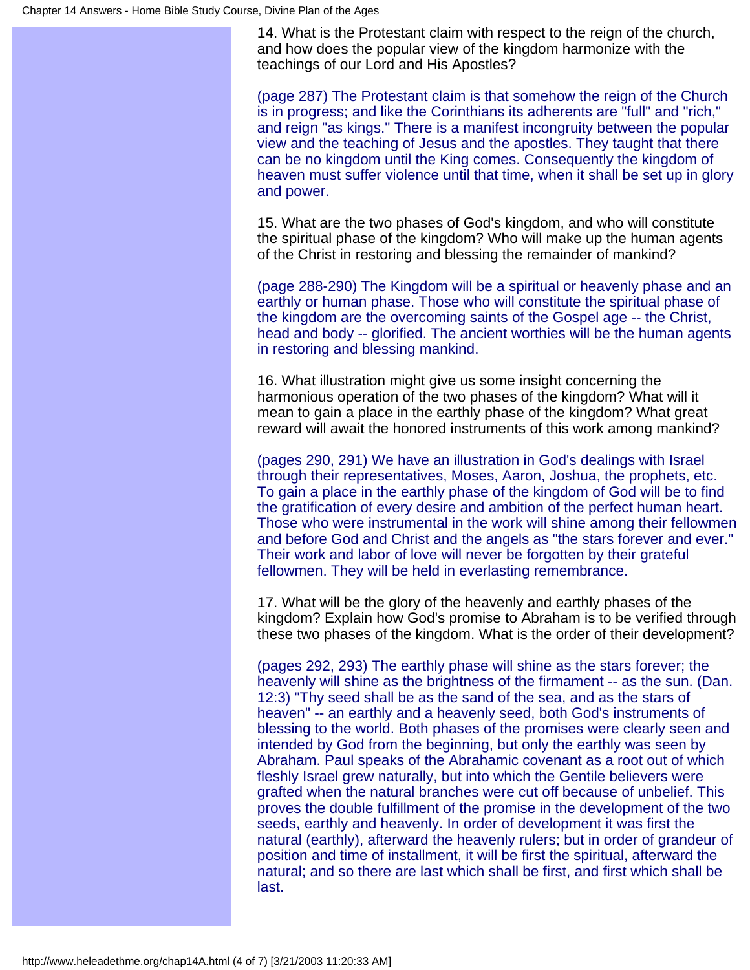14. What is the Protestant claim with respect to the reign of the church, and how does the popular view of the kingdom harmonize with the teachings of our Lord and His Apostles?

(page 287) The Protestant claim is that somehow the reign of the Church is in progress; and like the Corinthians its adherents are "full" and "rich," and reign "as kings." There is a manifest incongruity between the popular view and the teaching of Jesus and the apostles. They taught that there can be no kingdom until the King comes. Consequently the kingdom of heaven must suffer violence until that time, when it shall be set up in glory and power.

15. What are the two phases of God's kingdom, and who will constitute the spiritual phase of the kingdom? Who will make up the human agents of the Christ in restoring and blessing the remainder of mankind?

(page 288-290) The Kingdom will be a spiritual or heavenly phase and an earthly or human phase. Those who will constitute the spiritual phase of the kingdom are the overcoming saints of the Gospel age -- the Christ, head and body -- glorified. The ancient worthies will be the human agents in restoring and blessing mankind.

16. What illustration might give us some insight concerning the harmonious operation of the two phases of the kingdom? What will it mean to gain a place in the earthly phase of the kingdom? What great reward will await the honored instruments of this work among mankind?

(pages 290, 291) We have an illustration in God's dealings with Israel through their representatives, Moses, Aaron, Joshua, the prophets, etc. To gain a place in the earthly phase of the kingdom of God will be to find the gratification of every desire and ambition of the perfect human heart. Those who were instrumental in the work will shine among their fellowmen and before God and Christ and the angels as "the stars forever and ever." Their work and labor of love will never be forgotten by their grateful fellowmen. They will be held in everlasting remembrance.

17. What will be the glory of the heavenly and earthly phases of the kingdom? Explain how God's promise to Abraham is to be verified through these two phases of the kingdom. What is the order of their development?

(pages 292, 293) The earthly phase will shine as the stars forever; the heavenly will shine as the brightness of the firmament -- as the sun. (Dan. 12:3) "Thy seed shall be as the sand of the sea, and as the stars of heaven" -- an earthly and a heavenly seed, both God's instruments of blessing to the world. Both phases of the promises were clearly seen and intended by God from the beginning, but only the earthly was seen by Abraham. Paul speaks of the Abrahamic covenant as a root out of which fleshly Israel grew naturally, but into which the Gentile believers were grafted when the natural branches were cut off because of unbelief. This proves the double fulfillment of the promise in the development of the two seeds, earthly and heavenly. In order of development it was first the natural (earthly), afterward the heavenly rulers; but in order of grandeur of position and time of installment, it will be first the spiritual, afterward the natural; and so there are last which shall be first, and first which shall be last.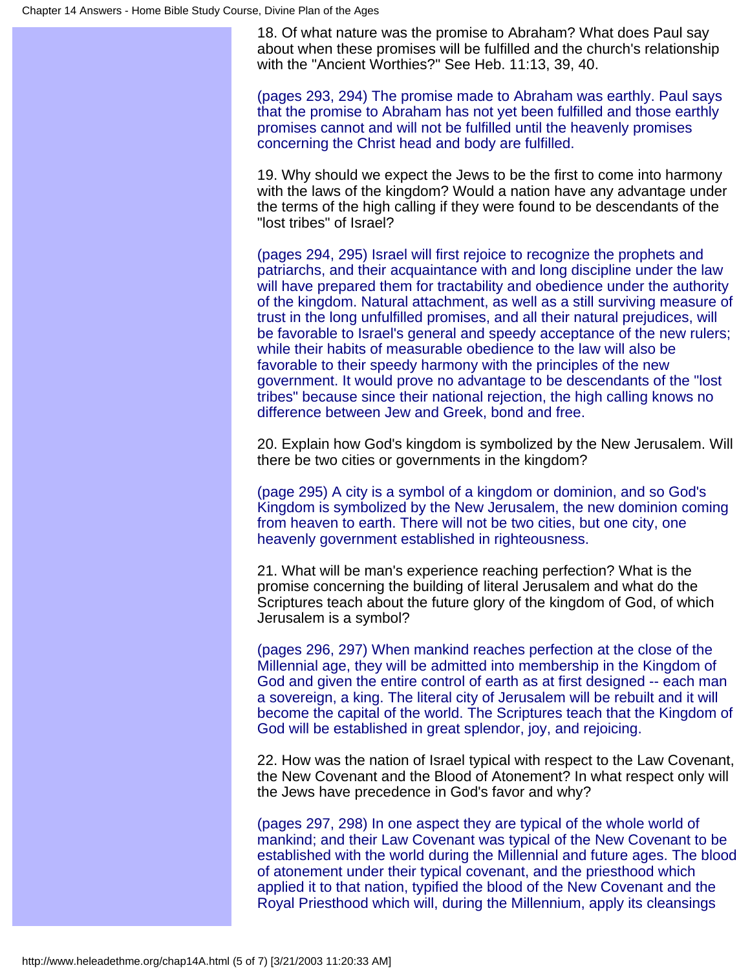18. Of what nature was the promise to Abraham? What does Paul say about when these promises will be fulfilled and the church's relationship with the "Ancient Worthies?" See Heb. 11:13, 39, 40.

(pages 293, 294) The promise made to Abraham was earthly. Paul says that the promise to Abraham has not yet been fulfilled and those earthly promises cannot and will not be fulfilled until the heavenly promises concerning the Christ head and body are fulfilled.

19. Why should we expect the Jews to be the first to come into harmony with the laws of the kingdom? Would a nation have any advantage under the terms of the high calling if they were found to be descendants of the "lost tribes" of Israel?

(pages 294, 295) Israel will first rejoice to recognize the prophets and patriarchs, and their acquaintance with and long discipline under the law will have prepared them for tractability and obedience under the authority of the kingdom. Natural attachment, as well as a still surviving measure of trust in the long unfulfilled promises, and all their natural prejudices, will be favorable to Israel's general and speedy acceptance of the new rulers; while their habits of measurable obedience to the law will also be favorable to their speedy harmony with the principles of the new government. It would prove no advantage to be descendants of the "lost tribes" because since their national rejection, the high calling knows no difference between Jew and Greek, bond and free.

20. Explain how God's kingdom is symbolized by the New Jerusalem. Will there be two cities or governments in the kingdom?

(page 295) A city is a symbol of a kingdom or dominion, and so God's Kingdom is symbolized by the New Jerusalem, the new dominion coming from heaven to earth. There will not be two cities, but one city, one heavenly government established in righteousness.

21. What will be man's experience reaching perfection? What is the promise concerning the building of literal Jerusalem and what do the Scriptures teach about the future glory of the kingdom of God, of which Jerusalem is a symbol?

(pages 296, 297) When mankind reaches perfection at the close of the Millennial age, they will be admitted into membership in the Kingdom of God and given the entire control of earth as at first designed -- each man a sovereign, a king. The literal city of Jerusalem will be rebuilt and it will become the capital of the world. The Scriptures teach that the Kingdom of God will be established in great splendor, joy, and rejoicing.

22. How was the nation of Israel typical with respect to the Law Covenant, the New Covenant and the Blood of Atonement? In what respect only will the Jews have precedence in God's favor and why?

(pages 297, 298) In one aspect they are typical of the whole world of mankind; and their Law Covenant was typical of the New Covenant to be established with the world during the Millennial and future ages. The blood of atonement under their typical covenant, and the priesthood which applied it to that nation, typified the blood of the New Covenant and the Royal Priesthood which will, during the Millennium, apply its cleansings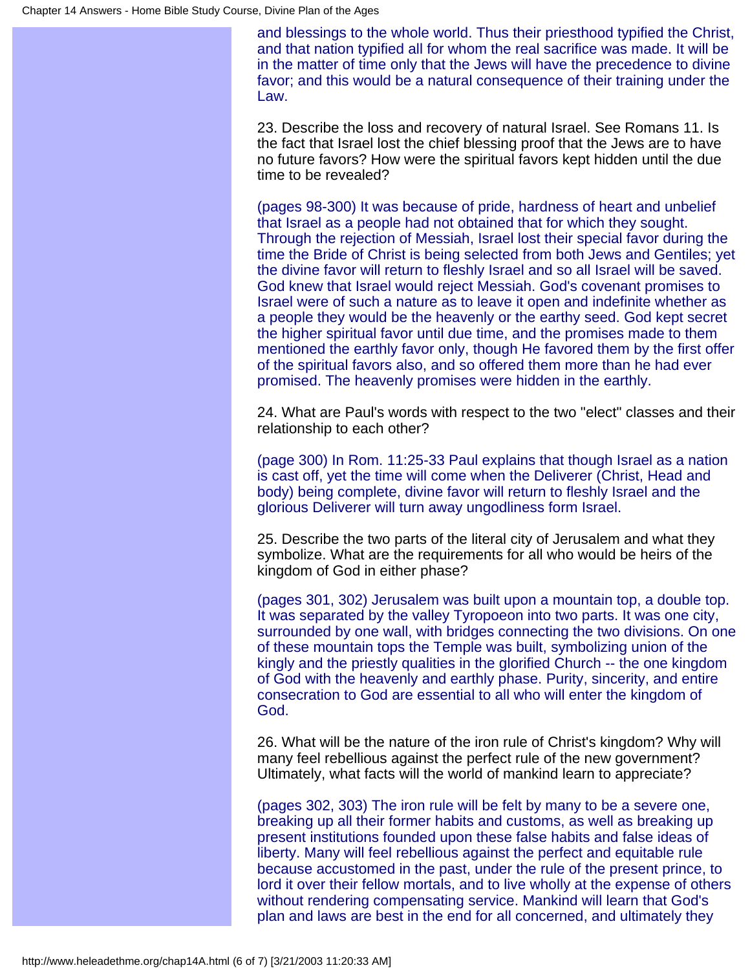and blessings to the whole world. Thus their priesthood typified the Christ, and that nation typified all for whom the real sacrifice was made. It will be in the matter of time only that the Jews will have the precedence to divine favor; and this would be a natural consequence of their training under the Law.

23. Describe the loss and recovery of natural Israel. See Romans 11. Is the fact that Israel lost the chief blessing proof that the Jews are to have no future favors? How were the spiritual favors kept hidden until the due time to be revealed?

(pages 98-300) It was because of pride, hardness of heart and unbelief that Israel as a people had not obtained that for which they sought. Through the rejection of Messiah, Israel lost their special favor during the time the Bride of Christ is being selected from both Jews and Gentiles; yet the divine favor will return to fleshly Israel and so all Israel will be saved. God knew that Israel would reject Messiah. God's covenant promises to Israel were of such a nature as to leave it open and indefinite whether as a people they would be the heavenly or the earthy seed. God kept secret the higher spiritual favor until due time, and the promises made to them mentioned the earthly favor only, though He favored them by the first offer of the spiritual favors also, and so offered them more than he had ever promised. The heavenly promises were hidden in the earthly.

24. What are Paul's words with respect to the two "elect" classes and their relationship to each other?

(page 300) In Rom. 11:25-33 Paul explains that though Israel as a nation is cast off, yet the time will come when the Deliverer (Christ, Head and body) being complete, divine favor will return to fleshly Israel and the glorious Deliverer will turn away ungodliness form Israel.

25. Describe the two parts of the literal city of Jerusalem and what they symbolize. What are the requirements for all who would be heirs of the kingdom of God in either phase?

(pages 301, 302) Jerusalem was built upon a mountain top, a double top. It was separated by the valley Tyropoeon into two parts. It was one city, surrounded by one wall, with bridges connecting the two divisions. On one of these mountain tops the Temple was built, symbolizing union of the kingly and the priestly qualities in the glorified Church -- the one kingdom of God with the heavenly and earthly phase. Purity, sincerity, and entire consecration to God are essential to all who will enter the kingdom of God.

26. What will be the nature of the iron rule of Christ's kingdom? Why will many feel rebellious against the perfect rule of the new government? Ultimately, what facts will the world of mankind learn to appreciate?

(pages 302, 303) The iron rule will be felt by many to be a severe one, breaking up all their former habits and customs, as well as breaking up present institutions founded upon these false habits and false ideas of liberty. Many will feel rebellious against the perfect and equitable rule because accustomed in the past, under the rule of the present prince, to lord it over their fellow mortals, and to live wholly at the expense of others without rendering compensating service. Mankind will learn that God's plan and laws are best in the end for all concerned, and ultimately they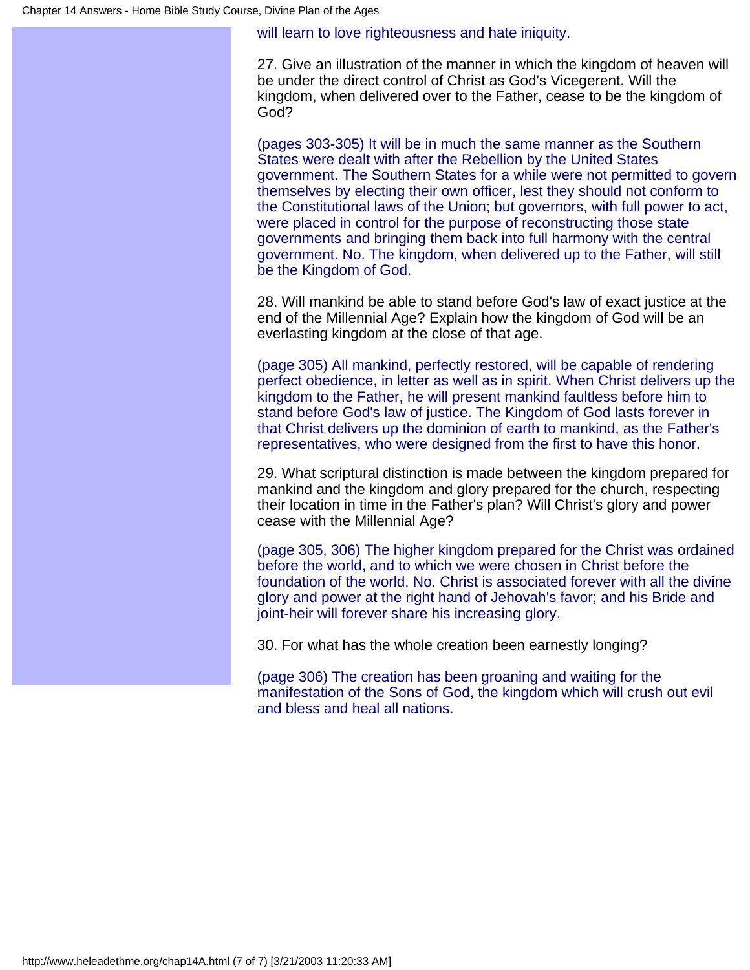will learn to love righteousness and hate iniquity.

27. Give an illustration of the manner in which the kingdom of heaven will be under the direct control of Christ as God's Vicegerent. Will the kingdom, when delivered over to the Father, cease to be the kingdom of God?

(pages 303-305) It will be in much the same manner as the Southern States were dealt with after the Rebellion by the United States government. The Southern States for a while were not permitted to govern themselves by electing their own officer, lest they should not conform to the Constitutional laws of the Union; but governors, with full power to act, were placed in control for the purpose of reconstructing those state governments and bringing them back into full harmony with the central government. No. The kingdom, when delivered up to the Father, will still be the Kingdom of God.

28. Will mankind be able to stand before God's law of exact justice at the end of the Millennial Age? Explain how the kingdom of God will be an everlasting kingdom at the close of that age.

(page 305) All mankind, perfectly restored, will be capable of rendering perfect obedience, in letter as well as in spirit. When Christ delivers up the kingdom to the Father, he will present mankind faultless before him to stand before God's law of justice. The Kingdom of God lasts forever in that Christ delivers up the dominion of earth to mankind, as the Father's representatives, who were designed from the first to have this honor.

29. What scriptural distinction is made between the kingdom prepared for mankind and the kingdom and glory prepared for the church, respecting their location in time in the Father's plan? Will Christ's glory and power cease with the Millennial Age?

(page 305, 306) The higher kingdom prepared for the Christ was ordained before the world, and to which we were chosen in Christ before the foundation of the world. No. Christ is associated forever with all the divine glory and power at the right hand of Jehovah's favor; and his Bride and joint-heir will forever share his increasing glory.

30. For what has the whole creation been earnestly longing?

(page 306) The creation has been groaning and waiting for the manifestation of the Sons of God, the kingdom which will crush out evil and bless and heal all nations.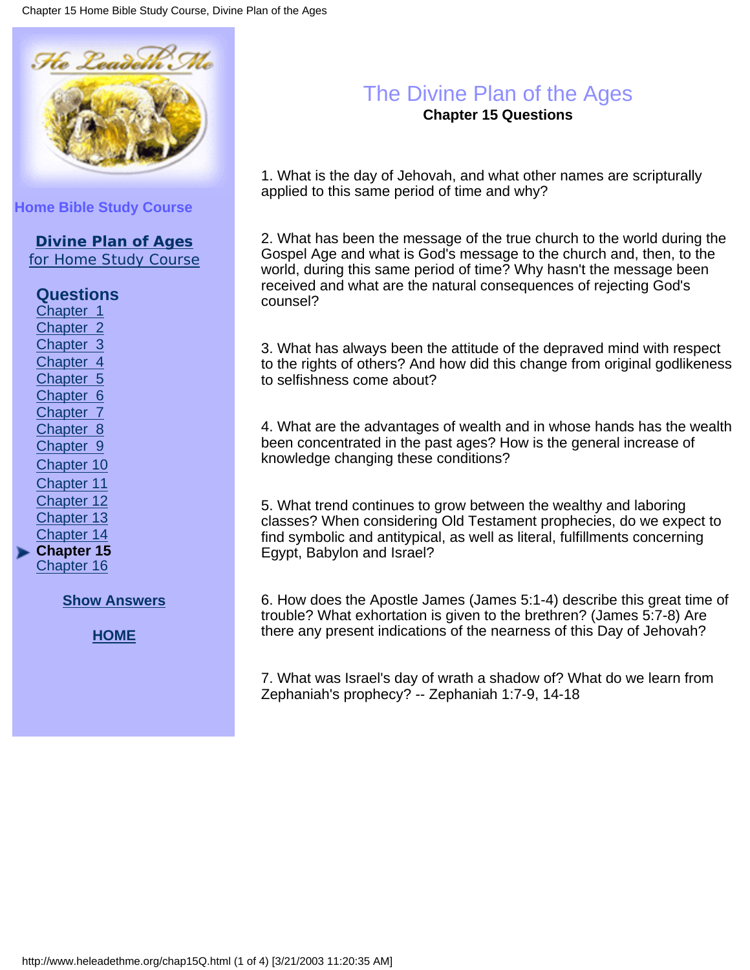<span id="page-94-0"></span>

# The Divine Plan of the Ages

**Chapter 15 Questions**

1. What is the day of Jehovah, and what other names are scripturally applied to this same period of time and why?

2. What has been the message of the true church to the world during the Gospel Age and what is God's message to the church and, then, to the world, during this same period of time? Why hasn't the message been received and what are the natural consequences of rejecting God's counsel?

3. What has always been the attitude of the depraved mind with respect to the rights of others? And how did this change from original godlikeness to selfishness come about?

4. What are the advantages of wealth and in whose hands has the wealth been concentrated in the past ages? How is the general increase of knowledge changing these conditions?

5. What trend continues to grow between the wealthy and laboring classes? When considering Old Testament prophecies, do we expect to find symbolic and antitypical, as well as literal, fulfillments concerning Egypt, Babylon and Israel?

6. How does the Apostle James (James 5:1-4) describe this great time of trouble? What exhortation is given to the brethren? (James 5:7-8) Are there any present indications of the nearness of this Day of Jehovah?

7. What was Israel's day of wrath a shadow of? What do we learn from Zephaniah's prophecy? -- Zephaniah 1:7-9, 14-18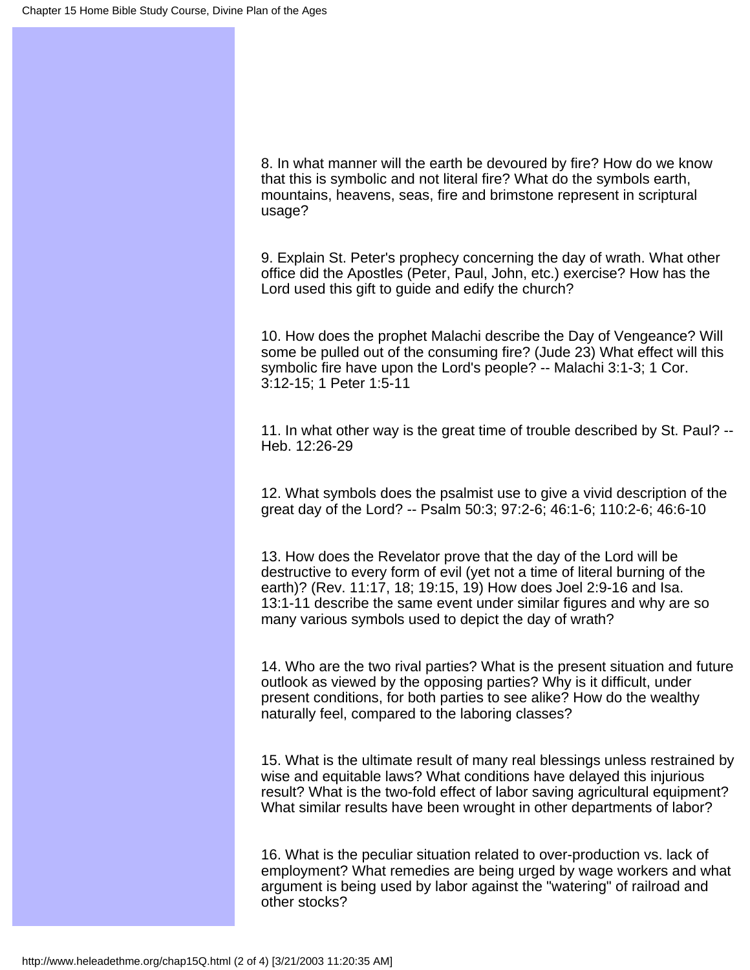8. In what manner will the earth be devoured by fire? How do we know that this is symbolic and not literal fire? What do the symbols earth, mountains, heavens, seas, fire and brimstone represent in scriptural usage?

9. Explain St. Peter's prophecy concerning the day of wrath. What other office did the Apostles (Peter, Paul, John, etc.) exercise? How has the Lord used this gift to guide and edify the church?

10. How does the prophet Malachi describe the Day of Vengeance? Will some be pulled out of the consuming fire? (Jude 23) What effect will this symbolic fire have upon the Lord's people? -- Malachi 3:1-3; 1 Cor. 3:12-15; 1 Peter 1:5-11

11. In what other way is the great time of trouble described by St. Paul? -- Heb. 12:26-29

12. What symbols does the psalmist use to give a vivid description of the great day of the Lord? -- Psalm 50:3; 97:2-6; 46:1-6; 110:2-6; 46:6-10

13. How does the Revelator prove that the day of the Lord will be destructive to every form of evil (yet not a time of literal burning of the earth)? (Rev. 11:17, 18; 19:15, 19) How does Joel 2:9-16 and Isa. 13:1-11 describe the same event under similar figures and why are so many various symbols used to depict the day of wrath?

14. Who are the two rival parties? What is the present situation and future outlook as viewed by the opposing parties? Why is it difficult, under present conditions, for both parties to see alike? How do the wealthy naturally feel, compared to the laboring classes?

15. What is the ultimate result of many real blessings unless restrained by wise and equitable laws? What conditions have delayed this injurious result? What is the two-fold effect of labor saving agricultural equipment? What similar results have been wrought in other departments of labor?

16. What is the peculiar situation related to over-production vs. lack of employment? What remedies are being urged by wage workers and what argument is being used by labor against the "watering" of railroad and other stocks?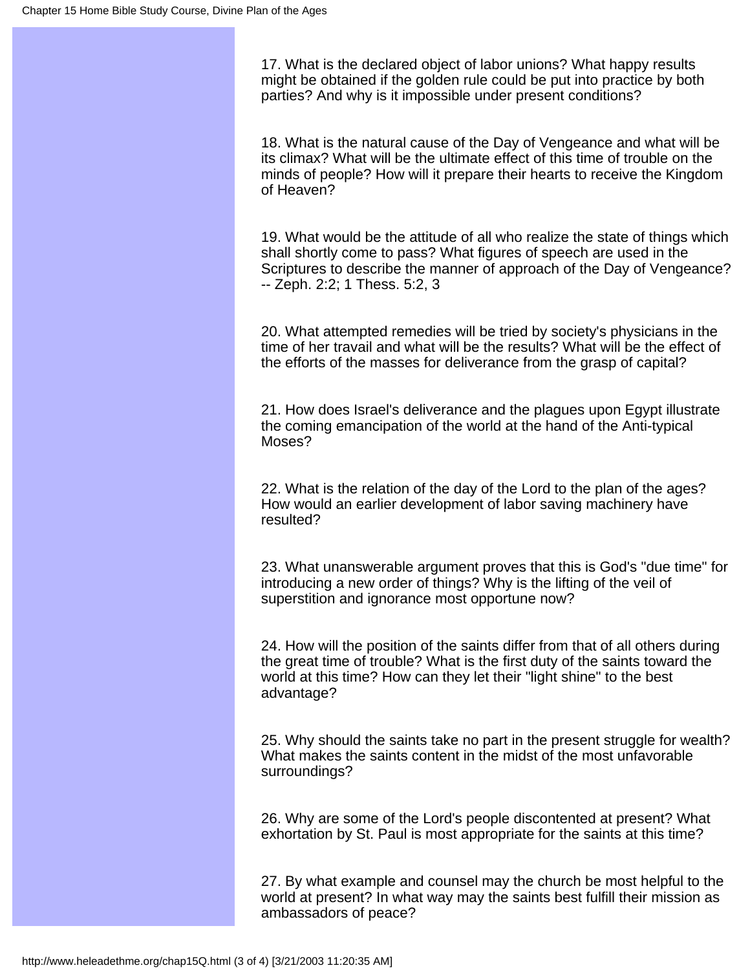17. What is the declared object of labor unions? What happy results might be obtained if the golden rule could be put into practice by both parties? And why is it impossible under present conditions?

18. What is the natural cause of the Day of Vengeance and what will be its climax? What will be the ultimate effect of this time of trouble on the minds of people? How will it prepare their hearts to receive the Kingdom of Heaven?

19. What would be the attitude of all who realize the state of things which shall shortly come to pass? What figures of speech are used in the Scriptures to describe the manner of approach of the Day of Vengeance? -- Zeph. 2:2; 1 Thess. 5:2, 3

20. What attempted remedies will be tried by society's physicians in the time of her travail and what will be the results? What will be the effect of the efforts of the masses for deliverance from the grasp of capital?

21. How does Israel's deliverance and the plagues upon Egypt illustrate the coming emancipation of the world at the hand of the Anti-typical Moses?

22. What is the relation of the day of the Lord to the plan of the ages? How would an earlier development of labor saving machinery have resulted?

23. What unanswerable argument proves that this is God's "due time" for introducing a new order of things? Why is the lifting of the veil of superstition and ignorance most opportune now?

24. How will the position of the saints differ from that of all others during the great time of trouble? What is the first duty of the saints toward the world at this time? How can they let their "light shine" to the best advantage?

25. Why should the saints take no part in the present struggle for wealth? What makes the saints content in the midst of the most unfavorable surroundings?

26. Why are some of the Lord's people discontented at present? What exhortation by St. Paul is most appropriate for the saints at this time?

27. By what example and counsel may the church be most helpful to the world at present? In what way may the saints best fulfill their mission as ambassadors of peace?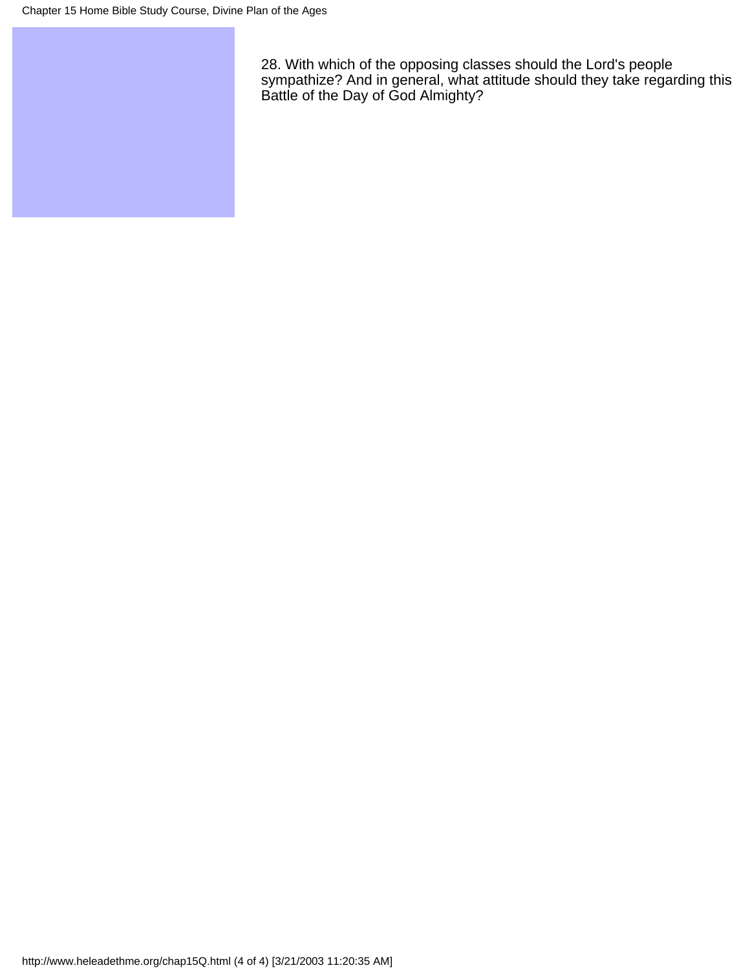28. With which of the opposing classes should the Lord's people sympathize? And in general, what attitude should they take regarding this Battle of the Day of God Almighty?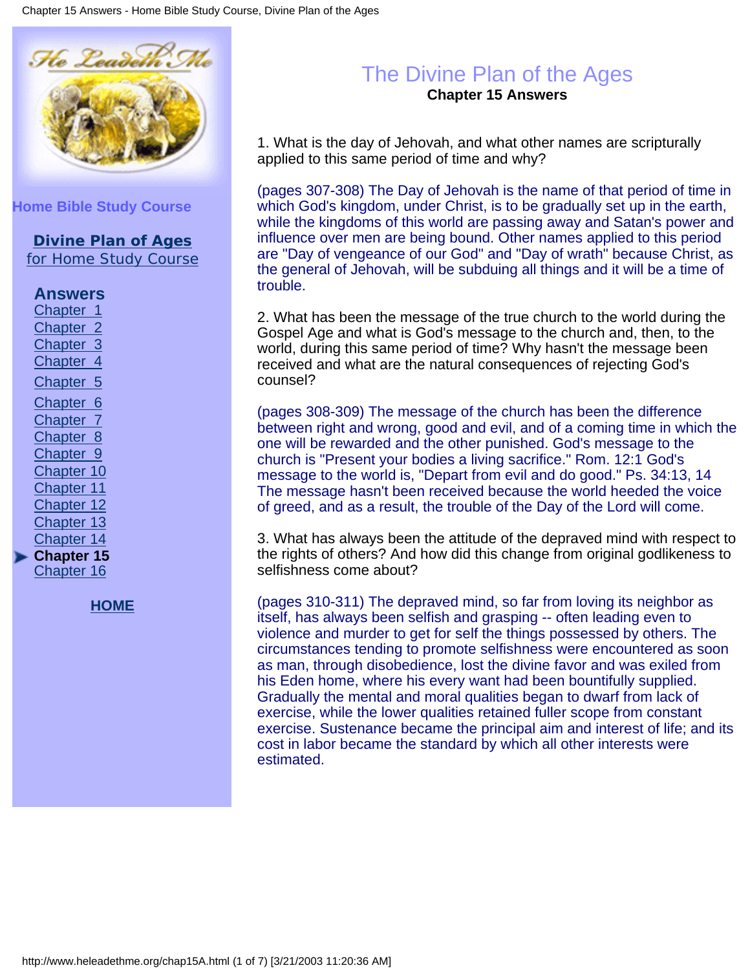<span id="page-98-0"></span>

### The Divine Plan of the Ages **Chapter 15 Answers**

1. What is the day of Jehovah, and what other names are scripturally applied to this same period of time and why?

(pages 307-308) The Day of Jehovah is the name of that period of time in which God's kingdom, under Christ, is to be gradually set up in the earth, while the kingdoms of this world are passing away and Satan's power and influence over men are being bound. Other names applied to this period are "Day of vengeance of our God" and "Day of wrath" because Christ, as the general of Jehovah, will be subduing all things and it will be a time of trouble.

2. What has been the message of the true church to the world during the Gospel Age and what is God's message to the church and, then, to the world, during this same period of time? Why hasn't the message been received and what are the natural consequences of rejecting God's counsel?

(pages 308-309) The message of the church has been the difference between right and wrong, good and evil, and of a coming time in which the one will be rewarded and the other punished. God's message to the church is "Present your bodies a living sacrifice." Rom. 12:1 God's message to the world is, "Depart from evil and do good." Ps. 34:13, 14 The message hasn't been received because the world heeded the voice of greed, and as a result, the trouble of the Day of the Lord will come.

3. What has always been the attitude of the depraved mind with respect to the rights of others? And how did this change from original godlikeness to selfishness come about?

(pages 310-311) The depraved mind, so far from loving its neighbor as itself, has always been selfish and grasping -- often leading even to violence and murder to get for self the things possessed by others. The circumstances tending to promote selfishness were encountered as soon as man, through disobedience, lost the divine favor and was exiled from his Eden home, where his every want had been bountifully supplied. Gradually the mental and moral qualities began to dwarf from lack of exercise, while the lower qualities retained fuller scope from constant exercise. Sustenance became the principal aim and interest of life; and its cost in labor became the standard by which all other interests were estimated.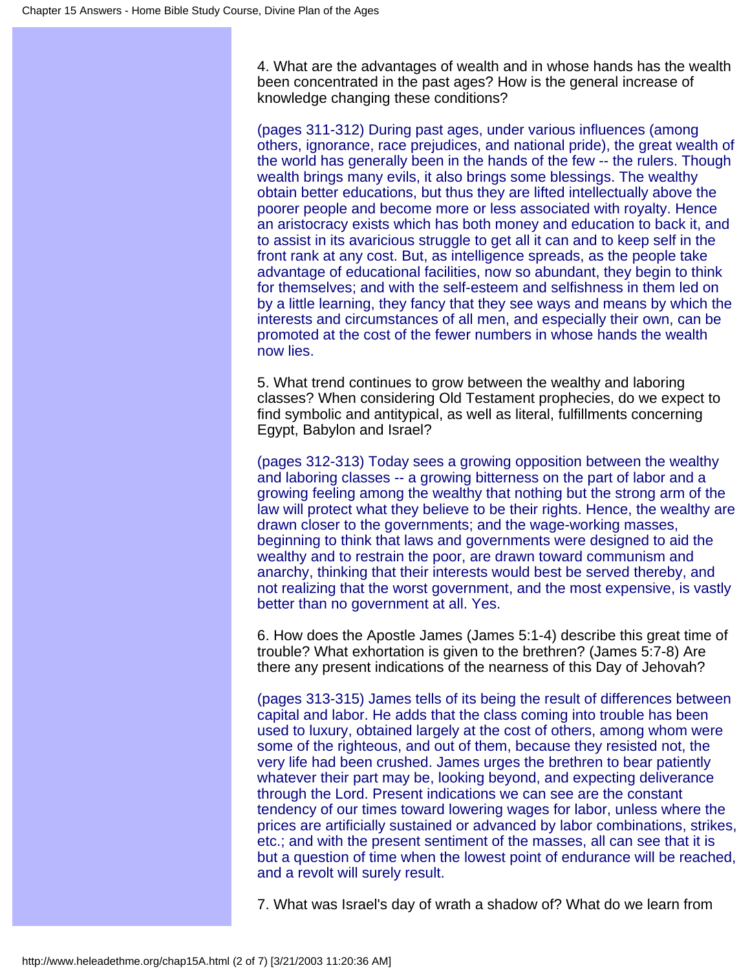4. What are the advantages of wealth and in whose hands has the wealth been concentrated in the past ages? How is the general increase of knowledge changing these conditions?

(pages 311-312) During past ages, under various influences (among others, ignorance, race prejudices, and national pride), the great wealth of the world has generally been in the hands of the few -- the rulers. Though wealth brings many evils, it also brings some blessings. The wealthy obtain better educations, but thus they are lifted intellectually above the poorer people and become more or less associated with royalty. Hence an aristocracy exists which has both money and education to back it, and to assist in its avaricious struggle to get all it can and to keep self in the front rank at any cost. But, as intelligence spreads, as the people take advantage of educational facilities, now so abundant, they begin to think for themselves; and with the self-esteem and selfishness in them led on by a little learning, they fancy that they see ways and means by which the interests and circumstances of all men, and especially their own, can be promoted at the cost of the fewer numbers in whose hands the wealth now lies.

5. What trend continues to grow between the wealthy and laboring classes? When considering Old Testament prophecies, do we expect to find symbolic and antitypical, as well as literal, fulfillments concerning Egypt, Babylon and Israel?

(pages 312-313) Today sees a growing opposition between the wealthy and laboring classes -- a growing bitterness on the part of labor and a growing feeling among the wealthy that nothing but the strong arm of the law will protect what they believe to be their rights. Hence, the wealthy are drawn closer to the governments; and the wage-working masses, beginning to think that laws and governments were designed to aid the wealthy and to restrain the poor, are drawn toward communism and anarchy, thinking that their interests would best be served thereby, and not realizing that the worst government, and the most expensive, is vastly better than no government at all. Yes.

6. How does the Apostle James (James 5:1-4) describe this great time of trouble? What exhortation is given to the brethren? (James 5:7-8) Are there any present indications of the nearness of this Day of Jehovah?

(pages 313-315) James tells of its being the result of differences between capital and labor. He adds that the class coming into trouble has been used to luxury, obtained largely at the cost of others, among whom were some of the righteous, and out of them, because they resisted not, the very life had been crushed. James urges the brethren to bear patiently whatever their part may be, looking beyond, and expecting deliverance through the Lord. Present indications we can see are the constant tendency of our times toward lowering wages for labor, unless where the prices are artificially sustained or advanced by labor combinations, strikes, etc.; and with the present sentiment of the masses, all can see that it is but a question of time when the lowest point of endurance will be reached, and a revolt will surely result.

7. What was Israel's day of wrath a shadow of? What do we learn from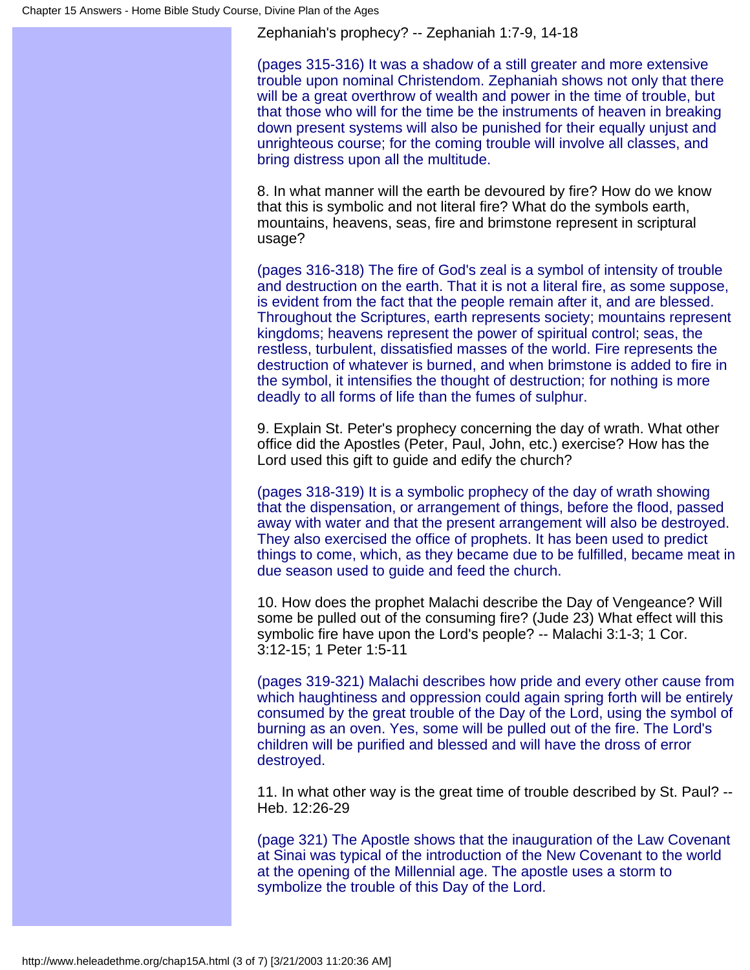Zephaniah's prophecy? -- Zephaniah 1:7-9, 14-18

(pages 315-316) It was a shadow of a still greater and more extensive trouble upon nominal Christendom. Zephaniah shows not only that there will be a great overthrow of wealth and power in the time of trouble, but that those who will for the time be the instruments of heaven in breaking down present systems will also be punished for their equally unjust and unrighteous course; for the coming trouble will involve all classes, and bring distress upon all the multitude.

8. In what manner will the earth be devoured by fire? How do we know that this is symbolic and not literal fire? What do the symbols earth, mountains, heavens, seas, fire and brimstone represent in scriptural usage?

(pages 316-318) The fire of God's zeal is a symbol of intensity of trouble and destruction on the earth. That it is not a literal fire, as some suppose, is evident from the fact that the people remain after it, and are blessed. Throughout the Scriptures, earth represents society; mountains represent kingdoms; heavens represent the power of spiritual control; seas, the restless, turbulent, dissatisfied masses of the world. Fire represents the destruction of whatever is burned, and when brimstone is added to fire in the symbol, it intensifies the thought of destruction; for nothing is more deadly to all forms of life than the fumes of sulphur.

9. Explain St. Peter's prophecy concerning the day of wrath. What other office did the Apostles (Peter, Paul, John, etc.) exercise? How has the Lord used this gift to guide and edify the church?

(pages 318-319) It is a symbolic prophecy of the day of wrath showing that the dispensation, or arrangement of things, before the flood, passed away with water and that the present arrangement will also be destroyed. They also exercised the office of prophets. It has been used to predict things to come, which, as they became due to be fulfilled, became meat in due season used to guide and feed the church.

10. How does the prophet Malachi describe the Day of Vengeance? Will some be pulled out of the consuming fire? (Jude 23) What effect will this symbolic fire have upon the Lord's people? -- Malachi 3:1-3; 1 Cor. 3:12-15; 1 Peter 1:5-11

(pages 319-321) Malachi describes how pride and every other cause from which haughtiness and oppression could again spring forth will be entirely consumed by the great trouble of the Day of the Lord, using the symbol of burning as an oven. Yes, some will be pulled out of the fire. The Lord's children will be purified and blessed and will have the dross of error destroyed.

11. In what other way is the great time of trouble described by St. Paul? -- Heb. 12:26-29

(page 321) The Apostle shows that the inauguration of the Law Covenant at Sinai was typical of the introduction of the New Covenant to the world at the opening of the Millennial age. The apostle uses a storm to symbolize the trouble of this Day of the Lord.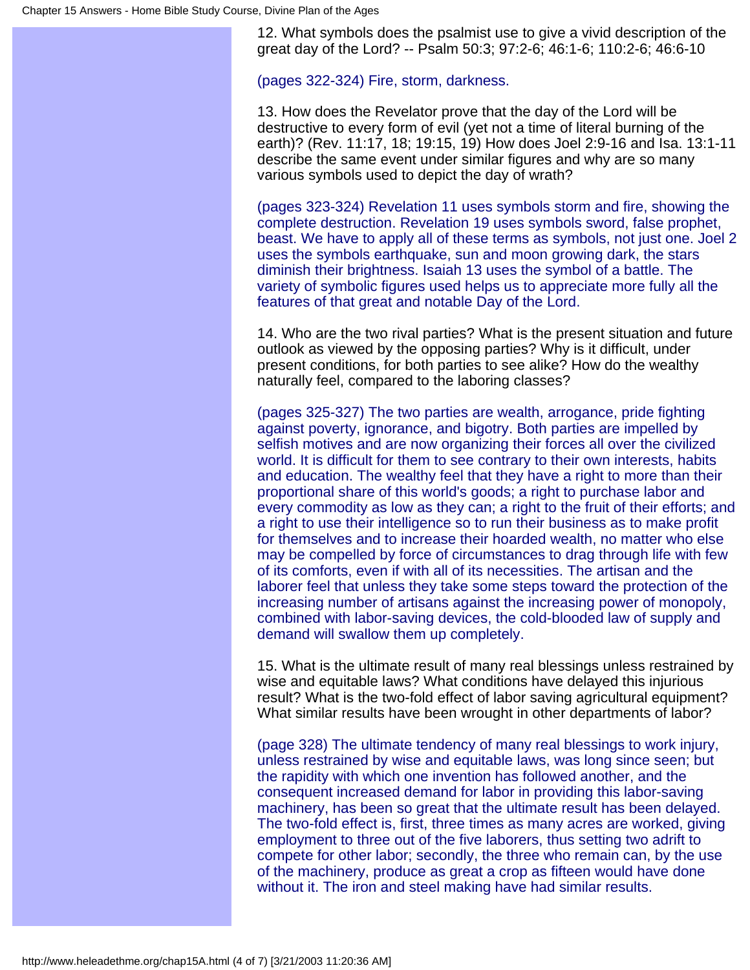12. What symbols does the psalmist use to give a vivid description of the great day of the Lord? -- Psalm 50:3; 97:2-6; 46:1-6; 110:2-6; 46:6-10

(pages 322-324) Fire, storm, darkness.

13. How does the Revelator prove that the day of the Lord will be destructive to every form of evil (yet not a time of literal burning of the earth)? (Rev. 11:17, 18; 19:15, 19) How does Joel 2:9-16 and Isa. 13:1-11 describe the same event under similar figures and why are so many various symbols used to depict the day of wrath?

(pages 323-324) Revelation 11 uses symbols storm and fire, showing the complete destruction. Revelation 19 uses symbols sword, false prophet, beast. We have to apply all of these terms as symbols, not just one. Joel 2 uses the symbols earthquake, sun and moon growing dark, the stars diminish their brightness. Isaiah 13 uses the symbol of a battle. The variety of symbolic figures used helps us to appreciate more fully all the features of that great and notable Day of the Lord.

14. Who are the two rival parties? What is the present situation and future outlook as viewed by the opposing parties? Why is it difficult, under present conditions, for both parties to see alike? How do the wealthy naturally feel, compared to the laboring classes?

(pages 325-327) The two parties are wealth, arrogance, pride fighting against poverty, ignorance, and bigotry. Both parties are impelled by selfish motives and are now organizing their forces all over the civilized world. It is difficult for them to see contrary to their own interests, habits and education. The wealthy feel that they have a right to more than their proportional share of this world's goods; a right to purchase labor and every commodity as low as they can; a right to the fruit of their efforts; and a right to use their intelligence so to run their business as to make profit for themselves and to increase their hoarded wealth, no matter who else may be compelled by force of circumstances to drag through life with few of its comforts, even if with all of its necessities. The artisan and the laborer feel that unless they take some steps toward the protection of the increasing number of artisans against the increasing power of monopoly, combined with labor-saving devices, the cold-blooded law of supply and demand will swallow them up completely.

15. What is the ultimate result of many real blessings unless restrained by wise and equitable laws? What conditions have delayed this injurious result? What is the two-fold effect of labor saving agricultural equipment? What similar results have been wrought in other departments of labor?

(page 328) The ultimate tendency of many real blessings to work injury, unless restrained by wise and equitable laws, was long since seen; but the rapidity with which one invention has followed another, and the consequent increased demand for labor in providing this labor-saving machinery, has been so great that the ultimate result has been delayed. The two-fold effect is, first, three times as many acres are worked, giving employment to three out of the five laborers, thus setting two adrift to compete for other labor; secondly, the three who remain can, by the use of the machinery, produce as great a crop as fifteen would have done without it. The iron and steel making have had similar results.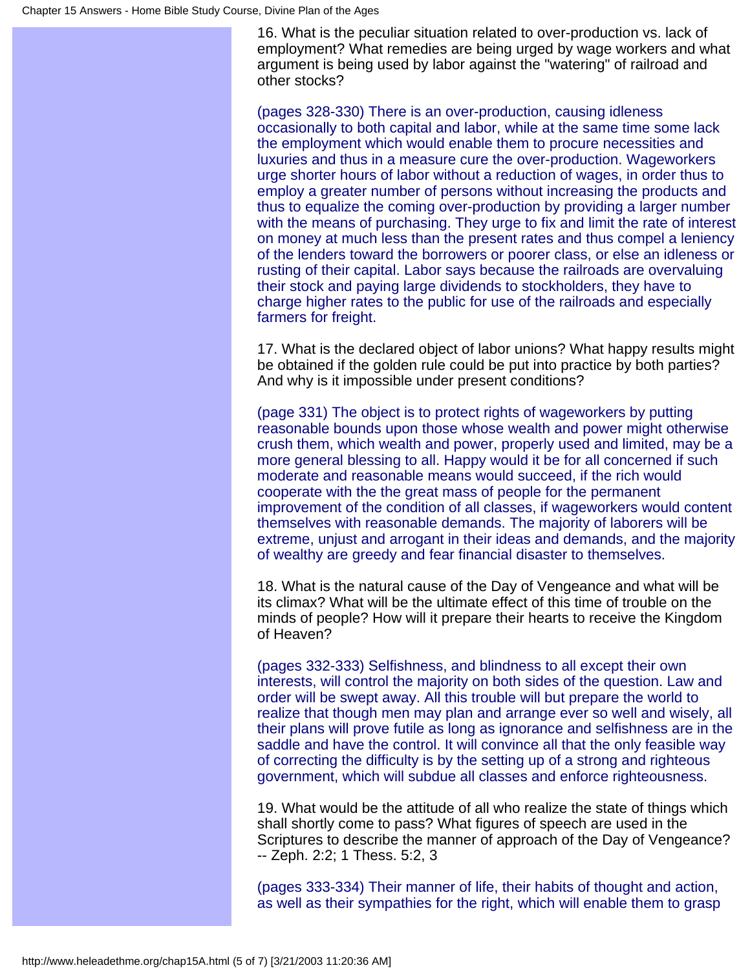16. What is the peculiar situation related to over-production vs. lack of employment? What remedies are being urged by wage workers and what argument is being used by labor against the "watering" of railroad and other stocks?

(pages 328-330) There is an over-production, causing idleness occasionally to both capital and labor, while at the same time some lack the employment which would enable them to procure necessities and luxuries and thus in a measure cure the over-production. Wageworkers urge shorter hours of labor without a reduction of wages, in order thus to employ a greater number of persons without increasing the products and thus to equalize the coming over-production by providing a larger number with the means of purchasing. They urge to fix and limit the rate of interest on money at much less than the present rates and thus compel a leniency of the lenders toward the borrowers or poorer class, or else an idleness or rusting of their capital. Labor says because the railroads are overvaluing their stock and paying large dividends to stockholders, they have to charge higher rates to the public for use of the railroads and especially farmers for freight.

17. What is the declared object of labor unions? What happy results might be obtained if the golden rule could be put into practice by both parties? And why is it impossible under present conditions?

(page 331) The object is to protect rights of wageworkers by putting reasonable bounds upon those whose wealth and power might otherwise crush them, which wealth and power, properly used and limited, may be a more general blessing to all. Happy would it be for all concerned if such moderate and reasonable means would succeed, if the rich would cooperate with the the great mass of people for the permanent improvement of the condition of all classes, if wageworkers would content themselves with reasonable demands. The majority of laborers will be extreme, unjust and arrogant in their ideas and demands, and the majority of wealthy are greedy and fear financial disaster to themselves.

18. What is the natural cause of the Day of Vengeance and what will be its climax? What will be the ultimate effect of this time of trouble on the minds of people? How will it prepare their hearts to receive the Kingdom of Heaven?

(pages 332-333) Selfishness, and blindness to all except their own interests, will control the majority on both sides of the question. Law and order will be swept away. All this trouble will but prepare the world to realize that though men may plan and arrange ever so well and wisely, all their plans will prove futile as long as ignorance and selfishness are in the saddle and have the control. It will convince all that the only feasible way of correcting the difficulty is by the setting up of a strong and righteous government, which will subdue all classes and enforce righteousness.

19. What would be the attitude of all who realize the state of things which shall shortly come to pass? What figures of speech are used in the Scriptures to describe the manner of approach of the Day of Vengeance? -- Zeph. 2:2; 1 Thess. 5:2, 3

(pages 333-334) Their manner of life, their habits of thought and action, as well as their sympathies for the right, which will enable them to grasp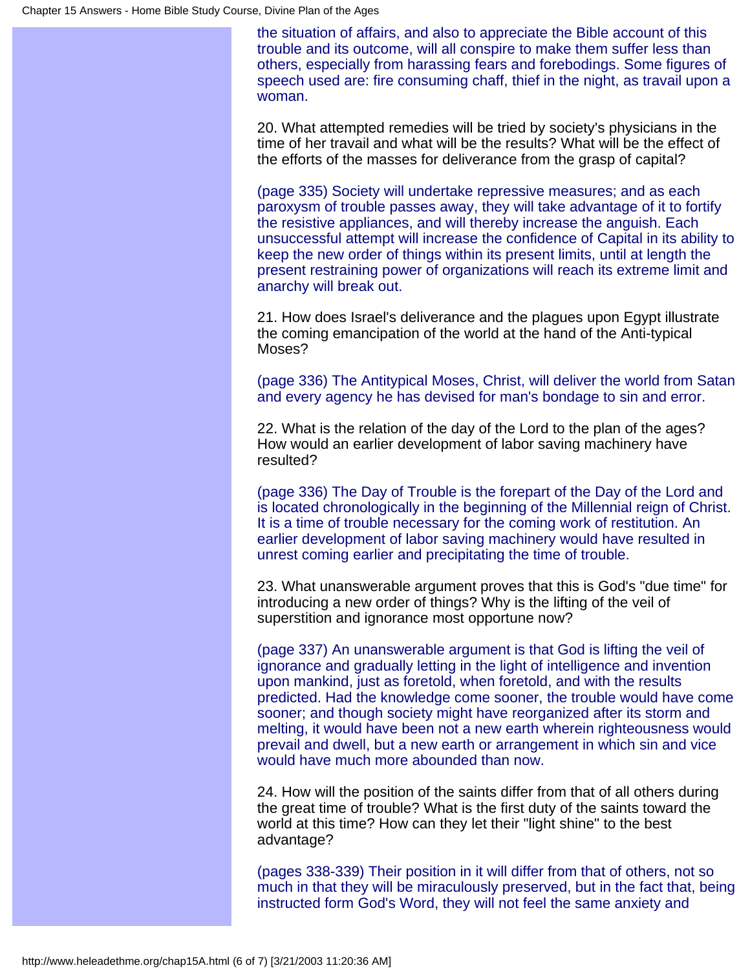the situation of affairs, and also to appreciate the Bible account of this trouble and its outcome, will all conspire to make them suffer less than others, especially from harassing fears and forebodings. Some figures of speech used are: fire consuming chaff, thief in the night, as travail upon a woman.

20. What attempted remedies will be tried by society's physicians in the time of her travail and what will be the results? What will be the effect of the efforts of the masses for deliverance from the grasp of capital?

(page 335) Society will undertake repressive measures; and as each paroxysm of trouble passes away, they will take advantage of it to fortify the resistive appliances, and will thereby increase the anguish. Each unsuccessful attempt will increase the confidence of Capital in its ability to keep the new order of things within its present limits, until at length the present restraining power of organizations will reach its extreme limit and anarchy will break out.

21. How does Israel's deliverance and the plagues upon Egypt illustrate the coming emancipation of the world at the hand of the Anti-typical Moses?

(page 336) The Antitypical Moses, Christ, will deliver the world from Satan and every agency he has devised for man's bondage to sin and error.

22. What is the relation of the day of the Lord to the plan of the ages? How would an earlier development of labor saving machinery have resulted?

(page 336) The Day of Trouble is the forepart of the Day of the Lord and is located chronologically in the beginning of the Millennial reign of Christ. It is a time of trouble necessary for the coming work of restitution. An earlier development of labor saving machinery would have resulted in unrest coming earlier and precipitating the time of trouble.

23. What unanswerable argument proves that this is God's "due time" for introducing a new order of things? Why is the lifting of the veil of superstition and ignorance most opportune now?

(page 337) An unanswerable argument is that God is lifting the veil of ignorance and gradually letting in the light of intelligence and invention upon mankind, just as foretold, when foretold, and with the results predicted. Had the knowledge come sooner, the trouble would have come sooner; and though society might have reorganized after its storm and melting, it would have been not a new earth wherein righteousness would prevail and dwell, but a new earth or arrangement in which sin and vice would have much more abounded than now.

24. How will the position of the saints differ from that of all others during the great time of trouble? What is the first duty of the saints toward the world at this time? How can they let their "light shine" to the best advantage?

(pages 338-339) Their position in it will differ from that of others, not so much in that they will be miraculously preserved, but in the fact that, being instructed form God's Word, they will not feel the same anxiety and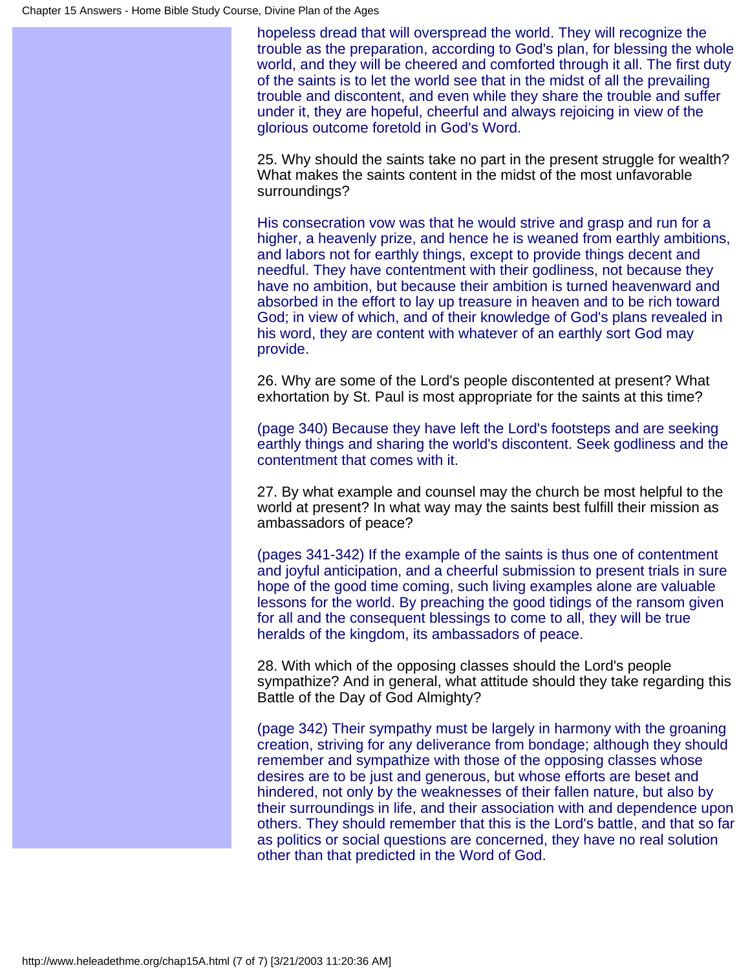hopeless dread that will overspread the world. They will recognize the trouble as the preparation, according to God's plan, for blessing the whole world, and they will be cheered and comforted through it all. The first duty of the saints is to let the world see that in the midst of all the prevailing trouble and discontent, and even while they share the trouble and suffer under it, they are hopeful, cheerful and always rejoicing in view of the glorious outcome foretold in God's Word.

25. Why should the saints take no part in the present struggle for wealth? What makes the saints content in the midst of the most unfavorable surroundings?

His consecration vow was that he would strive and grasp and run for a higher, a heavenly prize, and hence he is weaned from earthly ambitions, and labors not for earthly things, except to provide things decent and needful. They have contentment with their godliness, not because they have no ambition, but because their ambition is turned heavenward and absorbed in the effort to lay up treasure in heaven and to be rich toward God; in view of which, and of their knowledge of God's plans revealed in his word, they are content with whatever of an earthly sort God may provide.

26. Why are some of the Lord's people discontented at present? What exhortation by St. Paul is most appropriate for the saints at this time?

(page 340) Because they have left the Lord's footsteps and are seeking earthly things and sharing the world's discontent. Seek godliness and the contentment that comes with it.

27. By what example and counsel may the church be most helpful to the world at present? In what way may the saints best fulfill their mission as ambassadors of peace?

(pages 341-342) If the example of the saints is thus one of contentment and joyful anticipation, and a cheerful submission to present trials in sure hope of the good time coming, such living examples alone are valuable lessons for the world. By preaching the good tidings of the ransom given for all and the consequent blessings to come to all, they will be true heralds of the kingdom, its ambassadors of peace.

28. With which of the opposing classes should the Lord's people sympathize? And in general, what attitude should they take regarding this Battle of the Day of God Almighty?

(page 342) Their sympathy must be largely in harmony with the groaning creation, striving for any deliverance from bondage; although they should remember and sympathize with those of the opposing classes whose desires are to be just and generous, but whose efforts are beset and hindered, not only by the weaknesses of their fallen nature, but also by their surroundings in life, and their association with and dependence upon others. They should remember that this is the Lord's battle, and that so far as politics or social questions are concerned, they have no real solution other than that predicted in the Word of God.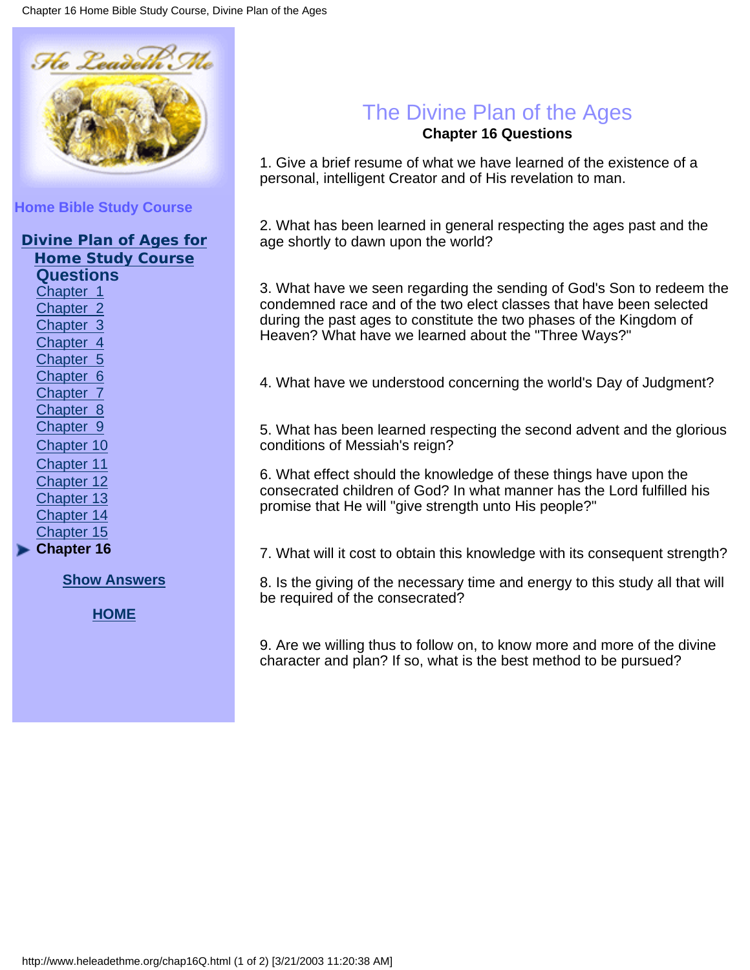<span id="page-105-0"></span>

**Home Bible Study Course**

| Divine Plan of Ages for  |
|--------------------------|
| <b>Home Study Course</b> |
| Questions                |
| Chapter 1                |
| <u>Chapter 2</u>         |
| Chapter <sub>3</sub>     |
| Chapter <sub>4</sub>     |
| Chapter 5                |
| Chapter 6                |
| Chapter <sub>7</sub>     |
| Chapter 8                |
| Chapter 9                |
| Chapter 10               |
| <b>Chapter 11</b>        |
| <b>Chapter 12</b>        |
| <b>Chapter 13</b>        |
| <b>Chapter 14</b>        |
| <b>Chapter 15</b>        |
| <b>Chapter 16</b>        |
|                          |

#### **[Show Answers](#page-107-0)**

**[HOME](http://www.heleadethme.org/index.html)**

## The Divine Plan of the Ages

#### **Chapter 16 Questions**

1. Give a brief resume of what we have learned of the existence of a personal, intelligent Creator and of His revelation to man.

2. What has been learned in general respecting the ages past and the age shortly to dawn upon the world?

3. What have we seen regarding the sending of God's Son to redeem the condemned race and of the two elect classes that have been selected during the past ages to constitute the two phases of the Kingdom of Heaven? What have we learned about the "Three Ways?"

4. What have we understood concerning the world's Day of Judgment?

5. What has been learned respecting the second advent and the glorious conditions of Messiah's reign?

6. What effect should the knowledge of these things have upon the consecrated children of God? In what manner has the Lord fulfilled his promise that He will "give strength unto His people?"

7. What will it cost to obtain this knowledge with its consequent strength?

8. Is the giving of the necessary time and energy to this study all that will be required of the consecrated?

9. Are we willing thus to follow on, to know more and more of the divine character and plan? If so, what is the best method to be pursued?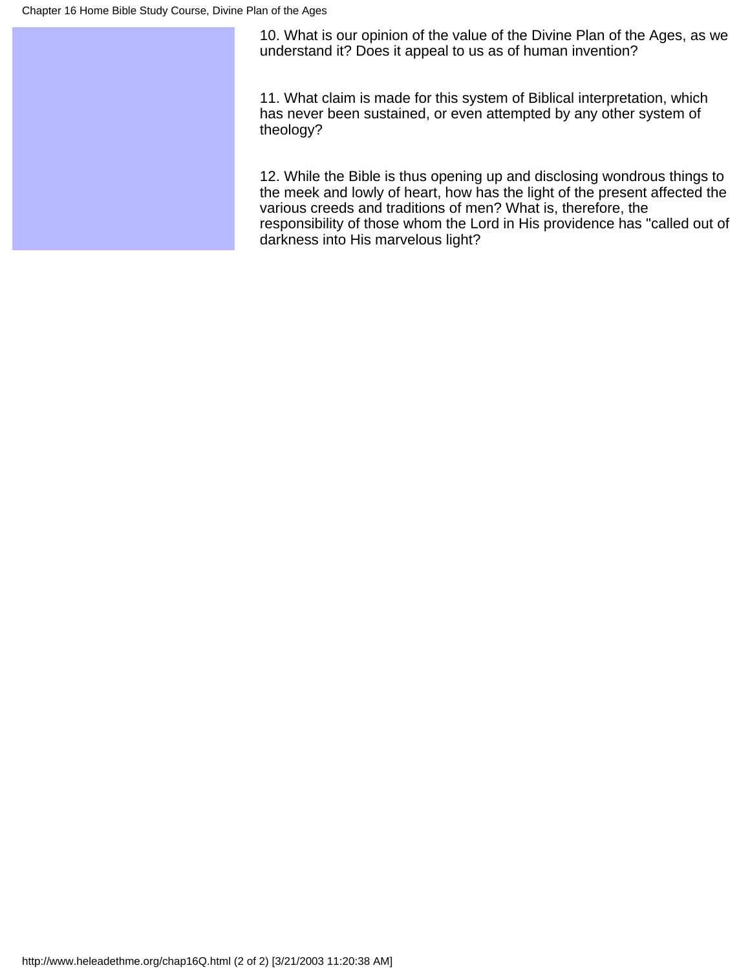10. What is our opinion of the value of the Divine Plan of the Ages, as we understand it? Does it appeal to us as of human invention?

11. What claim is made for this system of Biblical interpretation, which has never been sustained, or even attempted by any other system of theology?

12. While the Bible is thus opening up and disclosing wondrous things to the meek and lowly of heart, how has the light of the present affected the various creeds and traditions of men? What is, therefore, the responsibility of those whom the Lord in His providence has "called out of darkness into His marvelous light?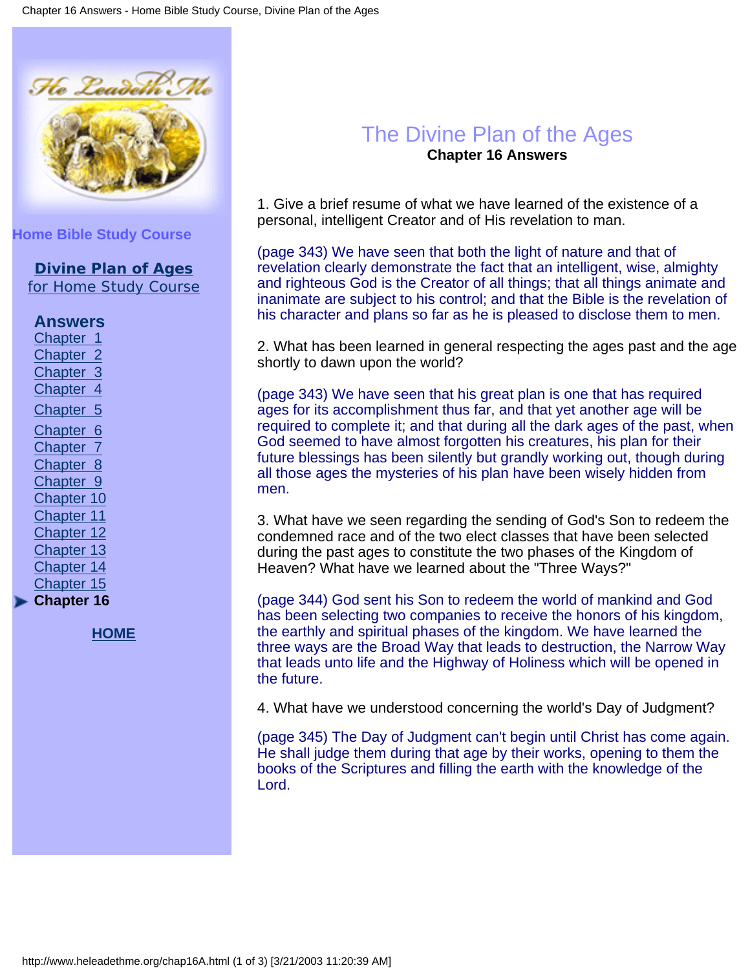<span id="page-107-0"></span>

**Home Bible Study Course**

**[Divine Plan of Ages](#page-7-0)** [for Home Study Course](#page-7-0)

#### **Answers**

| Chapter<br>1              |
|---------------------------|
| Chapter<br>2              |
| Chapter<br>$\overline{3}$ |
| 4<br><b>Chapter</b>       |
| Chapter<br>5              |
| 6<br><b>Chapter</b>       |
| <b>Chapter</b><br>7       |
| <b>Chapter</b><br>8       |
| <b>Chapter</b><br>9       |
| <b>Chapter</b><br>10      |
| <b>Chapter</b><br>11      |
| <b>Chapter</b><br>12      |
| <b>Chapter</b><br>13      |
| <b>Chapter 14</b>         |
| <b>Chapter 15</b>         |
| <b>Chapter</b><br>16      |

**[HOME](http://www.heleadethme.org/index.html)**

## The Divine Plan of the Ages

**Chapter 16 Answers**

1. Give a brief resume of what we have learned of the existence of a personal, intelligent Creator and of His revelation to man.

(page 343) We have seen that both the light of nature and that of revelation clearly demonstrate the fact that an intelligent, wise, almighty and righteous God is the Creator of all things; that all things animate and inanimate are subject to his control; and that the Bible is the revelation of his character and plans so far as he is pleased to disclose them to men.

2. What has been learned in general respecting the ages past and the age shortly to dawn upon the world?

(page 343) We have seen that his great plan is one that has required ages for its accomplishment thus far, and that yet another age will be required to complete it; and that during all the dark ages of the past, when God seemed to have almost forgotten his creatures, his plan for their future blessings has been silently but grandly working out, though during all those ages the mysteries of his plan have been wisely hidden from men.

3. What have we seen regarding the sending of God's Son to redeem the condemned race and of the two elect classes that have been selected during the past ages to constitute the two phases of the Kingdom of Heaven? What have we learned about the "Three Ways?"

(page 344) God sent his Son to redeem the world of mankind and God has been selecting two companies to receive the honors of his kingdom, the earthly and spiritual phases of the kingdom. We have learned the three ways are the Broad Way that leads to destruction, the Narrow Way that leads unto life and the Highway of Holiness which will be opened in the future.

4. What have we understood concerning the world's Day of Judgment?

(page 345) The Day of Judgment can't begin until Christ has come again. He shall judge them during that age by their works, opening to them the books of the Scriptures and filling the earth with the knowledge of the Lord.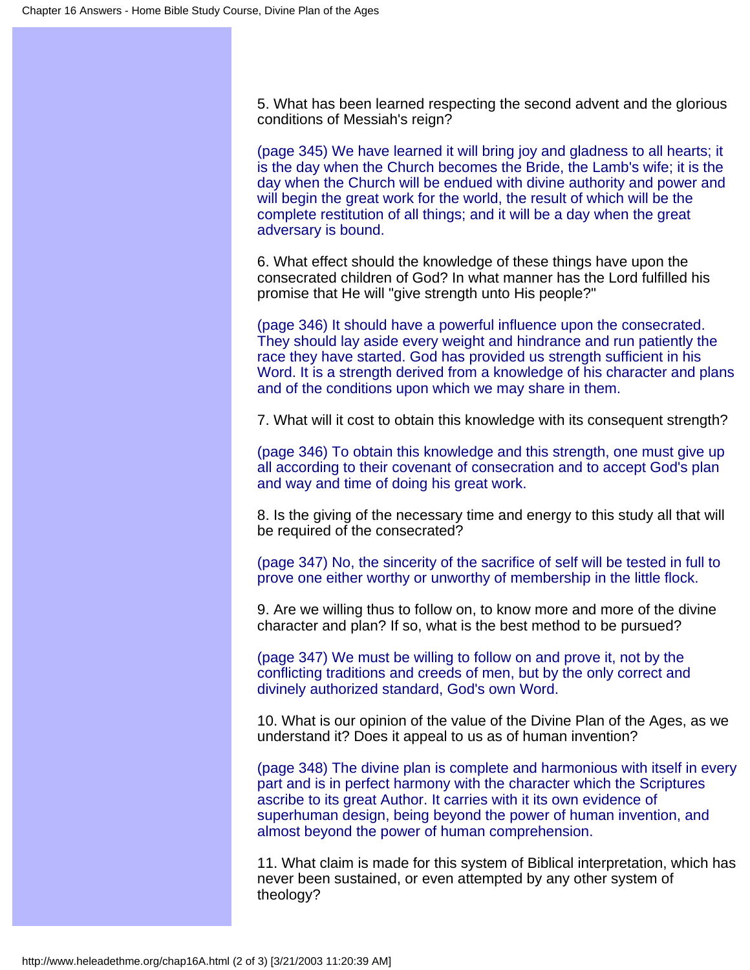5. What has been learned respecting the second advent and the glorious conditions of Messiah's reign?

(page 345) We have learned it will bring joy and gladness to all hearts; it is the day when the Church becomes the Bride, the Lamb's wife; it is the day when the Church will be endued with divine authority and power and will begin the great work for the world, the result of which will be the complete restitution of all things; and it will be a day when the great adversary is bound.

6. What effect should the knowledge of these things have upon the consecrated children of God? In what manner has the Lord fulfilled his promise that He will "give strength unto His people?"

(page 346) It should have a powerful influence upon the consecrated. They should lay aside every weight and hindrance and run patiently the race they have started. God has provided us strength sufficient in his Word. It is a strength derived from a knowledge of his character and plans and of the conditions upon which we may share in them.

7. What will it cost to obtain this knowledge with its consequent strength?

(page 346) To obtain this knowledge and this strength, one must give up all according to their covenant of consecration and to accept God's plan and way and time of doing his great work.

8. Is the giving of the necessary time and energy to this study all that will be required of the consecrated?

(page 347) No, the sincerity of the sacrifice of self will be tested in full to prove one either worthy or unworthy of membership in the little flock.

9. Are we willing thus to follow on, to know more and more of the divine character and plan? If so, what is the best method to be pursued?

(page 347) We must be willing to follow on and prove it, not by the conflicting traditions and creeds of men, but by the only correct and divinely authorized standard, God's own Word.

10. What is our opinion of the value of the Divine Plan of the Ages, as we understand it? Does it appeal to us as of human invention?

(page 348) The divine plan is complete and harmonious with itself in every part and is in perfect harmony with the character which the Scriptures ascribe to its great Author. It carries with it its own evidence of superhuman design, being beyond the power of human invention, and almost beyond the power of human comprehension.

11. What claim is made for this system of Biblical interpretation, which has never been sustained, or even attempted by any other system of theology?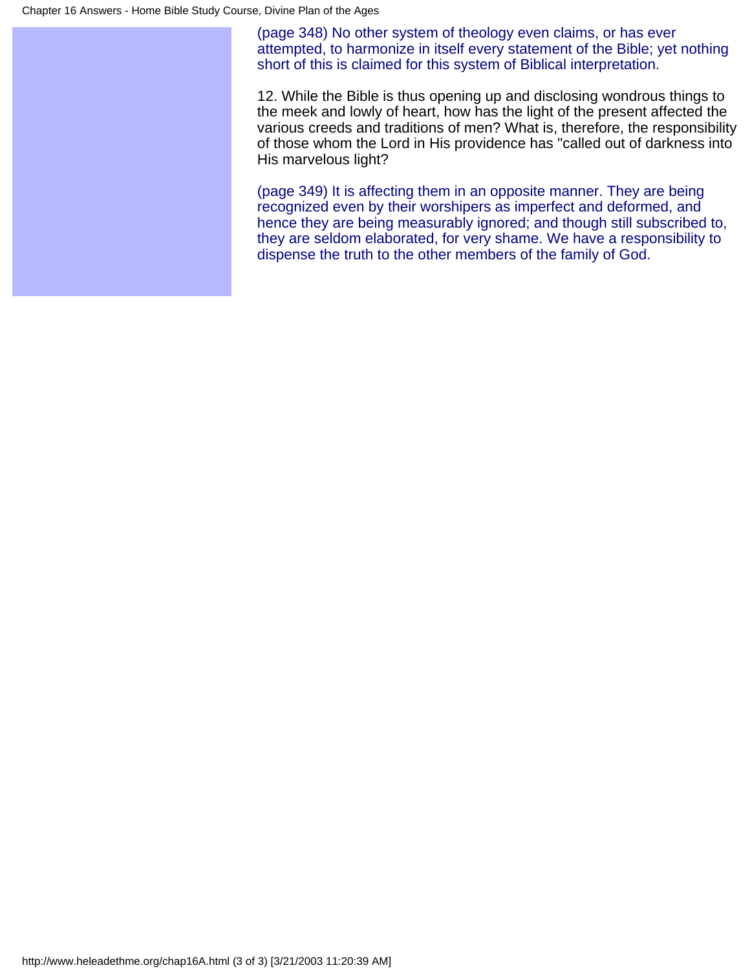(page 348) No other system of theology even claims, or has ever attempted, to harmonize in itself every statement of the Bible; yet nothing short of this is claimed for this system of Biblical interpretation.

12. While the Bible is thus opening up and disclosing wondrous things to the meek and lowly of heart, how has the light of the present affected the various creeds and traditions of men? What is, therefore, the responsibility of those whom the Lord in His providence has "called out of darkness into His marvelous light?

(page 349) It is affecting them in an opposite manner. They are being recognized even by their worshipers as imperfect and deformed, and hence they are being measurably ignored; and though still subscribed to, they are seldom elaborated, for very shame. We have a responsibility to dispense the truth to the other members of the family of God.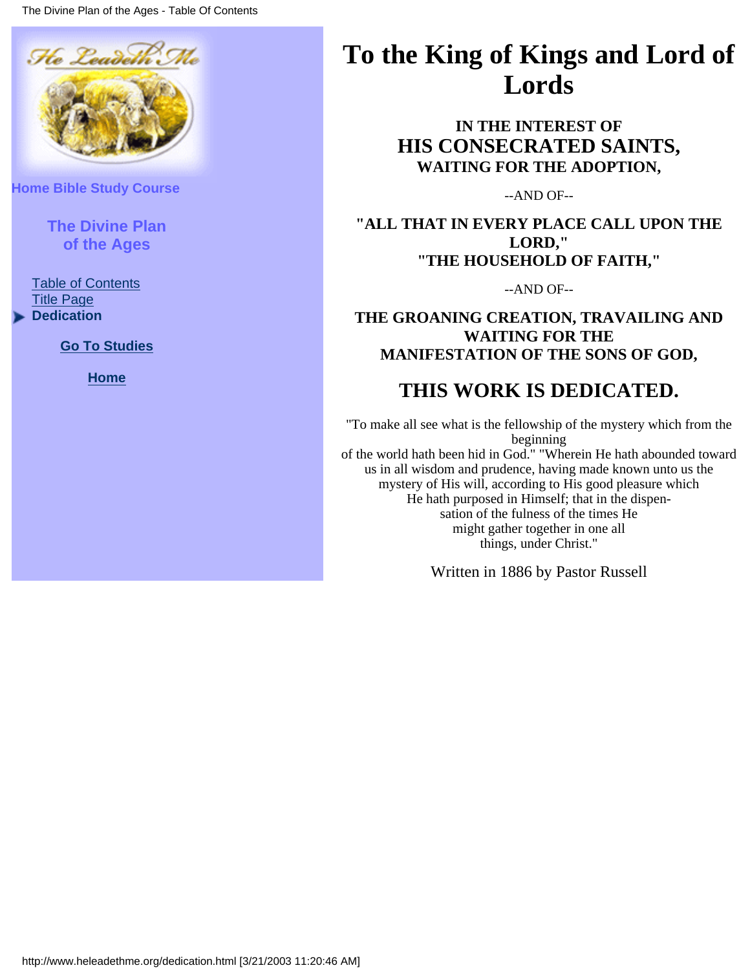<span id="page-110-0"></span>The Divine Plan of the Ages - Table Of Contents



**[Home Bible Study Course](http://www.heleadethme.org/index.html)**

**The Divine Plan of the Ages**

[Table of Contents](#page-7-0) [Title Page](#page-111-0) **Dedication**

**[Go To Studies](#page-0-0)**

**[Home](http://www.heleadethme.org/index.html)**

# **To the King of Kings and Lord of Lords**

**IN THE INTEREST OF HIS CONSECRATED SAINTS, WAITING FOR THE ADOPTION,**

--AND OF--

**"ALL THAT IN EVERY PLACE CALL UPON THE LORD," "THE HOUSEHOLD OF FAITH,"**

--AND OF--

**THE GROANING CREATION, TRAVAILING AND WAITING FOR THE MANIFESTATION OF THE SONS OF GOD,**

#### **THIS WORK IS DEDICATED.**

"To make all see what is the fellowship of the mystery which from the beginning of the world hath been hid in God." "Wherein He hath abounded toward us in all wisdom and prudence, having made known unto us the mystery of His will, according to His good pleasure which He hath purposed in Himself; that in the dispensation of the fulness of the times He

might gather together in one all things, under Christ."

Written in 1886 by Pastor Russell